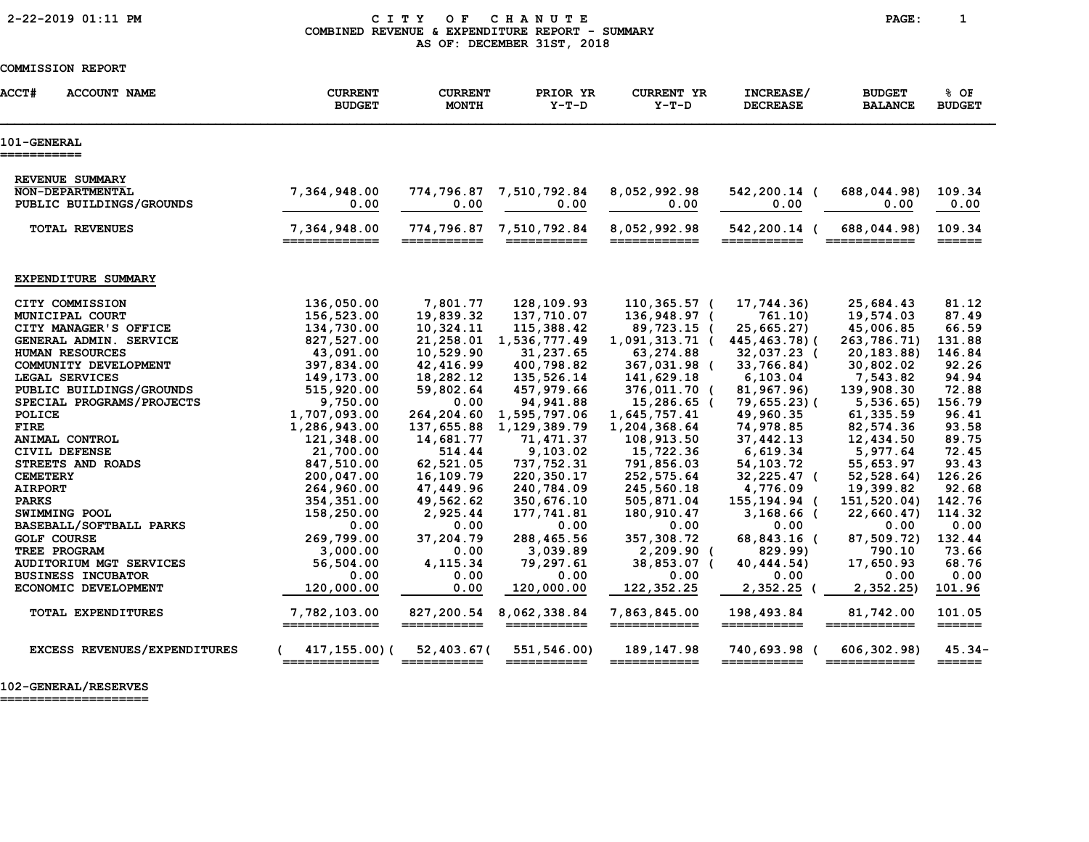### 2-22-2019 01:11 PM C I T Y O F C H A N U T E PAGE: 1 COMBINED REVENUE & EXPENDITURE REPORT - SUMMARY AS OF: DECEMBER 31ST, 2018

### COMMISSION REPORT

| <b>ACCT#</b><br><b>ACCOUNT NAME</b>        |                              | <b>CURRENT</b><br><b>BUDGET</b> | <b>CURRENT</b><br><b>MONTH</b> | PRIOR YR<br>$Y-T-D$         | <b>CURRENT YR</b><br>$Y-T-D$ | INCREASE/<br><b>DECREASE</b> | <b>BUDGET</b><br><b>BALANCE</b> | % OF<br><b>BUDGET</b>                                                  |
|--------------------------------------------|------------------------------|---------------------------------|--------------------------------|-----------------------------|------------------------------|------------------------------|---------------------------------|------------------------------------------------------------------------|
| <b>101-GENERAL</b><br>===========          |                              |                                 |                                |                             |                              |                              |                                 |                                                                        |
| REVENUE SUMMARY<br><b>NON-DEPARTMENTAL</b> |                              | 7,364,948.00                    | 774,796.87                     | 7,510,792.84                | 8,052,992.98                 | 542,200.14 (                 | 688,044.98)                     | 109.34                                                                 |
| PUBLIC BUILDINGS/GROUNDS                   |                              | 0.00                            | 0.00                           | 0.00                        | 0.00                         | 0.00                         | 0.00                            | 0.00                                                                   |
| <b>TOTAL REVENUES</b>                      |                              | 7,364,948.00<br>=============   | 774,796.87<br>___________      | 7,510,792.84<br>=========== | 8,052,992.98<br>============ | 542,200.14 (<br>___________  | 688,044.98)<br>____________     | 109.34<br>______                                                       |
| EXPENDITURE SUMMARY                        |                              |                                 |                                |                             |                              |                              |                                 |                                                                        |
| CITY COMMISSION                            |                              | 136,050.00                      | 7,801.77                       | 128,109.93                  | 110,365.57 (                 | 17,744.36)                   | 25,684.43                       | 81.12                                                                  |
| MUNICIPAL COURT                            |                              | 156,523.00                      | 19,839.32                      | 137,710.07                  | 136,948.97 (                 | 761.10                       | 19,574.03                       | 87.49                                                                  |
| CITY MANAGER'S OFFICE                      |                              | 134,730.00                      | 10,324.11                      | 115,388.42                  | 89,723.15 (                  | 25,665.27)                   | 45,006.85                       | 66.59                                                                  |
| GENERAL ADMIN. SERVICE                     |                              | 827,527.00                      | 21,258.01                      | 1,536,777.49                | 1,091,313.71 (               | 445,463.78)(                 | 263,786.71)                     | 131.88                                                                 |
| HUMAN RESOURCES                            |                              | 43,091.00                       | 10,529.90                      | 31,237.65                   | 63,274.88                    | 32,037.23 (                  | 20, 183.88                      | 146.84                                                                 |
| COMMUNITY DEVELOPMENT<br>LEGAL SERVICES    |                              | 397,834.00<br>149,173.00        | 42,416.99<br>18,282.12         | 400,798.82<br>135,526.14    | 367,031.98 (<br>141,629.18   | 33,766.84)<br>6, 103.04      | 30,802.02<br>7,543.82           | 92.26<br>94.94                                                         |
| PUBLIC BUILDINGS/GROUNDS                   |                              | 515,920.00                      | 59,802.64                      | 457,979.66                  | 376,011.70 (                 | 81,967.96)                   | 139,908.30                      | 72.88                                                                  |
| SPECIAL PROGRAMS/PROJECTS                  |                              | 9,750.00                        | 0.00                           | 94, 941.88                  | 15,286.65 (                  | 79,655.23)(                  | 5,536.65)                       | 156.79                                                                 |
| POLICE                                     |                              | 1,707,093.00                    | 264,204.60                     | 1,595,797.06                | 1,645,757.41                 | 49,960.35                    | 61,335.59                       | 96.41                                                                  |
| <b>FIRE</b>                                |                              | 1,286,943.00                    | 137,655.88                     | 1,129,389.79                | 1,204,368.64                 | 74,978.85                    | 82,574.36                       | 93.58                                                                  |
| ANIMAL CONTROL                             |                              | 121,348.00                      | 14,681.77                      | 71,471.37                   | 108,913.50                   | 37,442.13                    | 12,434.50                       | 89.75                                                                  |
| CIVIL DEFENSE                              |                              | 21,700.00                       | 514.44                         | 9,103.02                    | 15,722.36                    | 6,619.34                     | 5,977.64                        | 72.45                                                                  |
| STREETS AND ROADS                          |                              | 847,510.00                      | 62,521.05                      | 737, 752.31                 | 791,856.03                   | 54, 103. 72                  | 55,653.97                       | 93.43                                                                  |
| <b>CEMETERY</b>                            |                              | 200,047.00                      | 16,109.79                      | 220, 350. 17                | 252,575.64                   | 32,225.47 (                  | 52, 528.64)                     | 126.26                                                                 |
| <b>AIRPORT</b>                             |                              | 264,960.00                      | 47,449.96                      | 240,784.09                  | 245,560.18                   | 4,776.09                     | 19,399.82                       | 92.68                                                                  |
| <b>PARKS</b>                               |                              | 354, 351.00                     | 49,562.62                      | 350,676.10                  | 505,871.04                   | 155,194.94 (                 | 151,520.04)                     | 142.76                                                                 |
| SWIMMING POOL                              |                              | 158,250.00                      | 2,925.44                       | 177,741.81                  | 180,910.47                   | $3,168.66$ (                 | 22,660.47                       | 114.32                                                                 |
| BASEBALL/SOFTBALL PARKS                    |                              | 0.00                            | 0.00                           | 0.00                        | 0.00                         | 0.00                         | 0.00                            | 0.00                                                                   |
| <b>GOLF COURSE</b>                         |                              | 269,799.00                      | 37,204.79                      | 288,465.56                  | 357,308.72                   | 68,843.16 (                  | 87,509.72)                      | 132.44                                                                 |
| TREE PROGRAM                               |                              | 3,000.00                        | 0.00                           | 3,039.89                    | $2,209.90$ (                 | 829.99)                      | 790.10                          | 73.66                                                                  |
| <b>AUDITORIUM MGT SERVICES</b>             |                              | 56,504.00                       | 4, 115.34                      | 79,297.61                   | 38,853.07 (                  | 40,444.54)                   | 17,650.93                       | 68.76                                                                  |
| <b>BUSINESS INCUBATOR</b>                  |                              | 0.00                            | 0.00                           | 0.00                        | 0.00                         | 0.00                         | 0.00                            | 0.00                                                                   |
| ECONOMIC DEVELOPMENT                       |                              | 120,000.00                      | 0.00                           | 120,000.00                  | 122, 352.25                  | 2,352.25 (                   | 2,352.25                        | 101.96                                                                 |
| <b>TOTAL EXPENDITURES</b>                  |                              | 7,782,103.00<br>=============   | 827,200.54<br>===========      | 8,062,338.84<br>=========== | 7,863,845.00<br>============ | 198,493.84<br>===========    | 81,742.00<br>============       | 101.05<br>$=$ $=$ $=$ $=$ $=$ $=$                                      |
|                                            | EXCESS REVENUES/EXPENDITURES | 417,155.00)(<br>=============   | 52,403.67(<br>===========      | 551,546.00)<br>===========  | 189,147.98<br>============   | 740,693.98<br>===========    | 606,302.98)                     | $45.34 -$<br>$\qquad \qquad \equiv \equiv \equiv \equiv \equiv \equiv$ |

102-GENERAL/RESERVES

====================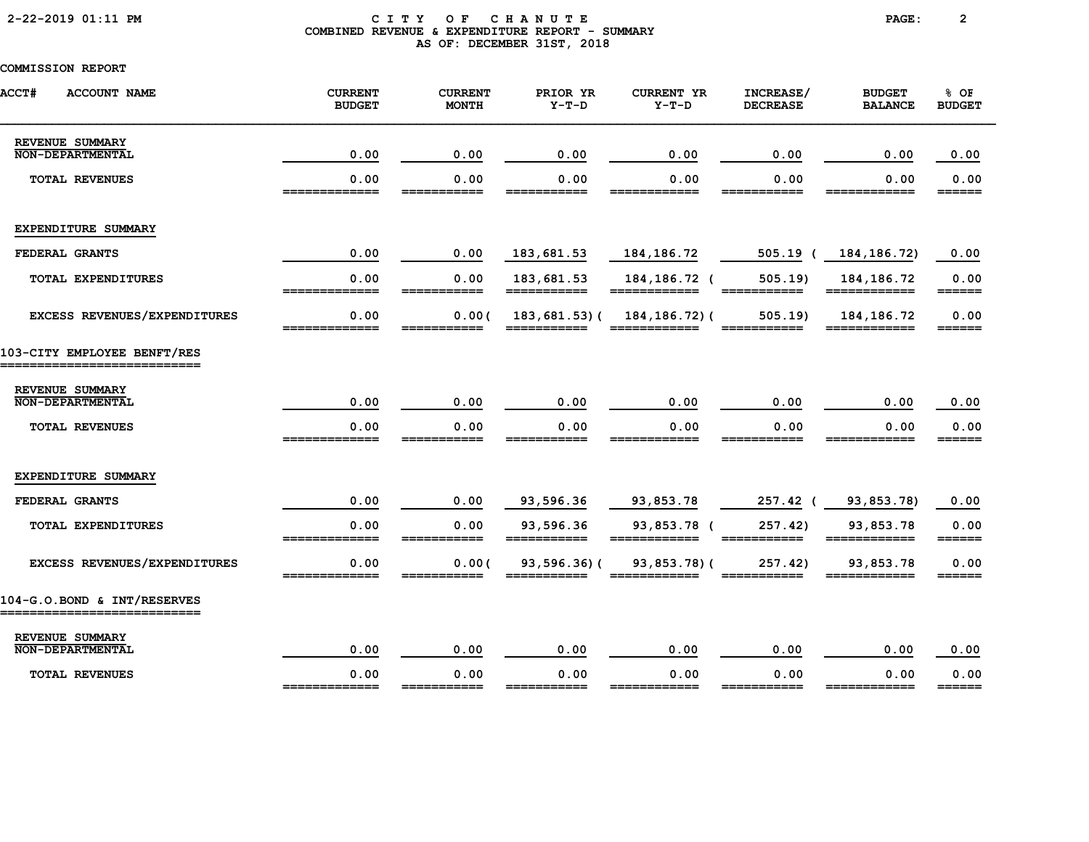# 2-22-2019 01:11 PM C I T Y O F C H A N U T E PAGE: 2 COMBINED REVENUE & EXPENDITURE REPORT - SUMMARY AS OF: DECEMBER 31ST, 2018

| <b>ACCT#</b><br><b>ACCOUNT NAME</b>                        | <b>CURRENT</b><br><b>BUDGET</b> | <b>CURRENT</b><br><b>MONTH</b> | PRIOR YR<br>$Y-T-D$         | <b>CURRENT YR</b><br>$Y-T-D$    | INCREASE/<br><b>DECREASE</b>                                                                                                                                                                                                                                                                                                                                                                                                                  | <b>BUDGET</b><br><b>BALANCE</b> | % OF<br><b>BUDGET</b>                         |
|------------------------------------------------------------|---------------------------------|--------------------------------|-----------------------------|---------------------------------|-----------------------------------------------------------------------------------------------------------------------------------------------------------------------------------------------------------------------------------------------------------------------------------------------------------------------------------------------------------------------------------------------------------------------------------------------|---------------------------------|-----------------------------------------------|
| REVENUE SUMMARY<br><b>NON-DEPARTMENTAL</b>                 | 0.00                            | 0.00                           | 0.00                        | 0.00                            | 0.00                                                                                                                                                                                                                                                                                                                                                                                                                                          | 0.00                            | 0.00                                          |
| <b>TOTAL REVENUES</b>                                      | 0.00<br>=============           | 0.00<br>===========            | 0.00<br>___________         | 0.00<br>============            | 0.00<br>===========                                                                                                                                                                                                                                                                                                                                                                                                                           | 0.00<br>____________            | 0.00<br>======                                |
| EXPENDITURE SUMMARY                                        |                                 |                                |                             |                                 |                                                                                                                                                                                                                                                                                                                                                                                                                                               |                                 |                                               |
| FEDERAL GRANTS                                             | 0.00                            | 0.00                           | 183,681.53                  | 184, 186. 72                    | $505.19$ (                                                                                                                                                                                                                                                                                                                                                                                                                                    | 184, 186. 72)                   | 0.00                                          |
| TOTAL EXPENDITURES                                         | 0.00<br>=============           | 0.00<br>===========            | 183,681.53<br>===========   | 184, 186. 72 (<br>============  | 505.19<br>$\begin{array}{cccccccccc} \textbf{m} & \textbf{m} & \textbf{m} & \textbf{m} & \textbf{m} & \textbf{m} & \textbf{m} & \textbf{m} & \textbf{m} & \textbf{m} & \textbf{m} & \textbf{m} & \textbf{m} & \textbf{m} & \textbf{m} & \textbf{m} & \textbf{m} & \textbf{m} & \textbf{m} & \textbf{m} & \textbf{m} & \textbf{m} & \textbf{m} & \textbf{m} & \textbf{m} & \textbf{m} & \textbf{m} & \textbf{m} & \textbf{m} & \textbf{m} & \$ | 184, 186. 72                    | 0.00<br>$=$ $=$ $=$ $=$ $=$                   |
| EXCESS REVENUES/EXPENDITURES                               | 0.00<br>-------------           | 0.00(<br>___________           | 183,681.53)(<br>___________ | 184, 186. 72) (<br>____________ | 505.19<br>___________                                                                                                                                                                                                                                                                                                                                                                                                                         | 184, 186. 72<br>-------------   | 0.00<br>______                                |
| 103-CITY EMPLOYEE BENFT/RES                                |                                 |                                |                             |                                 |                                                                                                                                                                                                                                                                                                                                                                                                                                               |                                 |                                               |
| REVENUE SUMMARY<br><b>NON-DEPARTMENTAL</b>                 | 0.00                            | 0.00                           | 0.00                        | 0.00                            | 0.00                                                                                                                                                                                                                                                                                                                                                                                                                                          | 0.00                            | 0.00                                          |
| <b>TOTAL REVENUES</b>                                      | 0.00                            | 0.00                           | 0.00                        | 0.00                            | 0.00                                                                                                                                                                                                                                                                                                                                                                                                                                          | 0.00                            | 0.00<br>______                                |
| EXPENDITURE SUMMARY                                        |                                 |                                |                             |                                 |                                                                                                                                                                                                                                                                                                                                                                                                                                               |                                 |                                               |
| FEDERAL GRANTS                                             | 0.00                            | 0.00                           | 93,596.36                   | 93,853.78                       | 257.42 (                                                                                                                                                                                                                                                                                                                                                                                                                                      | 93,853.78)                      | 0.00                                          |
| TOTAL EXPENDITURES                                         | 0.00                            | 0.00                           | 93,596.36                   | 93,853.78 (                     | 257.42)                                                                                                                                                                                                                                                                                                                                                                                                                                       | 93,853.78                       | 0.00                                          |
| EXCESS REVENUES/EXPENDITURES                               | 0.00                            | 0.00(                          | 93,596.36                   | 93,853.78)(                     | 257.42)                                                                                                                                                                                                                                                                                                                                                                                                                                       | 93,853.78                       | $=$ $=$ $=$ $=$ $=$ $=$ $=$<br>0.00<br>====== |
| 104-G.O.BOND & INT/RESERVES<br>___________________________ |                                 |                                |                             |                                 |                                                                                                                                                                                                                                                                                                                                                                                                                                               |                                 |                                               |
| REVENUE SUMMARY<br><b>NON-DEPARTMENTAL</b>                 | 0.00                            | 0.00                           | 0.00                        | 0.00                            | 0.00                                                                                                                                                                                                                                                                                                                                                                                                                                          | 0.00                            | 0.00                                          |
| <b>TOTAL REVENUES</b>                                      | 0.00<br>_____________           | 0.00<br>________               | 0.00<br>_______             | 0.00<br>____________            | 0.00<br>===========                                                                                                                                                                                                                                                                                                                                                                                                                           | 0.00<br>============            | 0.00<br>$=$ $=$ $=$ $=$ $=$                   |
|                                                            |                                 |                                |                             |                                 |                                                                                                                                                                                                                                                                                                                                                                                                                                               |                                 |                                               |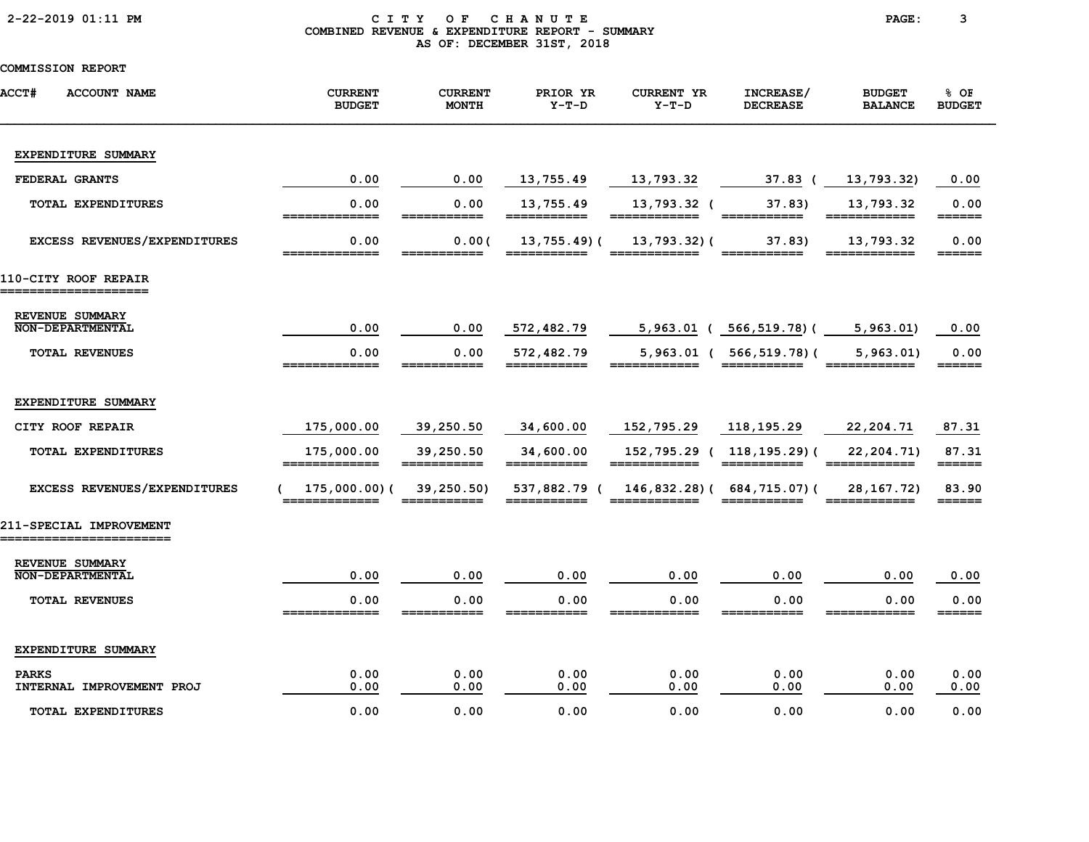### 2-22-2019 01:11 PM C I T Y O F C H A N U T E PAGE: 3 COMBINED REVENUE & EXPENDITURE REPORT - SUMMARY AS OF: DECEMBER 31ST, 2018

| <b>ACCT#</b><br><b>ACCOUNT NAME</b>               | <b>CURRENT</b><br><b>BUDGET</b> | <b>CURRENT</b><br><b>MONTH</b> | PRIOR YR<br>$Y-T-D$         | <b>CURRENT YR</b><br>$Y-T-D$ | INCREASE/<br><b>DECREASE</b>              | <b>BUDGET</b><br><b>BALANCE</b>                                                                                                                                                                                                                                                                                                                                                                                                                     | 8 OF<br><b>BUDGET</b>        |
|---------------------------------------------------|---------------------------------|--------------------------------|-----------------------------|------------------------------|-------------------------------------------|-----------------------------------------------------------------------------------------------------------------------------------------------------------------------------------------------------------------------------------------------------------------------------------------------------------------------------------------------------------------------------------------------------------------------------------------------------|------------------------------|
| EXPENDITURE SUMMARY                               |                                 |                                |                             |                              |                                           |                                                                                                                                                                                                                                                                                                                                                                                                                                                     |                              |
| FEDERAL GRANTS                                    | 0.00                            | 0.00                           | 13,755.49                   | 13,793.32                    | $37.83$ (                                 | 13,793.32)                                                                                                                                                                                                                                                                                                                                                                                                                                          | 0.00                         |
| TOTAL EXPENDITURES                                | 0.00<br>=============           | 0.00<br>===========            | 13,755.49<br>===========    | 13,793.32 (<br>============  | 37.83)<br>===========                     | 13,793.32<br>============                                                                                                                                                                                                                                                                                                                                                                                                                           | 0.00<br>======               |
| EXCESS REVENUES/EXPENDITURES                      | 0.00                            | 0.00(                          | $13,755.49$ (               | 13,793.32)(                  | 37.83)                                    | 13,793.32                                                                                                                                                                                                                                                                                                                                                                                                                                           | 0.00<br>______               |
| 110-CITY ROOF REPAIR<br>===================       |                                 |                                |                             |                              |                                           |                                                                                                                                                                                                                                                                                                                                                                                                                                                     |                              |
| REVENUE SUMMARY<br><b>NON-DEPARTMENTAL</b>        | 0.00                            | 0.00                           | 572,482.79                  |                              | 5,963.01 ( 566,519.78) (                  | 5,963.01                                                                                                                                                                                                                                                                                                                                                                                                                                            | 0.00                         |
| <b>TOTAL REVENUES</b>                             | 0.00<br>_____________           | 0.00<br>___________            | 572,482.79<br>===========   | $5,963.01$ (<br>========     | 566,519.78)(<br>===========               | 5,963.01<br>____________                                                                                                                                                                                                                                                                                                                                                                                                                            | 0.00<br>======               |
| EXPENDITURE SUMMARY                               |                                 |                                |                             |                              |                                           |                                                                                                                                                                                                                                                                                                                                                                                                                                                     |                              |
| CITY ROOF REPAIR                                  | 175,000.00                      | 39,250.50                      | 34,600.00                   | 152,795.29                   | 118,195.29                                | 22,204.71                                                                                                                                                                                                                                                                                                                                                                                                                                           | 87.31                        |
| TOTAL EXPENDITURES                                | 175,000.00<br>=============     | 39,250.50<br>===========       | 34,600.00<br>===========    | ____________                 | 152,795.29 ( 118,195.29) (<br>___________ | 22, 204. 71)<br>$\begin{array}{cccccccccc} \texttt{m} & \texttt{m} & \texttt{m} & \texttt{m} & \texttt{m} & \texttt{m} & \texttt{m} & \texttt{m} & \texttt{m} & \texttt{m} & \texttt{m} & \texttt{m} & \texttt{m} & \texttt{m} & \texttt{m} & \texttt{m} & \texttt{m} & \texttt{m} & \texttt{m} & \texttt{m} & \texttt{m} & \texttt{m} & \texttt{m} & \texttt{m} & \texttt{m} & \texttt{m} & \texttt{m} & \texttt{m} & \texttt{m} & \texttt{m} & \$ | 87.31                        |
| EXCESS REVENUES/EXPENDITURES                      | 175,000.00)(<br>=============   | 39, 250.50)<br>===========     | 537,882.79 (<br>=========== | ============                 | 146,832.28) (684,715.07) (<br>=========== | 28,167.72)<br>============                                                                                                                                                                                                                                                                                                                                                                                                                          | 83.90<br>$=$ $=$ $=$ $=$ $=$ |
| 211-SPECIAL IMPROVEMENT<br>---------------------- |                                 |                                |                             |                              |                                           |                                                                                                                                                                                                                                                                                                                                                                                                                                                     |                              |
| REVENUE SUMMARY<br><b>NON-DEPARTMENTAL</b>        | 0.00                            | 0.00                           | 0.00                        | 0.00                         | 0.00                                      | 0.00                                                                                                                                                                                                                                                                                                                                                                                                                                                | 0.00                         |
| <b>TOTAL REVENUES</b>                             | 0.00<br>-------------           | 0.00                           | 0.00                        | 0.00                         | 0.00                                      | 0.00                                                                                                                                                                                                                                                                                                                                                                                                                                                | 0.00<br>======               |
| EXPENDITURE SUMMARY                               |                                 |                                |                             |                              |                                           |                                                                                                                                                                                                                                                                                                                                                                                                                                                     |                              |
| <b>PARKS</b><br>INTERNAL IMPROVEMENT PROJ         | 0.00<br>0.00                    | 0.00<br>0.00                   | 0.00<br>0.00                | 0.00<br>0.00                 | 0.00<br>0.00                              | 0.00<br>0.00                                                                                                                                                                                                                                                                                                                                                                                                                                        | 0.00<br>0.00                 |
| <b>TOTAL EXPENDITURES</b>                         | 0.00                            | 0.00                           | 0.00                        | 0.00                         | 0.00                                      | 0.00                                                                                                                                                                                                                                                                                                                                                                                                                                                | 0.00                         |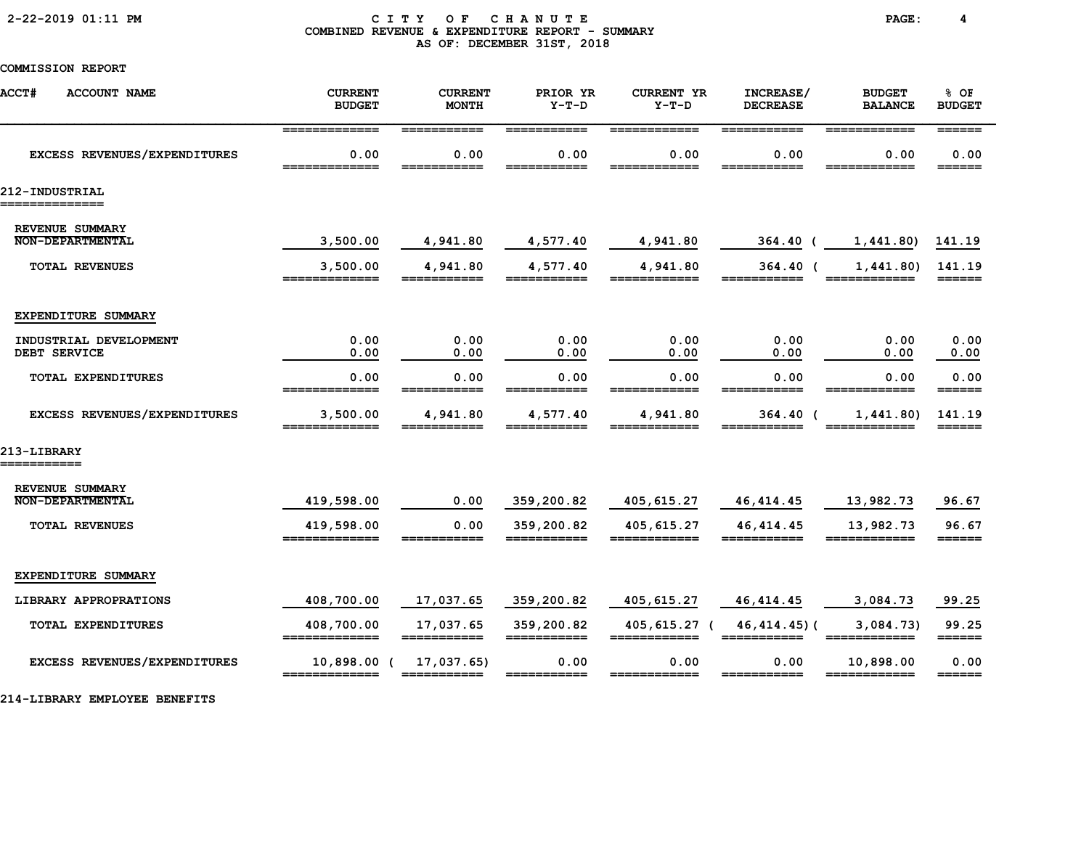### 2-22-2019 01:11 PM C I T Y O F C H A N U T E PAGE: 4 COMBINED REVENUE & EXPENDITURE REPORT - SUMMARY AS OF: DECEMBER 31ST, 2018

COMMISSION REPORT

| <b>ACCT#</b><br><b>ACCOUNT NAME</b>        | <b>CURRENT</b><br><b>BUDGET</b>                                                                                                                                                                                                                                                                                                                                                                                                              | <b>CURRENT</b><br><b>MONTH</b>                                                                                                                                                                                                                                                                                                                                                                                                                                                                       | PRIOR YR<br>$Y-T-D$       | <b>CURRENT YR</b><br>$Y-T-D$ | INCREASE/<br><b>DECREASE</b>    | <b>BUDGET</b><br><b>BALANCE</b> | % OF<br><b>BUDGET</b>            |
|--------------------------------------------|----------------------------------------------------------------------------------------------------------------------------------------------------------------------------------------------------------------------------------------------------------------------------------------------------------------------------------------------------------------------------------------------------------------------------------------------|------------------------------------------------------------------------------------------------------------------------------------------------------------------------------------------------------------------------------------------------------------------------------------------------------------------------------------------------------------------------------------------------------------------------------------------------------------------------------------------------------|---------------------------|------------------------------|---------------------------------|---------------------------------|----------------------------------|
|                                            | =============                                                                                                                                                                                                                                                                                                                                                                                                                                | $\begin{array}{cccccccccc} \texttt{m} & \texttt{m} & \texttt{m} & \texttt{m} & \texttt{m} & \texttt{m} & \texttt{m} & \texttt{m} & \texttt{m} & \texttt{m} & \texttt{m} & \texttt{m} & \texttt{m} & \texttt{m} & \texttt{m} & \texttt{m} & \texttt{m} & \texttt{m} & \texttt{m} & \texttt{m} & \texttt{m} & \texttt{m} & \texttt{m} & \texttt{m} & \texttt{m} & \texttt{m} & \texttt{m} & \texttt{m} & \texttt{m} & \texttt{m} & \$                                                                  | ===========               | ============                 | ===========                     | ============                    | $=$ $=$ $=$ $=$ $=$ $=$          |
| EXCESS REVENUES/EXPENDITURES               | 0.00<br>_____________                                                                                                                                                                                                                                                                                                                                                                                                                        | 0.00                                                                                                                                                                                                                                                                                                                                                                                                                                                                                                 | 0.00                      | 0.00                         | 0.00                            | 0.00                            | 0.00<br>______                   |
| 212-INDUSTRIAL<br>==============           |                                                                                                                                                                                                                                                                                                                                                                                                                                              |                                                                                                                                                                                                                                                                                                                                                                                                                                                                                                      |                           |                              |                                 |                                 |                                  |
| REVENUE SUMMARY<br><b>NON-DEPARTMENTAL</b> |                                                                                                                                                                                                                                                                                                                                                                                                                                              |                                                                                                                                                                                                                                                                                                                                                                                                                                                                                                      |                           |                              |                                 |                                 |                                  |
|                                            | 3,500.00                                                                                                                                                                                                                                                                                                                                                                                                                                     | 4,941.80                                                                                                                                                                                                                                                                                                                                                                                                                                                                                             | 4,577.40                  | 4,941.80                     | 364.40 (                        | 1,441.80)                       | 141.19                           |
| <b>TOTAL REVENUES</b>                      | 3,500.00<br>$\begin{array}{c} \texttt{m} = \texttt{m} = \texttt{m} = \texttt{m} = \texttt{m} = \texttt{m} = \texttt{m} = \texttt{m} = \texttt{m} = \texttt{m} = \texttt{m} = \texttt{m} = \texttt{m} = \texttt{m} = \texttt{m} = \texttt{m} = \texttt{m} = \texttt{m} = \texttt{m} = \texttt{m} = \texttt{m} = \texttt{m} = \texttt{m} = \texttt{m} = \texttt{m} = \texttt{m} = \texttt{m} = \texttt{m} = \texttt{m} = \texttt{m} = \texttt$ | 4,941.80<br>=======                                                                                                                                                                                                                                                                                                                                                                                                                                                                                  | 4,577.40                  | 4,941.80<br>=======          | $364.40$ (                      | 1,441.80)<br>======             | 141.19                           |
| EXPENDITURE SUMMARY                        |                                                                                                                                                                                                                                                                                                                                                                                                                                              |                                                                                                                                                                                                                                                                                                                                                                                                                                                                                                      |                           |                              |                                 |                                 |                                  |
| INDUSTRIAL DEVELOPMENT                     | 0.00                                                                                                                                                                                                                                                                                                                                                                                                                                         | 0.00                                                                                                                                                                                                                                                                                                                                                                                                                                                                                                 | 0.00                      | 0.00                         | 0.00                            | 0.00                            | 0.00                             |
| DEBT SERVICE                               | 0.00                                                                                                                                                                                                                                                                                                                                                                                                                                         | 0.00                                                                                                                                                                                                                                                                                                                                                                                                                                                                                                 | 0.00                      | 0.00                         | 0.00                            | 0.00                            | 0.00                             |
| TOTAL EXPENDITURES                         | 0.00<br>_____________                                                                                                                                                                                                                                                                                                                                                                                                                        | 0.00                                                                                                                                                                                                                                                                                                                                                                                                                                                                                                 | 0.00                      | 0.00                         | 0.00                            | 0.00                            | 0.00<br>$=$ $=$ $=$ $=$ $=$ $=$  |
| EXCESS REVENUES/EXPENDITURES               | 3,500.00<br>=============                                                                                                                                                                                                                                                                                                                                                                                                                    | 4,941.80                                                                                                                                                                                                                                                                                                                                                                                                                                                                                             | 4,577.40                  | 4,941.80                     | 364.40 (                        | 1,441.80)                       | 141.19                           |
| 213-LIBRARY<br>===========                 |                                                                                                                                                                                                                                                                                                                                                                                                                                              |                                                                                                                                                                                                                                                                                                                                                                                                                                                                                                      |                           |                              |                                 |                                 |                                  |
| REVENUE SUMMARY                            |                                                                                                                                                                                                                                                                                                                                                                                                                                              |                                                                                                                                                                                                                                                                                                                                                                                                                                                                                                      |                           |                              |                                 |                                 |                                  |
| <b>NON-DEPARTMENTAL</b>                    | 419,598.00                                                                                                                                                                                                                                                                                                                                                                                                                                   | 0.00                                                                                                                                                                                                                                                                                                                                                                                                                                                                                                 | 359,200.82                | 405,615.27                   | 46, 414.45                      | 13,982.73                       | 96.67                            |
| <b>TOTAL REVENUES</b>                      | 419,598.00<br>=============                                                                                                                                                                                                                                                                                                                                                                                                                  | 0.00                                                                                                                                                                                                                                                                                                                                                                                                                                                                                                 | 359,200.82<br>=========== | 405, 615.27<br>____________  | 46, 414.45<br>===========       | 13,982.73<br>____________       | 96.67<br>$=$ $=$ $=$ $=$ $=$ $=$ |
| EXPENDITURE SUMMARY                        |                                                                                                                                                                                                                                                                                                                                                                                                                                              |                                                                                                                                                                                                                                                                                                                                                                                                                                                                                                      |                           |                              |                                 |                                 |                                  |
| LIBRARY APPROPRATIONS                      | 408,700.00                                                                                                                                                                                                                                                                                                                                                                                                                                   | 17,037.65                                                                                                                                                                                                                                                                                                                                                                                                                                                                                            | 359,200.82                | 405,615.27                   | 46, 414.45                      | 3,084.73                        | 99.25                            |
| TOTAL EXPENDITURES                         | 408,700.00<br>=============                                                                                                                                                                                                                                                                                                                                                                                                                  | 17,037.65<br>===========                                                                                                                                                                                                                                                                                                                                                                                                                                                                             | 359,200.82<br>=========== | 405,615.27 (<br>============ | $46, 414.45$ ) (<br>=========== | 3,084.73)<br>============       | 99.25<br>$=$ $=$ $=$ $=$ $=$ $=$ |
| <b>EXCESS REVENUES/EXPENDITURES</b>        | 10,898.00 (<br>=============                                                                                                                                                                                                                                                                                                                                                                                                                 | 17,037.65)<br>$\begin{array}{cccccccccc} \multicolumn{2}{c}{} & \multicolumn{2}{c}{} & \multicolumn{2}{c}{} & \multicolumn{2}{c}{} & \multicolumn{2}{c}{} & \multicolumn{2}{c}{} & \multicolumn{2}{c}{} & \multicolumn{2}{c}{} & \multicolumn{2}{c}{} & \multicolumn{2}{c}{} & \multicolumn{2}{c}{} & \multicolumn{2}{c}{} & \multicolumn{2}{c}{} & \multicolumn{2}{c}{} & \multicolumn{2}{c}{} & \multicolumn{2}{c}{} & \multicolumn{2}{c}{} & \multicolumn{2}{c}{} & \multicolumn{2}{c}{} & \mult$ | 0.00                      | 0.00<br>============         | 0.00<br>===========             | 10,898.00<br>============       | 0.00<br>$=$ $=$ $=$ $=$ $=$      |
|                                            |                                                                                                                                                                                                                                                                                                                                                                                                                                              |                                                                                                                                                                                                                                                                                                                                                                                                                                                                                                      |                           |                              |                                 |                                 |                                  |

214-LIBRARY EMPLOYEE BENEFITS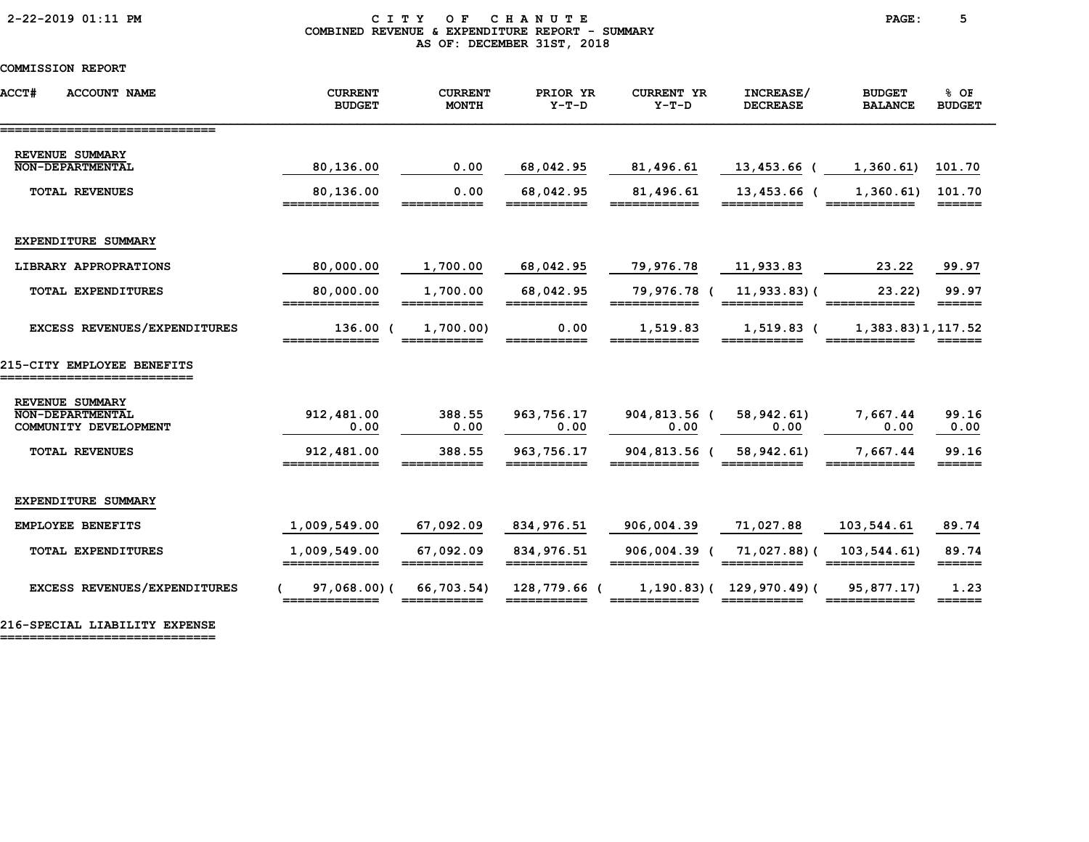### 2-22-2019 01:11 PM C I T Y O F C H A N U T E PAGE: 5 COMBINED REVENUE & EXPENDITURE REPORT - SUMMARY AS OF: DECEMBER 31ST, 2018

# COMMISSION REPORT

| <b>ACCT#</b><br><b>ACCOUNT NAME</b>                          | <b>CURRENT</b><br><b>BUDGET</b> | <b>CURRENT</b><br><b>MONTH</b> | PRIOR YR<br>$Y-T-D$         | <b>CURRENT YR</b><br>$Y-T-D$ | INCREASE/<br><b>DECREASE</b>    | <b>BUDGET</b><br><b>BALANCE</b> | % OF<br><b>BUDGET</b>           |
|--------------------------------------------------------------|---------------------------------|--------------------------------|-----------------------------|------------------------------|---------------------------------|---------------------------------|---------------------------------|
| -------------------------------<br>REVENUE SUMMARY           |                                 |                                |                             |                              |                                 |                                 |                                 |
| <b>NON-DEPARTMENTAL</b>                                      | 80,136.00                       | 0.00                           | 68,042.95                   | 81,496.61                    | 13,453.66 (                     | 1,360.61)                       | 101.70                          |
| <b>TOTAL REVENUES</b>                                        | 80,136.00<br>=============      | 0.00<br>===========            | 68,042.95<br>===========    | 81,496.61<br>============    | 13,453.66 (<br>___________      | 1,360.61)                       | 101.70<br>======                |
| EXPENDITURE SUMMARY                                          |                                 |                                |                             |                              |                                 |                                 |                                 |
| LIBRARY APPROPRATIONS                                        | 80,000.00                       | 1,700.00                       | 68,042.95                   | 79,976.78                    | 11,933.83                       | 23.22                           | 99.97                           |
| <b>TOTAL EXPENDITURES</b>                                    | 80,000.00<br>=============      | 1,700.00<br>===========        | 68,042.95<br>===========    | 79,976.78 (<br>============  | $11,933.83)$ (<br>===========   | 23.22<br>------------           | 99.97                           |
| EXCESS REVENUES/EXPENDITURES                                 | $136.00$ (<br>_________         | 1,700.00)                      | 0.00<br>_______             | 1,519.83<br>_____            | $1,519.83$ (                    | 1, 383.83) 1, 117.52            |                                 |
| 215-CITY EMPLOYEE BENEFITS                                   |                                 |                                |                             |                              |                                 |                                 |                                 |
| REVENUE SUMMARY<br>NON-DEPARTMENTAL<br>COMMUNITY DEVELOPMENT | 912, 481.00<br>0.00             | 388.55<br>0.00                 | 963, 756.17<br>0.00         | 904,813.56 (<br>0.00         | 58, 942.61<br>0.00              | 7,667.44<br>0.00                | 99.16<br>0.00                   |
| <b>TOTAL REVENUES</b>                                        | 912,481.00                      | 388.55                         | 963,756.17                  | 904,813.56 (                 | 58,942.61)                      | 7,667.44                        | 99.16                           |
| EXPENDITURE SUMMARY                                          |                                 |                                |                             |                              |                                 |                                 |                                 |
| <b>EMPLOYEE BENEFITS</b>                                     | 1,009,549.00                    | 67,092.09                      | 834,976.51                  | 906,004.39                   | 71,027.88                       | 103,544.61                      | 89.74                           |
| TOTAL EXPENDITURES                                           | 1,009,549.00<br>=============   | 67,092.09<br>===========       | 834,976.51<br>===========   | ============                 | 906,004.39 ( 71,027.88) (       | 103,544.61)                     | 89.74<br>======                 |
| EXCESS REVENUES/EXPENDITURES                                 | 97,068.00(                      | 66,703.54)<br>===========      | 128,779.66 (<br>=========== |                              | $1, 190.83$ ( $129, 970.49$ ) ( | 95,877.17)                      | 1.23<br>$=$ $=$ $=$ $=$ $=$ $=$ |

216-SPECIAL LIABILITY EXPENSE

=============================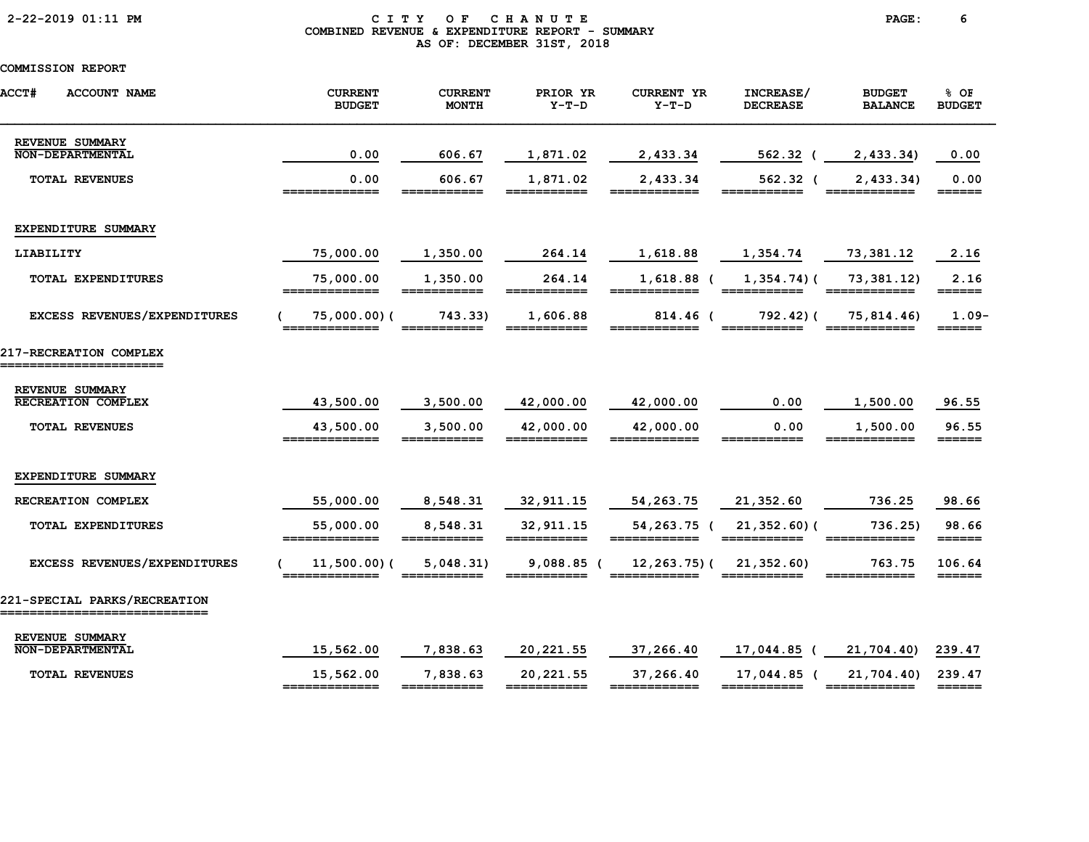# 2-22-2019 01:11 PM C I T Y O F C H A N U T E PAGE: 6 COMBINED REVENUE & EXPENDITURE REPORT - SUMMARY AS OF: DECEMBER 31ST, 2018

| <b>ACCT#</b><br><b>ACCOUNT NAME</b>                         | <b>CURRENT</b><br><b>BUDGET</b> | <b>CURRENT</b><br><b>MONTH</b>                                                                                                                                                                                                                                                                                                                                                                                                                  | PRIOR YR<br>$Y-T-D$       | <b>CURRENT YR</b><br>$Y-T-D$ | INCREASE/<br><b>DECREASE</b>   | <b>BUDGET</b><br><b>BALANCE</b>                                                                                                                                                                                                                                                                                                                                                                                                                   | % OF<br><b>BUDGET</b>                                              |
|-------------------------------------------------------------|---------------------------------|-------------------------------------------------------------------------------------------------------------------------------------------------------------------------------------------------------------------------------------------------------------------------------------------------------------------------------------------------------------------------------------------------------------------------------------------------|---------------------------|------------------------------|--------------------------------|---------------------------------------------------------------------------------------------------------------------------------------------------------------------------------------------------------------------------------------------------------------------------------------------------------------------------------------------------------------------------------------------------------------------------------------------------|--------------------------------------------------------------------|
| REVENUE SUMMARY<br><b>NON-DEPARTMENTAL</b>                  | 0.00                            | 606.67                                                                                                                                                                                                                                                                                                                                                                                                                                          | 1,871.02                  | 2,433.34                     | 562.32 (                       | 2,433.34                                                                                                                                                                                                                                                                                                                                                                                                                                          | 0.00                                                               |
| <b>TOTAL REVENUES</b>                                       | 0.00                            | 606.67                                                                                                                                                                                                                                                                                                                                                                                                                                          | 1,871.02                  | 2,433.34                     | $562.32$ (                     | 2,433.34)                                                                                                                                                                                                                                                                                                                                                                                                                                         | 0.00<br>======                                                     |
| EXPENDITURE SUMMARY                                         |                                 |                                                                                                                                                                                                                                                                                                                                                                                                                                                 |                           |                              |                                |                                                                                                                                                                                                                                                                                                                                                                                                                                                   |                                                                    |
| LIABILITY                                                   | 75,000.00                       | 1,350.00                                                                                                                                                                                                                                                                                                                                                                                                                                        | 264.14                    | 1,618.88                     | 1,354.74                       | 73,381.12                                                                                                                                                                                                                                                                                                                                                                                                                                         | 2.16                                                               |
| TOTAL EXPENDITURES                                          | 75,000.00<br>=============      | 1,350.00<br>$\begin{array}{cccccccccc} \texttt{m} & \texttt{m} & \texttt{m} & \texttt{m} & \texttt{m} & \texttt{m} & \texttt{m} & \texttt{m} & \texttt{m} & \texttt{m} & \texttt{m} & \texttt{m} & \texttt{m} & \texttt{m} & \texttt{m} & \texttt{m} & \texttt{m} & \texttt{m} & \texttt{m} & \texttt{m} & \texttt{m} & \texttt{m} & \texttt{m} & \texttt{m} & \texttt{m} & \texttt{m} & \texttt{m} & \texttt{m} & \texttt{m} & \texttt{m} & \$ | 264.14<br>===========     | $1,618.88$ (<br>========     | $1,354.74$ ) (<br>___________  | 73,381.12)<br>============                                                                                                                                                                                                                                                                                                                                                                                                                        | 2.16<br>$=$ $=$ $=$ $=$ $=$                                        |
| EXCESS REVENUES/EXPENDITURES                                | $75,000.00)$ (<br>============= | 743.33)                                                                                                                                                                                                                                                                                                                                                                                                                                         | 1,606.88<br>===========   | 814.46 (<br>============     | $792.42$ ) (                   | 75,814.46)<br>$\begin{array}{cccccccccc} \texttt{m} & \texttt{m} & \texttt{m} & \texttt{m} & \texttt{m} & \texttt{m} & \texttt{m} & \texttt{m} & \texttt{m} & \texttt{m} & \texttt{m} & \texttt{m} & \texttt{m} & \texttt{m} & \texttt{m} & \texttt{m} & \texttt{m} & \texttt{m} & \texttt{m} & \texttt{m} & \texttt{m} & \texttt{m} & \texttt{m} & \texttt{m} & \texttt{m} & \texttt{m} & \texttt{m} & \texttt{m} & \texttt{m} & \texttt{m} & \$ | $1.09-$<br>$=$ $=$ $=$ $=$ $=$ $=$ $=$                             |
| 217-RECREATION COMPLEX<br>======================            |                                 |                                                                                                                                                                                                                                                                                                                                                                                                                                                 |                           |                              |                                |                                                                                                                                                                                                                                                                                                                                                                                                                                                   |                                                                    |
| REVENUE SUMMARY<br><b>RECREATION COMPLEX</b>                | 43,500.00                       | 3,500.00                                                                                                                                                                                                                                                                                                                                                                                                                                        | 42,000.00                 | 42,000.00                    | 0.00                           | 1,500.00                                                                                                                                                                                                                                                                                                                                                                                                                                          | 96.55                                                              |
| <b>TOTAL REVENUES</b>                                       | 43,500.00<br>=============      | 3,500.00<br>===========                                                                                                                                                                                                                                                                                                                                                                                                                         | 42,000.00<br>===========  | 42,000.00<br>============    | 0.00<br>===========            | 1,500.00<br>============                                                                                                                                                                                                                                                                                                                                                                                                                          | 96.55<br>$=$ $=$ $=$ $=$ $=$ $=$ $=$                               |
| EXPENDITURE SUMMARY                                         |                                 |                                                                                                                                                                                                                                                                                                                                                                                                                                                 |                           |                              |                                |                                                                                                                                                                                                                                                                                                                                                                                                                                                   |                                                                    |
| RECREATION COMPLEX                                          | 55,000.00                       | 8,548.31                                                                                                                                                                                                                                                                                                                                                                                                                                        | 32, 911.15                | 54, 263. 75                  | 21, 352.60                     | 736.25                                                                                                                                                                                                                                                                                                                                                                                                                                            | 98.66                                                              |
| TOTAL EXPENDITURES                                          | 55,000.00<br>=============      | 8,548.31<br>===========                                                                                                                                                                                                                                                                                                                                                                                                                         | 32, 911.15<br>=========== | 54,263.75 (<br>============  | $21,352.60$ ) (<br>=========== | 736.25)<br>____________                                                                                                                                                                                                                                                                                                                                                                                                                           | 98.66<br>$\qquad \qquad \equiv \equiv \equiv \equiv \equiv \equiv$ |
| EXCESS REVENUES/EXPENDITURES                                | 11,500.00)(                     | 5,048.31)                                                                                                                                                                                                                                                                                                                                                                                                                                       | $9,088.85$ (              | $12, 263.75$ ) (             | 21,352.60                      | 763.75                                                                                                                                                                                                                                                                                                                                                                                                                                            | 106.64<br>$=$ $=$ $=$ $=$ $=$ $=$                                  |
| 221-SPECIAL PARKS/RECREATION<br>___________________________ |                                 |                                                                                                                                                                                                                                                                                                                                                                                                                                                 |                           |                              |                                |                                                                                                                                                                                                                                                                                                                                                                                                                                                   |                                                                    |
| REVENUE SUMMARY<br><b>NON-DEPARTMENTAL</b>                  | 15,562.00                       | 7,838.63                                                                                                                                                                                                                                                                                                                                                                                                                                        | 20, 221.55                | 37,266.40                    | 17,044.85 (                    | 21,704.40)                                                                                                                                                                                                                                                                                                                                                                                                                                        | 239.47                                                             |
| <b>TOTAL REVENUES</b>                                       | 15,562.00<br>=============      | 7,838.63<br>===========                                                                                                                                                                                                                                                                                                                                                                                                                         | 20,221.55<br>===========  | 37,266.40<br>============    | 17,044.85 (<br>===========     | 21,704.40)<br>============                                                                                                                                                                                                                                                                                                                                                                                                                        | 239.47<br>======                                                   |
|                                                             |                                 |                                                                                                                                                                                                                                                                                                                                                                                                                                                 |                           |                              |                                |                                                                                                                                                                                                                                                                                                                                                                                                                                                   |                                                                    |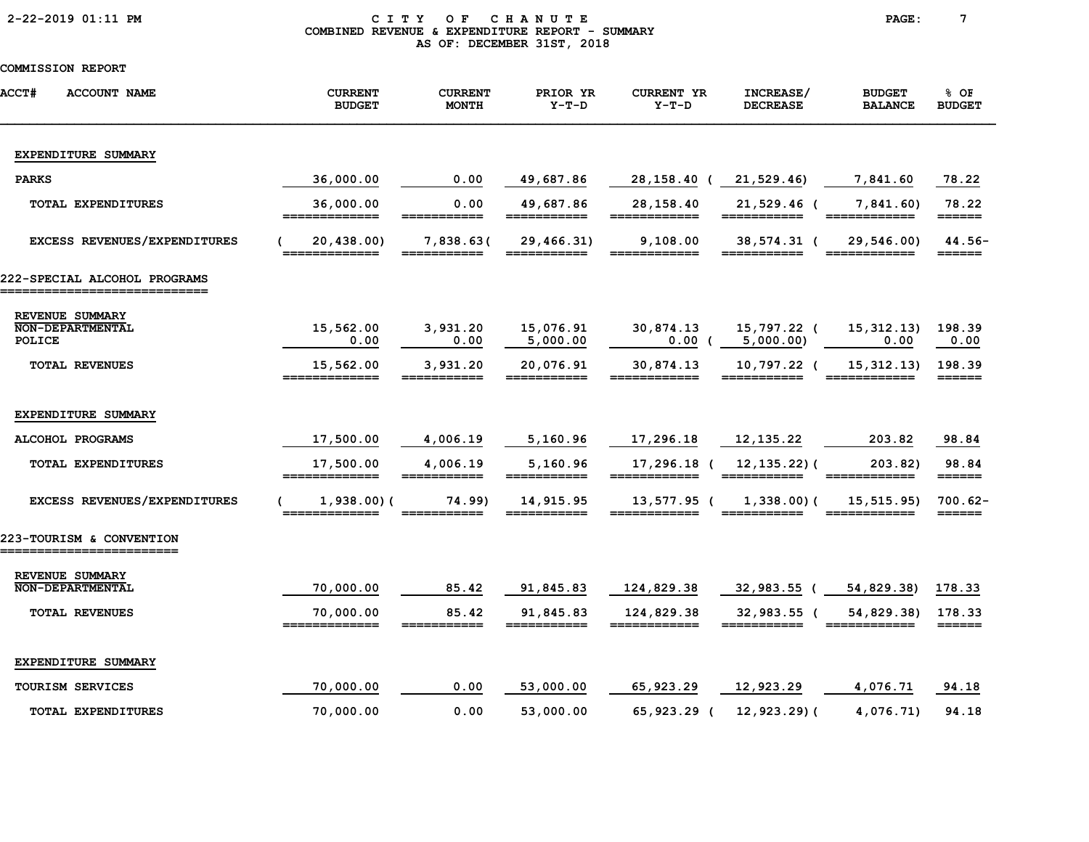|  |  | 2-22-2019 01:11 PM |  |
|--|--|--------------------|--|
|--|--|--------------------|--|

### CITY OF CHANUTE PAGE: 7 COMBINED REVENUE & EXPENDITURE REPORT - SUMMARY AS OF: DECEMBER 31ST, 2018

| <b>ACCT#</b><br><b>ACCOUNT NAME</b>                  | <b>CURRENT</b><br><b>BUDGET</b> | <b>CURRENT</b><br><b>MONTH</b>                                                                                                                                                                                                                                                                                                                                                                                                               | PRIOR YR<br>$Y-T-D$       | <b>CURRENT YR</b><br>$Y-T-D$ | INCREASE/<br><b>DECREASE</b>         | <b>BUDGET</b><br><b>BALANCE</b> | % OF<br><b>BUDGET</b>                 |
|------------------------------------------------------|---------------------------------|----------------------------------------------------------------------------------------------------------------------------------------------------------------------------------------------------------------------------------------------------------------------------------------------------------------------------------------------------------------------------------------------------------------------------------------------|---------------------------|------------------------------|--------------------------------------|---------------------------------|---------------------------------------|
| EXPENDITURE SUMMARY                                  |                                 |                                                                                                                                                                                                                                                                                                                                                                                                                                              |                           |                              |                                      |                                 |                                       |
| <b>PARKS</b>                                         | 36,000.00                       | 0.00                                                                                                                                                                                                                                                                                                                                                                                                                                         | 49,687.86                 | 28, 158. 40 (21, 529. 46)    |                                      | 7,841.60                        | 78.22                                 |
| <b>TOTAL EXPENDITURES</b>                            | 36,000.00<br>=============      | 0.00                                                                                                                                                                                                                                                                                                                                                                                                                                         | 49,687.86<br>===========  | 28,158.40<br>============    | 21,529.46 (<br>===========           | 7,841.60<br>============        | 78.22<br>$=$ $=$ $=$ $=$ $=$ $=$      |
| EXCESS REVENUES/EXPENDITURES                         | 20,438.00)                      | 7,838.63(                                                                                                                                                                                                                                                                                                                                                                                                                                    | 29,466.31)<br>___________ | 9,108.00                     | 38,574.31 (                          | 29,546.00)                      | $44.56-$<br>======                    |
| 222-SPECIAL ALCOHOL PROGRAMS                         |                                 |                                                                                                                                                                                                                                                                                                                                                                                                                                              |                           |                              |                                      |                                 |                                       |
| REVENUE SUMMARY<br><b>NON-DEPARTMENTAL</b><br>POLICE | 15,562.00<br>0.00               | 3,931.20<br>0.00                                                                                                                                                                                                                                                                                                                                                                                                                             | 15,076.91<br>5,000.00     | 30,874.13                    | 15,797.22 (<br>$0.00$ ( $5,000.00$ ) | 15, 312.13)<br>0.00             | 198.39<br>0.00                        |
| <b>TOTAL REVENUES</b>                                | 15,562.00<br>_____________      | 3,931.20                                                                                                                                                                                                                                                                                                                                                                                                                                     | 20,076.91<br>===========  | 30,874.13<br>____________    | 10,797.22 (                          | 15, 312, 13)                    | 198.39<br>======                      |
| EXPENDITURE SUMMARY                                  |                                 |                                                                                                                                                                                                                                                                                                                                                                                                                                              |                           |                              |                                      |                                 |                                       |
| ALCOHOL PROGRAMS                                     | 17,500.00                       | 4,006.19                                                                                                                                                                                                                                                                                                                                                                                                                                     | 5,160.96                  | 17,296.18                    | 12, 135.22                           | 203.82                          | 98.84                                 |
| TOTAL EXPENDITURES                                   | 17,500.00                       | 4,006.19                                                                                                                                                                                                                                                                                                                                                                                                                                     | 5,160.96                  | 17,296.18 (                  | $12, 135.22$ ) (                     | 203.82)                         | 98.84<br>======                       |
| EXCESS REVENUES/EXPENDITURES                         | 1,938.00(<br>__________         | 74.99)<br>___________                                                                                                                                                                                                                                                                                                                                                                                                                        | 14,915.95                 | 13,577.95 (<br>============  | $1,338.00$ (<br>===========          | 15, 515.95)<br>____________     | $700.62-$                             |
| 223-TOURISM & CONVENTION<br>.======================  |                                 |                                                                                                                                                                                                                                                                                                                                                                                                                                              |                           |                              |                                      |                                 |                                       |
| REVENUE SUMMARY<br><b>NON-DEPARTMENTAL</b>           | 70,000.00                       | 85.42                                                                                                                                                                                                                                                                                                                                                                                                                                        | 91,845.83                 | 124,829.38                   | 32,983.55 (                          | 54,829.38)                      | 178.33                                |
| <b>TOTAL REVENUES</b>                                | 70,000.00<br>=============      | 85.42<br>$\begin{array}{cccccccccc} \textbf{m} & \textbf{m} & \textbf{m} & \textbf{m} & \textbf{m} & \textbf{m} & \textbf{m} & \textbf{m} & \textbf{m} & \textbf{m} & \textbf{m} & \textbf{m} & \textbf{m} & \textbf{m} & \textbf{m} & \textbf{m} & \textbf{m} & \textbf{m} & \textbf{m} & \textbf{m} & \textbf{m} & \textbf{m} & \textbf{m} & \textbf{m} & \textbf{m} & \textbf{m} & \textbf{m} & \textbf{m} & \textbf{m} & \textbf{m} & \$ | 91,845.83                 | 124,829.38<br>============   | $32,983.55$ (                        | 54,829.38)                      | 178.33<br>$=$ $=$ $=$ $=$ $=$ $=$ $=$ |
| EXPENDITURE SUMMARY                                  |                                 |                                                                                                                                                                                                                                                                                                                                                                                                                                              |                           |                              |                                      |                                 |                                       |
| TOURISM SERVICES                                     | 70,000.00                       | 0.00                                                                                                                                                                                                                                                                                                                                                                                                                                         | 53,000.00                 | 65,923.29                    | 12,923.29                            | 4,076.71                        | 94.18                                 |
| <b>TOTAL EXPENDITURES</b>                            | 70,000.00                       | 0.00                                                                                                                                                                                                                                                                                                                                                                                                                                         | 53,000.00                 | 65,923.29 (                  | 12,923.29)(                          | 4,076.71)                       | 94.18                                 |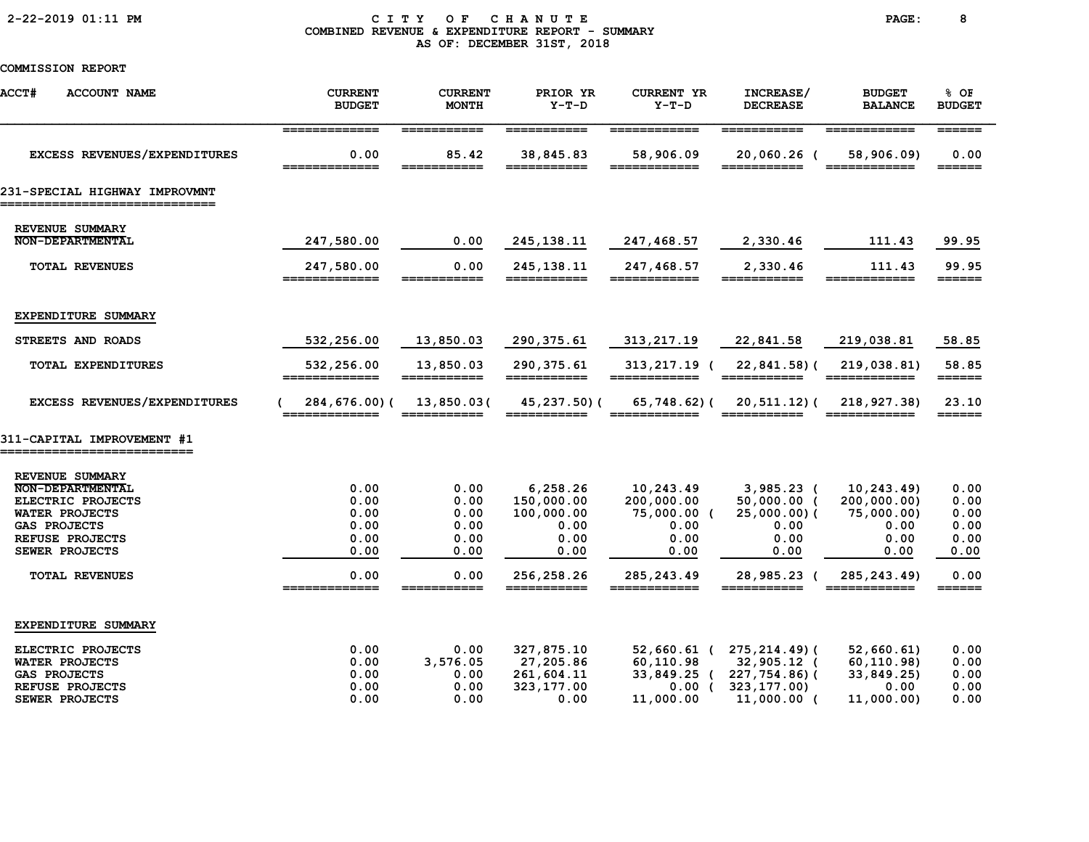# 2-22-2019 01:11 PM C I T Y O F C H A N U T E PAGE: 8 COMBINED REVENUE & EXPENDITURE REPORT - SUMMARY AS OF: DECEMBER 31ST, 2018

| <b>ACCT#</b><br><b>ACCOUNT NAME</b>                                                                                                           | <b>CURRENT</b><br><b>BUDGET</b>              | <b>CURRENT</b><br><b>MONTH</b>               | PRIOR YR<br>$Y-T-D$                                          | <b>CURRENT YR</b><br>$Y-T-D$                                   | INCREASE/<br><b>DECREASE</b>                                                              | <b>BUDGET</b><br><b>BALANCE</b>                                 | % OF<br><b>BUDGET</b>                        |
|-----------------------------------------------------------------------------------------------------------------------------------------------|----------------------------------------------|----------------------------------------------|--------------------------------------------------------------|----------------------------------------------------------------|-------------------------------------------------------------------------------------------|-----------------------------------------------------------------|----------------------------------------------|
| EXCESS REVENUES/EXPENDITURES                                                                                                                  | =============<br>0.00<br>=============       | ===========<br>85.42<br>===========          | ===========<br>38,845.83<br>===========                      | ============<br>58,906.09<br>============                      | ===========<br>20,060.26 (<br>===========                                                 | ============<br>58,906.09)<br>============                      | $=$ $=$ $=$ $=$ $=$ $=$<br>0.00              |
| 231-SPECIAL HIGHWAY IMPROVMNT                                                                                                                 |                                              |                                              |                                                              |                                                                |                                                                                           |                                                                 |                                              |
| REVENUE SUMMARY<br><b>NON-DEPARTMENTAL</b>                                                                                                    | 247,580.00                                   | 0.00                                         | 245, 138.11                                                  | 247,468.57                                                     | 2,330.46                                                                                  | 111.43                                                          | 99.95                                        |
| <b>TOTAL REVENUES</b>                                                                                                                         | 247,580.00<br>=============                  | 0.00<br>===========                          | 245, 138. 11<br>===========                                  | 247,468.57<br>============                                     | 2,330.46<br>===========                                                                   | 111.43<br>============                                          | 99.95<br>======                              |
| EXPENDITURE SUMMARY                                                                                                                           |                                              |                                              |                                                              |                                                                |                                                                                           |                                                                 |                                              |
| STREETS AND ROADS                                                                                                                             | 532,256.00                                   | 13,850.03                                    | 290, 375.61                                                  | 313, 217.19                                                    | 22,841.58                                                                                 | 219,038.81                                                      | 58.85                                        |
| TOTAL EXPENDITURES                                                                                                                            | 532,256.00<br>=============                  | 13,850.03<br>------------                    | 290, 375.61<br>===========                                   | 313,217.19 (                                                   | 22,841.58)(                                                                               | 219,038.81)<br>============                                     | 58.85<br>$=$ $=$ $=$ $=$ $=$ $=$             |
| EXCESS REVENUES/EXPENDITURES                                                                                                                  | 284,676.00)(                                 | 13,850.03(                                   | 45,237.50)(                                                  | 65,748.62)(                                                    | 20,511.12)(                                                                               | 218,927.38)                                                     | 23.10<br>$=$ $=$ $=$ $=$ $=$ $=$ $=$         |
| 311-CAPITAL IMPROVEMENT #1                                                                                                                    |                                              |                                              |                                                              |                                                                |                                                                                           |                                                                 |                                              |
| REVENUE SUMMARY<br>NON-DEPARTMENTAL<br>ELECTRIC PROJECTS<br><b>WATER PROJECTS</b><br><b>GAS PROJECTS</b><br>REFUSE PROJECTS<br>SEWER PROJECTS | 0.00<br>0.00<br>0.00<br>0.00<br>0.00<br>0.00 | 0.00<br>0.00<br>0.00<br>0.00<br>0.00<br>0.00 | 6,258.26<br>150,000.00<br>100,000.00<br>0.00<br>0.00<br>0.00 | 10,243.49<br>200,000.00<br>75,000.00 (<br>0.00<br>0.00<br>0.00 | $3,985.23$ (<br>$50,000.00$ (<br>25,000.00)(<br>0.00<br>0.00<br>0.00                      | 10, 243.49<br>200,000.00)<br>75,000.00)<br>0.00<br>0.00<br>0.00 | 0.00<br>0.00<br>0.00<br>0.00<br>0.00<br>0.00 |
| <b>TOTAL REVENUES</b>                                                                                                                         | 0.00<br>-------------                        | 0.00                                         | 256,258.26                                                   | 285, 243.49<br>=======                                         | 28,985.23 (<br>______                                                                     | 285, 243.49)                                                    | 0.00<br>======                               |
| EXPENDITURE SUMMARY                                                                                                                           |                                              |                                              |                                                              |                                                                |                                                                                           |                                                                 |                                              |
| ELECTRIC PROJECTS<br>WATER PROJECTS<br><b>GAS PROJECTS</b><br>REFUSE PROJECTS<br>SEWER PROJECTS                                               | 0.00<br>0.00<br>0.00<br>0.00<br>0.00         | 0.00<br>3,576.05<br>0.00<br>0.00<br>0.00     | 327,875.10<br>27,205.86<br>261,604.11<br>323,177.00<br>0.00  | 60,110.98<br>33,849.25 (<br>$0.00$ (<br>11,000.00              | $52,660.61$ ( $275,214.49$ )<br>32,905.12 (<br>227,754.86)(<br>323,177.00)<br>11,000.00 ( | 52,660.61)<br>60, 110.98<br>33,849.25)<br>0.00<br>11,000.00)    | 0.00<br>0.00<br>0.00<br>0.00<br>0.00         |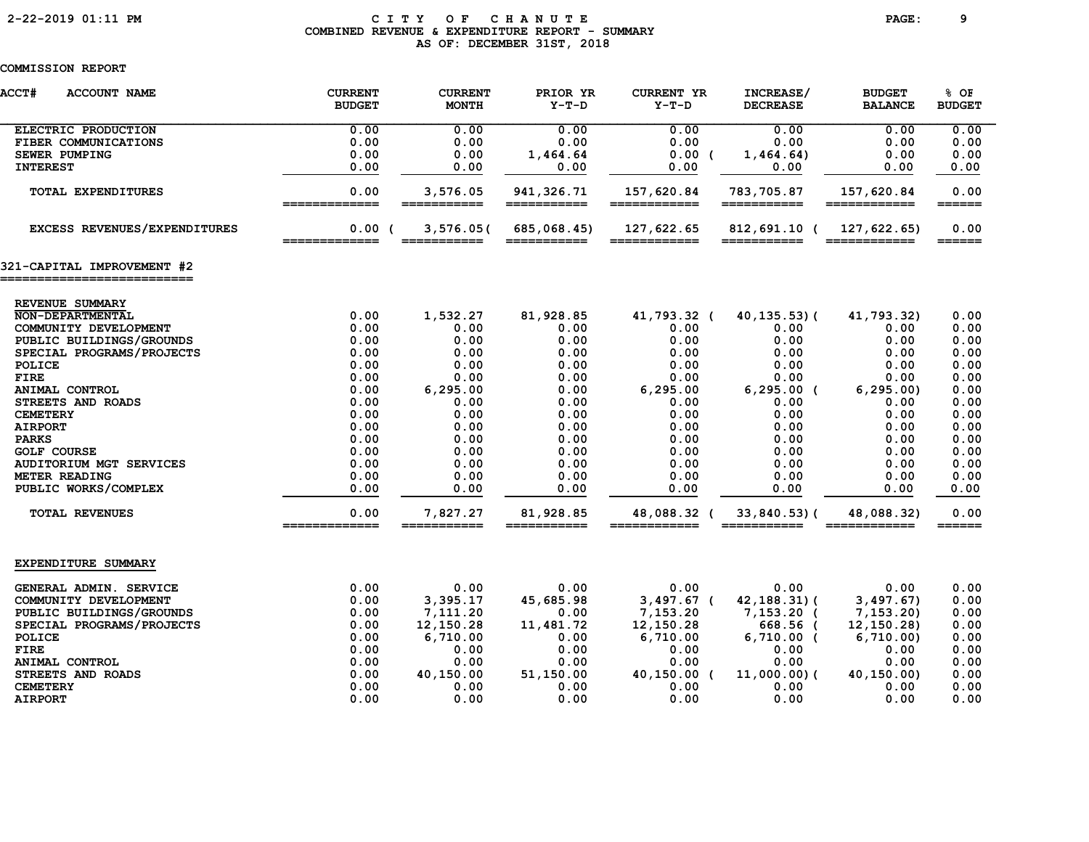# 2-22-2019 01:11 PM C I T Y O F C H A N U T E PAGE: 9 COMBINED REVENUE & EXPENDITURE REPORT - SUMMARY AS OF: DECEMBER 31ST, 2018

| <b>ACCT#</b><br><b>ACCOUNT NAME</b>                      | <b>CURRENT</b><br><b>BUDGET</b> | <b>CURRENT</b><br><b>MONTH</b>                                                                                          | PRIOR YR<br>$Y-T-D$                                                                                                                                                                                                                                                                                                                                                                                                                                                                                                                                                   | <b>CURRENT YR</b><br>$Y-T-D$ | INCREASE/<br><b>DECREASE</b> | <b>BUDGET</b><br><b>BALANCE</b> | 8 OF<br><b>BUDGET</b>       |
|----------------------------------------------------------|---------------------------------|-------------------------------------------------------------------------------------------------------------------------|-----------------------------------------------------------------------------------------------------------------------------------------------------------------------------------------------------------------------------------------------------------------------------------------------------------------------------------------------------------------------------------------------------------------------------------------------------------------------------------------------------------------------------------------------------------------------|------------------------------|------------------------------|---------------------------------|-----------------------------|
| ELECTRIC PRODUCTION                                      | 0.00                            | 0.00                                                                                                                    | 0.00                                                                                                                                                                                                                                                                                                                                                                                                                                                                                                                                                                  | 0.00                         | 0.00                         | 0.00                            | 0.00                        |
| FIBER COMMUNICATIONS                                     | 0.00                            | 0.00                                                                                                                    | 0.00                                                                                                                                                                                                                                                                                                                                                                                                                                                                                                                                                                  | 0.00                         | 0.00                         | 0.00                            | 0.00                        |
| <b>SEWER PUMPING</b>                                     | 0.00                            | 0.00                                                                                                                    | 1,464.64                                                                                                                                                                                                                                                                                                                                                                                                                                                                                                                                                              | 0.00(                        | 1,464.64)                    | 0.00                            | 0.00                        |
| <b>INTEREST</b>                                          | 0.00                            | 0.00                                                                                                                    | 0.00                                                                                                                                                                                                                                                                                                                                                                                                                                                                                                                                                                  | 0.00                         | 0.00                         | 0.00                            | 0.00                        |
| <b>TOTAL EXPENDITURES</b>                                | 0.00<br>=============           | 3,576.05<br>===========                                                                                                 | 941, 326.71<br>===========                                                                                                                                                                                                                                                                                                                                                                                                                                                                                                                                            | 157,620.84<br>============   | 783,705.87<br>===========    | 157,620.84<br>============      | 0.00<br>$=$ $=$ $=$ $=$ $=$ |
| EXCESS REVENUES/EXPENDITURES                             | 0.00(<br>=============          | 3,576.05(<br>$\begin{array}{c} \textbf{m} = \textbf{m} = \textbf{m} = \textbf{m} = \textbf{m} = \textbf{m} \end{array}$ | 685,068.45)<br>$\begin{array}{c} \begin{array}{c} \begin{array}{c} \begin{array}{c} \end{array}\\ \end{array} \end{array} \end{array} \end{array} \end{array} \end{array} \begin{array}{c} \begin{array}{c} \begin{array}{c} \end{array} \end{array} \end{array} \end{array} \begin{array}{c} \begin{array}{c} \end{array} \end{array} \end{array} \begin{array}{c} \begin{array}{c} \end{array} \end{array} \end{array} \begin{array}{c} \begin{array}{c} \end{array} \end{array} \end{array} \begin{array}{c} \begin{array}{c} \end{array} \end{array} \end{array}$ | 127,622.65<br>============   | 812,691.10 (                 | 127,622.65<br>============      | 0.00                        |
| 321-CAPITAL IMPROVEMENT #2<br>========================== |                                 |                                                                                                                         |                                                                                                                                                                                                                                                                                                                                                                                                                                                                                                                                                                       |                              |                              |                                 |                             |
|                                                          |                                 |                                                                                                                         |                                                                                                                                                                                                                                                                                                                                                                                                                                                                                                                                                                       |                              |                              |                                 |                             |
| REVENUE SUMMARY<br>NON-DEPARTMENTAL                      | 0.00                            | 1,532.27                                                                                                                | 81,928.85                                                                                                                                                                                                                                                                                                                                                                                                                                                                                                                                                             | 41,793.32 (                  | 40, 135. 53) (               | 41,793.32)                      | 0.00                        |
| COMMUNITY DEVELOPMENT                                    | 0.00                            | 0.00                                                                                                                    | 0.00                                                                                                                                                                                                                                                                                                                                                                                                                                                                                                                                                                  | 0.00                         | 0.00                         | 0.00                            | 0.00                        |
| PUBLIC BUILDINGS/GROUNDS                                 | 0.00                            | 0.00                                                                                                                    | 0.00                                                                                                                                                                                                                                                                                                                                                                                                                                                                                                                                                                  | 0.00                         | 0.00                         | 0.00                            | 0.00                        |
| SPECIAL PROGRAMS/PROJECTS                                | 0.00                            | 0.00                                                                                                                    | 0.00                                                                                                                                                                                                                                                                                                                                                                                                                                                                                                                                                                  | 0.00                         | 0.00                         | 0.00                            | 0.00                        |
| POLICE                                                   | 0.00                            | 0.00                                                                                                                    | 0.00                                                                                                                                                                                                                                                                                                                                                                                                                                                                                                                                                                  | 0.00                         | 0.00                         | 0.00                            | 0.00                        |
| <b>FIRE</b>                                              | 0.00                            | 0.00                                                                                                                    | 0.00                                                                                                                                                                                                                                                                                                                                                                                                                                                                                                                                                                  | 0.00                         | 0.00                         | 0.00                            | 0.00                        |
| ANIMAL CONTROL                                           | 0.00                            | 6, 295.00                                                                                                               | 0.00                                                                                                                                                                                                                                                                                                                                                                                                                                                                                                                                                                  | 6,295.00                     | $6, 295.00$ (                | 6, 295.00                       | 0.00                        |
| STREETS AND ROADS                                        | 0.00                            | 0.00                                                                                                                    | 0.00                                                                                                                                                                                                                                                                                                                                                                                                                                                                                                                                                                  | 0.00                         | 0.00                         | 0.00                            | 0.00                        |
| <b>CEMETERY</b>                                          | 0.00                            | 0.00                                                                                                                    | 0.00                                                                                                                                                                                                                                                                                                                                                                                                                                                                                                                                                                  | 0.00                         | 0.00                         | 0.00                            | 0.00                        |
| <b>AIRPORT</b>                                           | 0.00                            | 0.00                                                                                                                    | 0.00                                                                                                                                                                                                                                                                                                                                                                                                                                                                                                                                                                  | 0.00                         | 0.00                         | 0.00                            | 0.00                        |
| <b>PARKS</b>                                             | 0.00                            | 0.00                                                                                                                    | 0.00                                                                                                                                                                                                                                                                                                                                                                                                                                                                                                                                                                  | 0.00                         | 0.00                         | 0.00                            | 0.00                        |
| <b>GOLF COURSE</b>                                       | 0.00                            | 0.00                                                                                                                    | 0.00                                                                                                                                                                                                                                                                                                                                                                                                                                                                                                                                                                  | 0.00                         | 0.00                         | 0.00                            | 0.00                        |
| <b>AUDITORIUM MGT SERVICES</b>                           | 0.00                            | 0.00                                                                                                                    | 0.00                                                                                                                                                                                                                                                                                                                                                                                                                                                                                                                                                                  | 0.00                         | 0.00                         | 0.00                            | 0.00                        |
| METER READING                                            | 0.00                            | 0.00                                                                                                                    | 0.00                                                                                                                                                                                                                                                                                                                                                                                                                                                                                                                                                                  | 0.00                         | 0.00                         | 0.00                            | 0.00                        |
| PUBLIC WORKS/COMPLEX                                     | 0.00                            | 0.00                                                                                                                    | 0.00                                                                                                                                                                                                                                                                                                                                                                                                                                                                                                                                                                  | 0.00                         | 0.00                         | 0.00                            | 0.00                        |
| <b>TOTAL REVENUES</b>                                    | 0.00<br>==============          | 7,827.27<br>===========                                                                                                 | 81,928.85<br>===========                                                                                                                                                                                                                                                                                                                                                                                                                                                                                                                                              | 48,088.32 (                  | 33,840.53)(                  | 48,088.32)                      | 0.00<br>$=$ $=$ $=$ $=$ $=$ |
| EXPENDITURE SUMMARY                                      |                                 |                                                                                                                         |                                                                                                                                                                                                                                                                                                                                                                                                                                                                                                                                                                       |                              |                              |                                 |                             |
| GENERAL ADMIN. SERVICE                                   | 0.00                            | 0.00                                                                                                                    | 0.00                                                                                                                                                                                                                                                                                                                                                                                                                                                                                                                                                                  | 0.00                         | 0.00                         | 0.00                            | 0.00                        |
| COMMUNITY DEVELOPMENT                                    | 0.00                            | 3,395.17                                                                                                                | 45,685.98                                                                                                                                                                                                                                                                                                                                                                                                                                                                                                                                                             | $3,497.67$ (                 | $42, 188.31$ (               | 3,497.67)                       | 0.00                        |
| PUBLIC BUILDINGS/GROUNDS                                 | 0.00                            | 7,111.20                                                                                                                | 0.00                                                                                                                                                                                                                                                                                                                                                                                                                                                                                                                                                                  | 7,153.20                     | $7,153.20$ (                 | 7, 153.20                       | 0.00                        |
| SPECIAL PROGRAMS/PROJECTS                                | 0.00                            | 12, 150.28                                                                                                              | 11,481.72                                                                                                                                                                                                                                                                                                                                                                                                                                                                                                                                                             | 12,150.28                    | 668.56 (                     | 12, 150.28                      | 0.00                        |
| POLICE                                                   | 0.00                            | 6,710.00                                                                                                                | 0.00                                                                                                                                                                                                                                                                                                                                                                                                                                                                                                                                                                  | 6,710.00                     | $6,710.00$ (                 | 6,710.00                        | 0.00                        |
| <b>FIRE</b>                                              | 0.00                            | 0.00                                                                                                                    | 0.00                                                                                                                                                                                                                                                                                                                                                                                                                                                                                                                                                                  | 0.00                         | 0.00                         | 0.00                            | 0.00                        |
| ANIMAL CONTROL                                           | 0.00                            | 0.00                                                                                                                    | 0.00                                                                                                                                                                                                                                                                                                                                                                                                                                                                                                                                                                  | 0.00                         | 0.00                         | 0.00                            | 0.00                        |
| STREETS AND ROADS                                        | 0.00                            | 40,150.00                                                                                                               | 51,150.00                                                                                                                                                                                                                                                                                                                                                                                                                                                                                                                                                             | 40,150.00 (                  | $11,000.00)$ (               | 40,150.00)                      | 0.00                        |
| <b>CEMETERY</b>                                          | 0.00                            | 0.00                                                                                                                    | 0.00                                                                                                                                                                                                                                                                                                                                                                                                                                                                                                                                                                  | 0.00                         | 0.00                         | 0.00                            | 0.00                        |
| <b>AIRPORT</b>                                           | 0.00                            | 0.00                                                                                                                    | 0.00                                                                                                                                                                                                                                                                                                                                                                                                                                                                                                                                                                  | 0.00                         | 0.00                         | 0.00                            | 0.00                        |
|                                                          |                                 |                                                                                                                         |                                                                                                                                                                                                                                                                                                                                                                                                                                                                                                                                                                       |                              |                              |                                 |                             |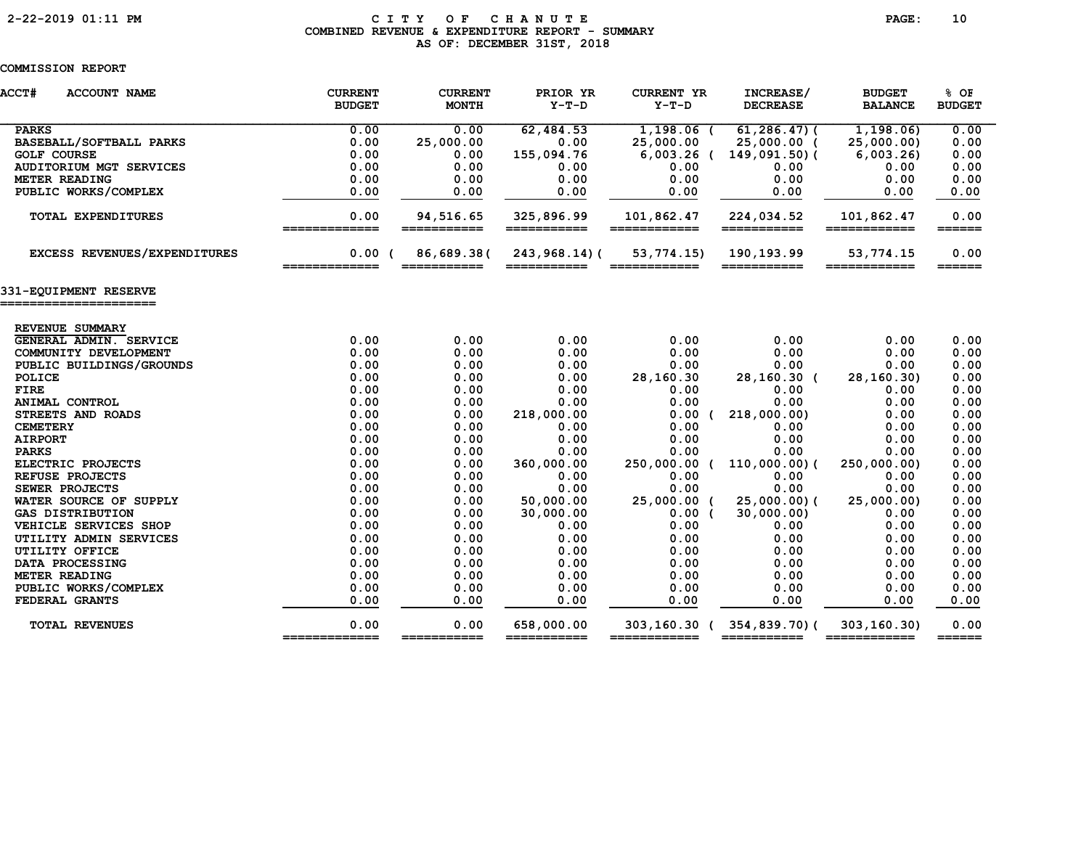# 2-22-2019 01:11 PM C I T Y O F C H A N U T E PAGE: 10 COMBINED REVENUE & EXPENDITURE REPORT - SUMMARY AS OF: DECEMBER 31ST, 2018

| <b>ACCT#</b><br><b>ACCOUNT NAME</b>       | <b>CURRENT</b><br><b>BUDGET</b> | <b>CURRENT</b><br><b>MONTH</b> | PRIOR YR<br>$Y-T-D$       | <b>CURRENT YR</b><br>$Y-T-D$ | INCREASE/<br><b>DECREASE</b> | <b>BUDGET</b><br><b>BALANCE</b> | 8 OF<br><b>BUDGET</b>       |
|-------------------------------------------|---------------------------------|--------------------------------|---------------------------|------------------------------|------------------------------|---------------------------------|-----------------------------|
| <b>PARKS</b>                              | 0.00                            | 0.00                           | 62,484.53                 | $1,198.06$ (                 | $61, 286, 47$ ) (            | 1, 198.06                       | 0.00                        |
| BASEBALL/SOFTBALL PARKS                   | 0.00                            | 25,000.00                      | 0.00                      | 25,000.00                    | 25,000.00 (                  | 25,000.00)                      | 0.00                        |
| <b>GOLF COURSE</b>                        | 0.00                            | 0.00                           | 155,094.76                |                              | $6,003.26$ ( 149,091.50) (   | 6,003.26                        | 0.00                        |
| <b>AUDITORIUM MGT SERVICES</b>            | 0.00                            | 0.00                           | 0.00                      | 0.00                         | 0.00                         | 0.00                            | 0.00                        |
| METER READING                             | 0.00                            | 0.00                           | 0.00                      | 0.00                         | 0.00                         | 0.00                            | 0.00                        |
| PUBLIC WORKS/COMPLEX                      | 0.00                            | 0.00                           | 0.00                      | 0.00                         | 0.00                         | 0.00                            | 0.00                        |
| <b>TOTAL EXPENDITURES</b>                 | 0.00<br>=============           | 94,516.65<br>===========       | 325,896.99<br>=========== | 101,862.47<br>============   | 224,034.52<br>===========    | 101,862.47<br>============      | 0.00<br>$=$ $=$ $=$ $=$ $=$ |
| EXCESS REVENUES/EXPENDITURES              | 0.00<br>_____________           | 86,689.38(                     | $243,968.14$ ) (          | 53,774.15)                   | 190,193.99                   | 53,774.15                       | 0.00<br>$======$            |
| 331-EQUIPMENT RESERVE                     |                                 |                                |                           |                              |                              |                                 |                             |
|                                           |                                 |                                |                           |                              |                              |                                 |                             |
| REVENUE SUMMARY<br>GENERAL ADMIN. SERVICE | 0.00                            | 0.00                           | 0.00                      | 0.00                         | 0.00                         | 0.00                            | 0.00                        |
| COMMUNITY DEVELOPMENT                     | 0.00                            | 0.00                           | 0.00                      | 0.00                         | 0.00                         | 0.00                            | 0.00                        |
| PUBLIC BUILDINGS/GROUNDS                  | 0.00                            | 0.00                           | 0.00                      | 0.00                         | 0.00                         | 0.00                            | 0.00                        |
| POLICE                                    | 0.00                            | 0.00                           | 0.00                      | 28,160.30                    | 28,160.30 (                  | 28,160.30)                      | 0.00                        |
| <b>FIRE</b>                               | 0.00                            | 0.00                           | 0.00                      | 0.00                         | 0.00                         | 0.00                            | 0.00                        |
| ANIMAL CONTROL                            | 0.00                            | 0.00                           | 0.00                      | 0.00                         | 0.00                         | 0.00                            | 0.00                        |
| STREETS AND ROADS                         | 0.00                            | 0.00                           | 218,000.00                | 0.00                         | 218,000.00)                  | 0.00                            | 0.00                        |
| <b>CEMETERY</b>                           | 0.00                            | 0.00                           | 0.00                      | 0.00                         | 0.00                         | 0.00                            | 0.00                        |
| <b>AIRPORT</b>                            | 0.00                            | 0.00                           | 0.00                      | 0.00                         | 0.00                         | 0.00                            | 0.00                        |
| <b>PARKS</b>                              | 0.00                            | 0.00                           | 0.00                      | 0.00                         | 0.00                         | 0.00                            | 0.00                        |
| ELECTRIC PROJECTS                         | 0.00                            | 0.00                           | 360,000.00                | 250,000.00 (                 | $110,000.00)$ (              | 250,000.00)                     | 0.00                        |
| REFUSE PROJECTS                           | 0.00                            | 0.00                           | 0.00                      | 0.00                         | 0.00                         | 0.00                            | 0.00                        |
| SEWER PROJECTS                            | 0.00                            | 0.00                           | 0.00                      | 0.00                         | 0.00                         | 0.00                            | 0.00                        |
| WATER SOURCE OF SUPPLY                    | 0.00                            | 0.00                           | 50,000.00                 | 25,000.00 (                  | $25,000.00)$ (               | 25,000.00)                      | 0.00                        |
| <b>GAS DISTRIBUTION</b>                   | 0.00                            | 0.00                           | 30,000.00                 | 0.00(                        | 30,000.00)                   | 0.00                            | 0.00                        |
| VEHICLE SERVICES SHOP                     | 0.00                            | 0.00                           | 0.00                      | 0.00                         | 0.00                         | 0.00                            | 0.00                        |
| UTILITY ADMIN SERVICES                    | 0.00                            | 0.00                           | 0.00                      | 0.00                         | 0.00                         | 0.00                            | 0.00                        |
| UTILITY OFFICE                            | 0.00                            | 0.00                           | 0.00                      | 0.00                         | 0.00                         | 0.00                            | 0.00                        |
| DATA PROCESSING                           | 0.00                            | 0.00                           | 0.00                      | 0.00                         | 0.00                         | 0.00                            | 0.00                        |
| METER READING                             | 0.00                            | 0.00                           | 0.00                      | 0.00                         | 0.00                         | 0.00                            | 0.00                        |
| PUBLIC WORKS/COMPLEX                      | 0.00                            | 0.00                           | 0.00                      | 0.00                         | 0.00                         | 0.00                            | 0.00                        |
| FEDERAL GRANTS                            | 0.00                            | 0.00                           | 0.00                      | 0.00                         | 0.00                         | 0.00                            | 0.00                        |
| <b>TOTAL REVENUES</b>                     | 0.00                            | 0.00                           | 658,000.00                |                              | 303,160.30 (354,839.70) (    | 303, 160.30                     | 0.00                        |
|                                           | =============                   | ===========                    | ===========               | ============                 | ===========                  | ============                    |                             |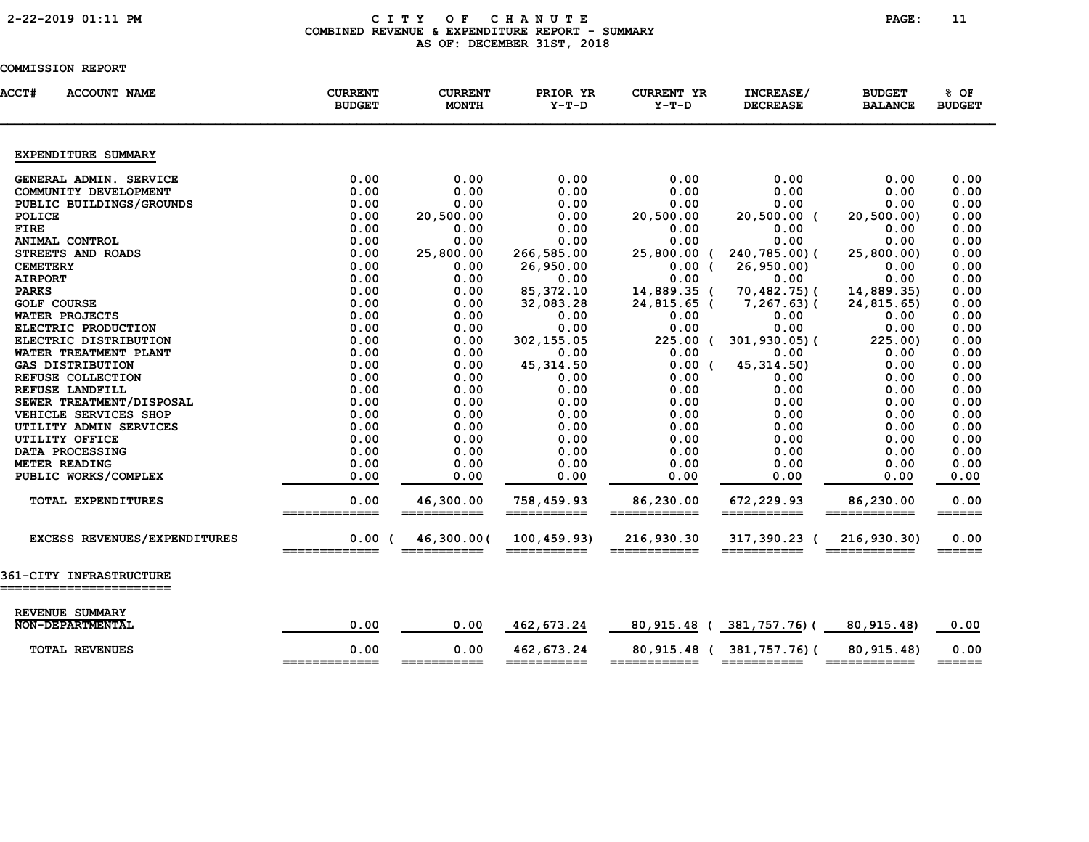# 2-22-2019 01:11 PM C I T Y O F C H A N U T E PAGE: 11 COMBINED REVENUE & EXPENDITURE REPORT - SUMMARY AS OF: DECEMBER 31ST, 2018

| <b>ACCT#</b><br><b>ACCOUNT NAME</b>  | <b>CURRENT</b><br><b>BUDGET</b> | <b>CURRENT</b><br><b>MONTH</b> | PRIOR YR<br>$Y-T-D$         | <b>CURRENT YR</b><br>$Y-T-D$ | INCREASE/<br><b>DECREASE</b> | <b>BUDGET</b><br><b>BALANCE</b>                                                                            | % OF<br><b>BUDGET</b>           |
|--------------------------------------|---------------------------------|--------------------------------|-----------------------------|------------------------------|------------------------------|------------------------------------------------------------------------------------------------------------|---------------------------------|
| EXPENDITURE SUMMARY                  |                                 |                                |                             |                              |                              |                                                                                                            |                                 |
| GENERAL ADMIN. SERVICE               | 0.00                            | 0.00                           | 0.00                        | 0.00                         | 0.00                         | 0.00                                                                                                       | 0.00                            |
| COMMUNITY DEVELOPMENT                | 0.00                            | 0.00                           | 0.00                        | 0.00                         | 0.00                         | 0.00                                                                                                       | 0.00                            |
| PUBLIC BUILDINGS/GROUNDS             | 0.00                            | 0.00                           | 0.00                        | 0.00                         | 0.00                         | 0.00                                                                                                       | 0.00                            |
| POLICE                               | 0.00                            | 20,500.00                      | 0.00                        | 20,500.00                    | 20,500.00 (                  | 20, 500.00)                                                                                                | 0.00                            |
| <b>FIRE</b>                          | 0.00                            | 0.00                           | 0.00                        | 0.00                         | 0.00                         | 0.00                                                                                                       | 0.00                            |
| ANIMAL CONTROL                       | 0.00                            | 0.00                           | 0.00                        | 0.00                         | 0.00                         | 0.00                                                                                                       | 0.00                            |
| STREETS AND ROADS                    | 0.00                            | 25,800.00                      | 266,585.00                  | 25,800.00 (                  | 240,785.00)(                 | 25,800.00)                                                                                                 | 0.00                            |
| <b>CEMETERY</b>                      | 0.00                            | 0.00                           | 26,950.00                   | 0.00(                        | 26, 950.00                   | 0.00                                                                                                       | 0.00                            |
| <b>AIRPORT</b>                       | 0.00                            | 0.00                           | 0.00                        | 0.00                         | 0.00                         | 0.00                                                                                                       | 0.00                            |
| <b>PARKS</b>                         | 0.00                            | 0.00                           | 85, 372.10                  | 14,889.35 (                  | 70,482.75)(                  | 14,889.35)                                                                                                 | 0.00                            |
| <b>GOLF COURSE</b>                   | 0.00                            | 0.00                           | 32,083.28                   | 24,815.65 (                  | $7,267.63$ ) (               | 24,815.65)                                                                                                 | 0.00                            |
| WATER PROJECTS                       | 0.00                            | 0.00                           | 0.00                        | 0.00                         | 0.00                         | 0.00                                                                                                       | 0.00                            |
| ELECTRIC PRODUCTION                  | 0.00                            | 0.00                           | 0.00                        | 0.00                         | 0.00                         | 0.00                                                                                                       | 0.00                            |
| ELECTRIC DISTRIBUTION                | 0.00                            | 0.00                           | 302, 155.05                 | $225.00$ (                   | $301, 930.05$ (              | 225.00)                                                                                                    | 0.00                            |
| WATER TREATMENT PLANT                | 0.00                            | 0.00                           | 0.00                        | 0.00                         | 0.00                         | 0.00                                                                                                       | 0.00                            |
| <b>GAS DISTRIBUTION</b>              | 0.00                            | 0.00                           | 45, 314.50                  | 0.00(                        | 45, 314.50)                  | 0.00                                                                                                       | 0.00                            |
| REFUSE COLLECTION<br>REFUSE LANDFILL | 0.00<br>0.00                    | 0.00<br>0.00                   | 0.00<br>0.00                | 0.00<br>0.00                 | 0.00<br>0.00                 | 0.00<br>0.00                                                                                               | 0.00<br>0.00                    |
| SEWER TREATMENT/DISPOSAL             | 0.00                            | 0.00                           | 0.00                        | 0.00                         | 0.00                         | 0.00                                                                                                       | 0.00                            |
| VEHICLE SERVICES SHOP                | 0.00                            | 0.00                           | 0.00                        | 0.00                         | 0.00                         | 0.00                                                                                                       | 0.00                            |
| UTILITY ADMIN SERVICES               | 0.00                            | 0.00                           | 0.00                        | 0.00                         | 0.00                         | 0.00                                                                                                       | 0.00                            |
| UTILITY OFFICE                       | 0.00                            | 0.00                           | 0.00                        | 0.00                         | 0.00                         | 0.00                                                                                                       | 0.00                            |
| DATA PROCESSING                      | 0.00                            | 0.00                           | 0.00                        | 0.00                         | 0.00                         | 0.00                                                                                                       | 0.00                            |
| METER READING                        | 0.00                            | 0.00                           | 0.00                        | 0.00                         | 0.00                         | 0.00                                                                                                       | 0.00                            |
| PUBLIC WORKS/COMPLEX                 | 0.00                            | 0.00                           | 0.00                        | 0.00                         | 0.00                         | 0.00                                                                                                       | 0.00                            |
|                                      |                                 |                                |                             |                              |                              |                                                                                                            |                                 |
| TOTAL EXPENDITURES                   | 0.00<br>_______                 | 46,300.00                      | 758,459.93<br>===========   | 86,230.00                    | 672,229.93                   | 86,230.00                                                                                                  | 0.00<br>$=$ $=$ $=$ $=$ $=$     |
| EXCESS REVENUES/EXPENDITURES         | 0.00(                           | 46,300.00(<br>===========      | 100, 459.93)<br>=========== | 216,930.30<br>============   | 317,390.23 (<br>___________  | 216,930.30)<br>============                                                                                | 0.00                            |
| <b>361-CITY INFRASTRUCTURE</b>       |                                 |                                |                             |                              |                              |                                                                                                            |                                 |
|                                      |                                 |                                |                             |                              |                              |                                                                                                            |                                 |
| REVENUE SUMMARY                      |                                 |                                |                             |                              |                              |                                                                                                            |                                 |
| NON-DEPARTMENTAL                     | 0.00                            | 0.00                           | 462,673.24                  | 80,915.48 (                  | 381,757.76)(                 | 80, 915.48)                                                                                                | 0.00                            |
| <b>TOTAL REVENUES</b>                | 0.00<br>=============           | 0.00<br>===========            | 462,673.24<br>===========   | 80,915.48 (                  | 381,757.76)(<br>===========  | 80,915.48)                                                                                                 | 0.00<br>$=$ $=$ $=$ $=$ $=$ $=$ |
|                                      |                                 |                                |                             | ============                 |                              | $\begin{array}{c} \texttt{m} = \texttt{m} = \texttt{m} = \texttt{m} = \texttt{m} = \texttt{m} \end{array}$ |                                 |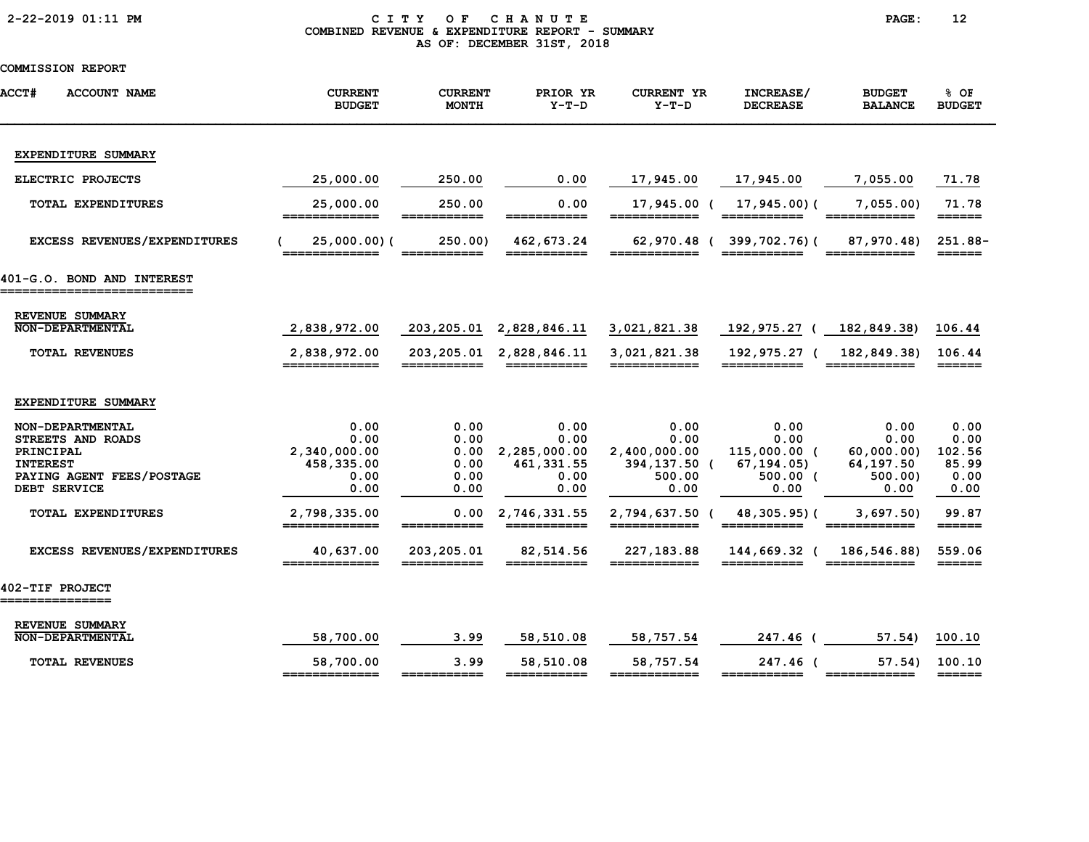|  |  | 2-22-2019 01:11 PM |  |
|--|--|--------------------|--|
|--|--|--------------------|--|

# CITY OF CHANUTE PAGE: 12 COMBINED REVENUE & EXPENDITURE REPORT - SUMMARY AS OF: DECEMBER 31ST, 2018

| <b>ACCT#</b><br><b>ACCOUNT NAME</b>                    | <b>CURRENT</b><br><b>BUDGET</b> | <b>CURRENT</b><br><b>MONTH</b>                                                                                                                                                                                                                                                                                                                                                               | PRIOR YR<br>$Y-T-D$         | <b>CURRENT YR</b><br>$Y-T-D$    | INCREASE/<br><b>DECREASE</b>                                                                                                                                                                                                                                                                                                                                                                                                                                    | <b>BUDGET</b><br><b>BALANCE</b> | % OF<br><b>BUDGET</b>                 |
|--------------------------------------------------------|---------------------------------|----------------------------------------------------------------------------------------------------------------------------------------------------------------------------------------------------------------------------------------------------------------------------------------------------------------------------------------------------------------------------------------------|-----------------------------|---------------------------------|-----------------------------------------------------------------------------------------------------------------------------------------------------------------------------------------------------------------------------------------------------------------------------------------------------------------------------------------------------------------------------------------------------------------------------------------------------------------|---------------------------------|---------------------------------------|
| EXPENDITURE SUMMARY                                    |                                 |                                                                                                                                                                                                                                                                                                                                                                                              |                             |                                 |                                                                                                                                                                                                                                                                                                                                                                                                                                                                 |                                 |                                       |
| ELECTRIC PROJECTS                                      | 25,000.00                       | 250.00                                                                                                                                                                                                                                                                                                                                                                                       | 0.00                        | 17,945.00                       | 17,945.00                                                                                                                                                                                                                                                                                                                                                                                                                                                       | 7,055.00                        | 71.78                                 |
| <b>TOTAL EXPENDITURES</b>                              | 25,000.00<br>=============      | 250.00<br>$\begin{array}{c} \textcolor{red}{\textbf{39.59.59.59.59.59}} \textcolor{red}{\textbf{19.59.59.59.59.59}} \textcolor{red}{\textbf{19.59.59.59.59}} \textcolor{red}{\textbf{19.59.59.59.59}} \textcolor{red}{\textbf{19.59.59.59.59}} \textcolor{red}{\textbf{19.59.59.59.59}} \textcolor{red}{\textbf{19.59.59.59.59}} \textcolor{red}{\textbf{19.59.59.59.59}} \textcolor{red}{\$ | 0.00<br>===========         | 17,945.00 (<br>========<br>____ | 17,945.00)(<br>$=$ = = = = = = = = = = =                                                                                                                                                                                                                                                                                                                                                                                                                        | 7,055.00<br>________            | 71.78<br>$=$ $=$ $=$ $=$ $=$ $=$ $=$  |
| EXCESS REVENUES/EXPENDITURES                           | 25,000.00)(<br>=============    | 250.00)<br>===========                                                                                                                                                                                                                                                                                                                                                                       | 462,673.24<br>===========   | ============                    | 62,970.48 (399,702.76) (<br>$\begin{array}{cccccccccc} \textbf{m} & \textbf{m} & \textbf{m} & \textbf{m} & \textbf{m} & \textbf{m} & \textbf{m} & \textbf{m} & \textbf{m} & \textbf{m} & \textbf{m} & \textbf{m} & \textbf{m} & \textbf{m} & \textbf{m} & \textbf{m} & \textbf{m} & \textbf{m} & \textbf{m} & \textbf{m} & \textbf{m} & \textbf{m} & \textbf{m} & \textbf{m} & \textbf{m} & \textbf{m} & \textbf{m} & \textbf{m} & \textbf{m} & \textbf{m} & \$ | 87,970.48)<br>============      | $251.88 -$<br>$=$ $=$ $=$ $=$ $=$ $=$ |
| 401-G.O. BOND AND INTEREST<br>======================== |                                 |                                                                                                                                                                                                                                                                                                                                                                                              |                             |                                 |                                                                                                                                                                                                                                                                                                                                                                                                                                                                 |                                 |                                       |
| REVENUE SUMMARY<br><b>NON-DEPARTMENTAL</b>             | 2,838,972.00                    |                                                                                                                                                                                                                                                                                                                                                                                              | 203, 205.01 2, 828, 846.11  | 3,021,821.38                    | 192,975.27 (                                                                                                                                                                                                                                                                                                                                                                                                                                                    | 182,849.38)                     | 106.44                                |
| <b>TOTAL REVENUES</b>                                  | 2,838,972.00<br>=============   | ===========                                                                                                                                                                                                                                                                                                                                                                                  | 203, 205.01 2, 828, 846.11  | 3,021,821.38<br>========        | 192,975.27 (<br>===========                                                                                                                                                                                                                                                                                                                                                                                                                                     | 182,849.38)<br>____________     | 106.44<br>======                      |
| EXPENDITURE SUMMARY                                    |                                 |                                                                                                                                                                                                                                                                                                                                                                                              |                             |                                 |                                                                                                                                                                                                                                                                                                                                                                                                                                                                 |                                 |                                       |
| NON-DEPARTMENTAL                                       | 0.00                            | 0.00                                                                                                                                                                                                                                                                                                                                                                                         | 0.00                        | 0.00                            | 0.00                                                                                                                                                                                                                                                                                                                                                                                                                                                            | 0.00                            | 0.00                                  |
| STREETS AND ROADS                                      | 0.00                            | 0.00                                                                                                                                                                                                                                                                                                                                                                                         | 0.00                        | 0.00                            | 0.00                                                                                                                                                                                                                                                                                                                                                                                                                                                            | 0.00                            | 0.00                                  |
| PRINCIPAL<br><b>INTEREST</b>                           | 2,340,000.00<br>458,335.00      | 0.00<br>0.00                                                                                                                                                                                                                                                                                                                                                                                 | 2,285,000.00<br>461, 331.55 | 2,400,000.00<br>394,137.50 (    | 115,000.00 (<br>67,194.05)                                                                                                                                                                                                                                                                                                                                                                                                                                      | 60,000.00)<br>64, 197.50        | 102.56<br>85.99                       |
| PAYING AGENT FEES/POSTAGE                              | 0.00                            | 0.00                                                                                                                                                                                                                                                                                                                                                                                         | 0.00                        | 500.00                          | $500.00$ (                                                                                                                                                                                                                                                                                                                                                                                                                                                      | 500.00                          | 0.00                                  |
| DEBT SERVICE                                           | 0.00                            | 0.00                                                                                                                                                                                                                                                                                                                                                                                         | 0.00                        | 0.00                            | 0.00                                                                                                                                                                                                                                                                                                                                                                                                                                                            | 0.00                            | 0.00                                  |
| <b>TOTAL EXPENDITURES</b>                              | 2,798,335.00<br>_____________   | 0.00                                                                                                                                                                                                                                                                                                                                                                                         | 2,746,331.55<br>___________ | 2,794,637.50 (<br>_____________ | 48,305.95)(<br>___________                                                                                                                                                                                                                                                                                                                                                                                                                                      | 3,697.50                        | 99.87<br>$=$ $=$ $=$ $=$ $=$          |
| EXCESS REVENUES/EXPENDITURES                           | 40,637.00<br>=============      | 203,205.01<br>===========                                                                                                                                                                                                                                                                                                                                                                    | 82,514.56<br>===========    | 227,183.88<br>============      | 144,669.32 (                                                                                                                                                                                                                                                                                                                                                                                                                                                    | 186, 546.88)<br>============    | 559.06<br>$======$                    |
| 402-TIF PROJECT<br>_______________                     |                                 |                                                                                                                                                                                                                                                                                                                                                                                              |                             |                                 |                                                                                                                                                                                                                                                                                                                                                                                                                                                                 |                                 |                                       |
| REVENUE SUMMARY<br><b>NON-DEPARTMENTAL</b>             | 58,700.00                       | 3.99                                                                                                                                                                                                                                                                                                                                                                                         | 58,510.08                   | 58,757.54                       | 247.46 (                                                                                                                                                                                                                                                                                                                                                                                                                                                        | 57.54)                          | 100.10                                |
|                                                        |                                 |                                                                                                                                                                                                                                                                                                                                                                                              |                             |                                 |                                                                                                                                                                                                                                                                                                                                                                                                                                                                 |                                 |                                       |
| <b>TOTAL REVENUES</b>                                  | 58,700.00<br>=============      | 3.99<br>-----                                                                                                                                                                                                                                                                                                                                                                                | 58,510.08<br>===========    | 58,757.54                       | 247.46 (<br>===========                                                                                                                                                                                                                                                                                                                                                                                                                                         | 57.54)<br>============          | 100.10<br>$=$ $=$ $=$ $=$ $=$ $=$     |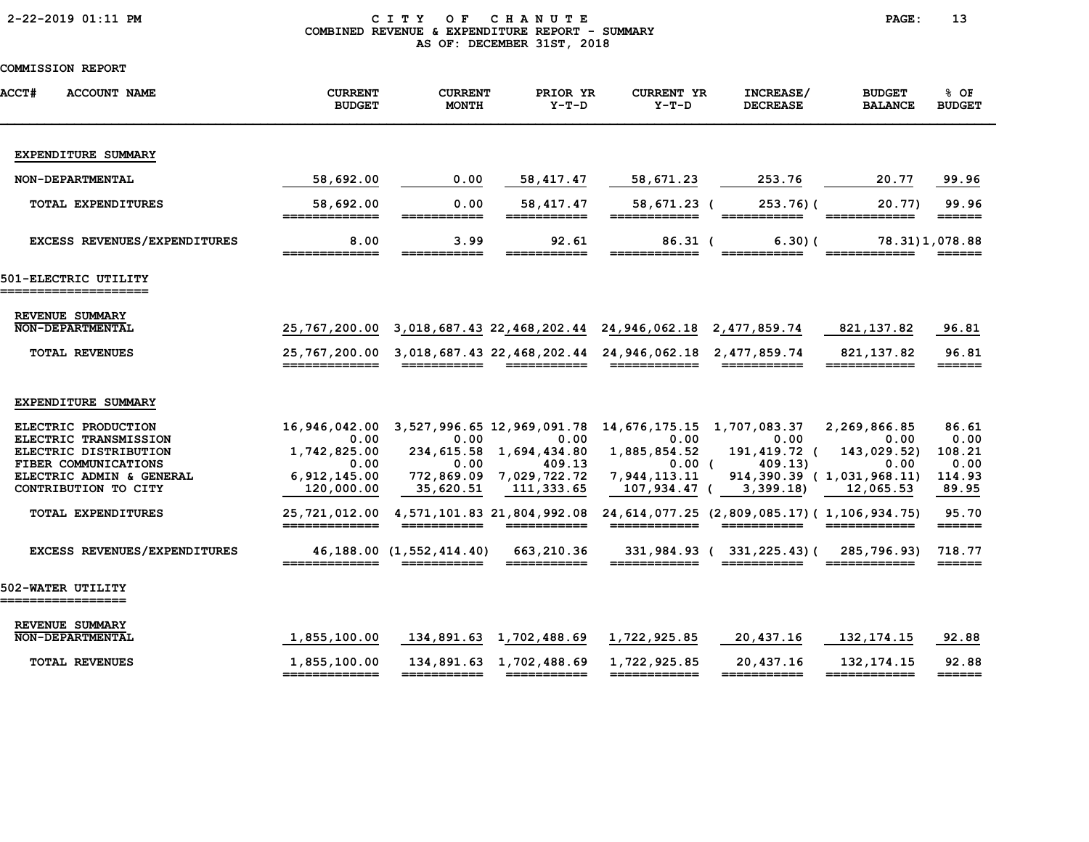|  |  | 2-22-2019 01:11 PM |  |
|--|--|--------------------|--|
|--|--|--------------------|--|

### CITY OF CHANUTE PAGE: 13 COMBINED REVENUE & EXPENDITURE REPORT - SUMMARY AS OF: DECEMBER 31ST, 2018

| <b>ACCT#</b> | <b>ACCOUNT NAME</b>                                                                                                                                                            | <b>CURRENT</b><br><b>BUDGET</b>                                                              | <b>CURRENT</b><br><b>MONTH</b>                                                                                                                                                                                                                                                                                                                                                                                                                                     | PRIOR YR<br>$Y-T-D$                                                                                                 | <b>CURRENT YR</b><br>$Y-T-D$                                                                                                                                                                                                                                                                                                                                                                                                                                                                               | INCREASE/<br><b>DECREASE</b>               | <b>BUDGET</b><br><b>BALANCE</b>                                                                                                                                                                                                                                                                                                                                                                                                                    | 8 OF<br><b>BUDGET</b>                                                     |
|--------------|--------------------------------------------------------------------------------------------------------------------------------------------------------------------------------|----------------------------------------------------------------------------------------------|--------------------------------------------------------------------------------------------------------------------------------------------------------------------------------------------------------------------------------------------------------------------------------------------------------------------------------------------------------------------------------------------------------------------------------------------------------------------|---------------------------------------------------------------------------------------------------------------------|------------------------------------------------------------------------------------------------------------------------------------------------------------------------------------------------------------------------------------------------------------------------------------------------------------------------------------------------------------------------------------------------------------------------------------------------------------------------------------------------------------|--------------------------------------------|----------------------------------------------------------------------------------------------------------------------------------------------------------------------------------------------------------------------------------------------------------------------------------------------------------------------------------------------------------------------------------------------------------------------------------------------------|---------------------------------------------------------------------------|
|              | EXPENDITURE SUMMARY                                                                                                                                                            |                                                                                              |                                                                                                                                                                                                                                                                                                                                                                                                                                                                    |                                                                                                                     |                                                                                                                                                                                                                                                                                                                                                                                                                                                                                                            |                                            |                                                                                                                                                                                                                                                                                                                                                                                                                                                    |                                                                           |
|              | NON-DEPARTMENTAL                                                                                                                                                               | 58,692.00                                                                                    | 0.00                                                                                                                                                                                                                                                                                                                                                                                                                                                               | 58, 417.47                                                                                                          | 58,671.23                                                                                                                                                                                                                                                                                                                                                                                                                                                                                                  | 253.76                                     | 20.77                                                                                                                                                                                                                                                                                                                                                                                                                                              | 99.96                                                                     |
|              | <b>TOTAL EXPENDITURES</b>                                                                                                                                                      | 58,692.00<br>=============                                                                   | 0.00<br>___________                                                                                                                                                                                                                                                                                                                                                                                                                                                | 58, 417.47<br>===========                                                                                           | 58,671.23 (<br>============                                                                                                                                                                                                                                                                                                                                                                                                                                                                                | $253.76$ ) (<br>===========                | 20.77)<br>============                                                                                                                                                                                                                                                                                                                                                                                                                             | 99.96<br>$=$ $=$ $=$ $=$ $=$                                              |
|              | EXCESS REVENUES/EXPENDITURES                                                                                                                                                   | 8.00                                                                                         | 3.99                                                                                                                                                                                                                                                                                                                                                                                                                                                               | 92.61                                                                                                               | $86.31$ (                                                                                                                                                                                                                                                                                                                                                                                                                                                                                                  | 6.30(                                      |                                                                                                                                                                                                                                                                                                                                                                                                                                                    | 78.31)1,078.88                                                            |
|              | 501-ELECTRIC UTILITY<br>------------------                                                                                                                                     |                                                                                              |                                                                                                                                                                                                                                                                                                                                                                                                                                                                    |                                                                                                                     |                                                                                                                                                                                                                                                                                                                                                                                                                                                                                                            |                                            |                                                                                                                                                                                                                                                                                                                                                                                                                                                    |                                                                           |
|              | REVENUE SUMMARY<br><b>NON-DEPARTMENTAL</b>                                                                                                                                     |                                                                                              |                                                                                                                                                                                                                                                                                                                                                                                                                                                                    |                                                                                                                     | 25,767,200.00 3,018,687.43 22,468,202.44 24,946,062.18 2,477,859.74                                                                                                                                                                                                                                                                                                                                                                                                                                        |                                            | 821,137.82                                                                                                                                                                                                                                                                                                                                                                                                                                         | 96.81                                                                     |
|              | <b>TOTAL REVENUES</b>                                                                                                                                                          | =============                                                                                | ===========                                                                                                                                                                                                                                                                                                                                                                                                                                                        | ===========                                                                                                         | 25,767,200.00 3,018,687.43 22,468,202.44 24,946,062.18 2,477,859.74<br>$\begin{array}{cccccccccc} \texttt{m} & \texttt{m} & \texttt{m} & \texttt{m} & \texttt{m} & \texttt{m} & \texttt{m} & \texttt{m} & \texttt{m} & \texttt{m} & \texttt{m} & \texttt{m} & \texttt{m} & \texttt{m} & \texttt{m} & \texttt{m} & \texttt{m} & \texttt{m} & \texttt{m} & \texttt{m} & \texttt{m} & \texttt{m} & \texttt{m} & \texttt{m} & \texttt{m} & \texttt{m} & \texttt{m} & \texttt{m} & \texttt{m} & \texttt{m} & \$ | ===========                                | 821, 137.82<br>$\begin{array}{cccccccccc} \texttt{m} & \texttt{m} & \texttt{m} & \texttt{m} & \texttt{m} & \texttt{m} & \texttt{m} & \texttt{m} & \texttt{m} & \texttt{m} & \texttt{m} & \texttt{m} & \texttt{m} & \texttt{m} & \texttt{m} & \texttt{m} & \texttt{m} & \texttt{m} & \texttt{m} & \texttt{m} & \texttt{m} & \texttt{m} & \texttt{m} & \texttt{m} & \texttt{m} & \texttt{m} & \texttt{m} & \texttt{m} & \texttt{m} & \texttt{m} & \$ | 96.81<br>======                                                           |
|              | EXPENDITURE SUMMARY                                                                                                                                                            |                                                                                              |                                                                                                                                                                                                                                                                                                                                                                                                                                                                    |                                                                                                                     |                                                                                                                                                                                                                                                                                                                                                                                                                                                                                                            |                                            |                                                                                                                                                                                                                                                                                                                                                                                                                                                    |                                                                           |
|              | ELECTRIC PRODUCTION<br>ELECTRIC TRANSMISSION<br>ELECTRIC DISTRIBUTION<br>FIBER COMMUNICATIONS<br>ELECTRIC ADMIN & GENERAL<br>CONTRIBUTION TO CITY<br><b>TOTAL EXPENDITURES</b> | 16,946,042.00<br>0.00<br>1,742,825.00<br>0.00<br>6,912,145.00<br>120,000.00<br>25,721,012.00 | 3,527,996.65 12,969,091.78<br>0.00<br>0.00<br>35,620.51                                                                                                                                                                                                                                                                                                                                                                                                            | 0.00<br>234, 615.58 1, 694, 434.80<br>409.13<br>772,869.09 7,029,722.72<br>111,333.65<br>4,571,101.83 21,804,992.08 | 14,676,175.15 1,707,083.37<br>0.00<br>1,885,854.52<br>0.00 <sub>0</sub><br>7,944,113.11<br>107,934.47 (<br>24, 614, 077.25 (2, 809, 085.17) (1, 106, 934.75)                                                                                                                                                                                                                                                                                                                                               | 0.00<br>191,419.72 (<br>409.13<br>3,399.18 | 2,269,866.85<br>0.00<br>143,029.52)<br>0.00<br>914,390.39 (1,031,968.11)<br>12,065.53                                                                                                                                                                                                                                                                                                                                                              | 86.61<br>0.00<br>108.21<br>0.00<br>114.93<br>89.95<br>95.70               |
|              | EXCESS REVENUES/EXPENDITURES                                                                                                                                                   | _____________                                                                                | $\begin{array}{cccccccccc} \textbf{m} & \textbf{m} & \textbf{m} & \textbf{m} & \textbf{m} & \textbf{m} & \textbf{m} & \textbf{m} & \textbf{m} & \textbf{m} & \textbf{m} & \textbf{m} & \textbf{m} & \textbf{m} & \textbf{m} & \textbf{m} & \textbf{m} & \textbf{m} & \textbf{m} & \textbf{m} & \textbf{m} & \textbf{m} & \textbf{m} & \textbf{m} & \textbf{m} & \textbf{m} & \textbf{m} & \textbf{m} & \textbf{m} & \textbf{m} & \$<br>46, 188.00 (1, 552, 414.40) | 663,210.36<br>===========                                                                                           | -------------                                                                                                                                                                                                                                                                                                                                                                                                                                                                                              | 331,984.93 (331,225.43) (                  | 285,796.93)                                                                                                                                                                                                                                                                                                                                                                                                                                        | $=$ $=$ $=$ $=$ $=$ $=$<br>718.77<br>$=$ $=$ $=$ $=$ $=$ $=$ $=$          |
|              | 502-WATER UTILITY<br>____________                                                                                                                                              |                                                                                              |                                                                                                                                                                                                                                                                                                                                                                                                                                                                    |                                                                                                                     |                                                                                                                                                                                                                                                                                                                                                                                                                                                                                                            |                                            |                                                                                                                                                                                                                                                                                                                                                                                                                                                    |                                                                           |
|              | REVENUE SUMMARY<br><b>NON-DEPARTMENTAL</b>                                                                                                                                     | 1,855,100.00                                                                                 | 134,891.63 1,702,488.69                                                                                                                                                                                                                                                                                                                                                                                                                                            |                                                                                                                     | 1,722,925.85                                                                                                                                                                                                                                                                                                                                                                                                                                                                                               | 20,437.16                                  | 132, 174. 15                                                                                                                                                                                                                                                                                                                                                                                                                                       | 92.88                                                                     |
|              | <b>TOTAL REVENUES</b>                                                                                                                                                          | 1,855,100.00<br>=============                                                                | ===========                                                                                                                                                                                                                                                                                                                                                                                                                                                        | 134,891.63 1,702,488.69                                                                                             | 1,722,925.85<br>============                                                                                                                                                                                                                                                                                                                                                                                                                                                                               | 20,437.16<br>===========                   | 132, 174. 15                                                                                                                                                                                                                                                                                                                                                                                                                                       | 92.88<br>$\qquad \qquad \equiv \equiv \equiv \equiv \equiv \equiv \equiv$ |
|              |                                                                                                                                                                                |                                                                                              |                                                                                                                                                                                                                                                                                                                                                                                                                                                                    |                                                                                                                     |                                                                                                                                                                                                                                                                                                                                                                                                                                                                                                            |                                            |                                                                                                                                                                                                                                                                                                                                                                                                                                                    |                                                                           |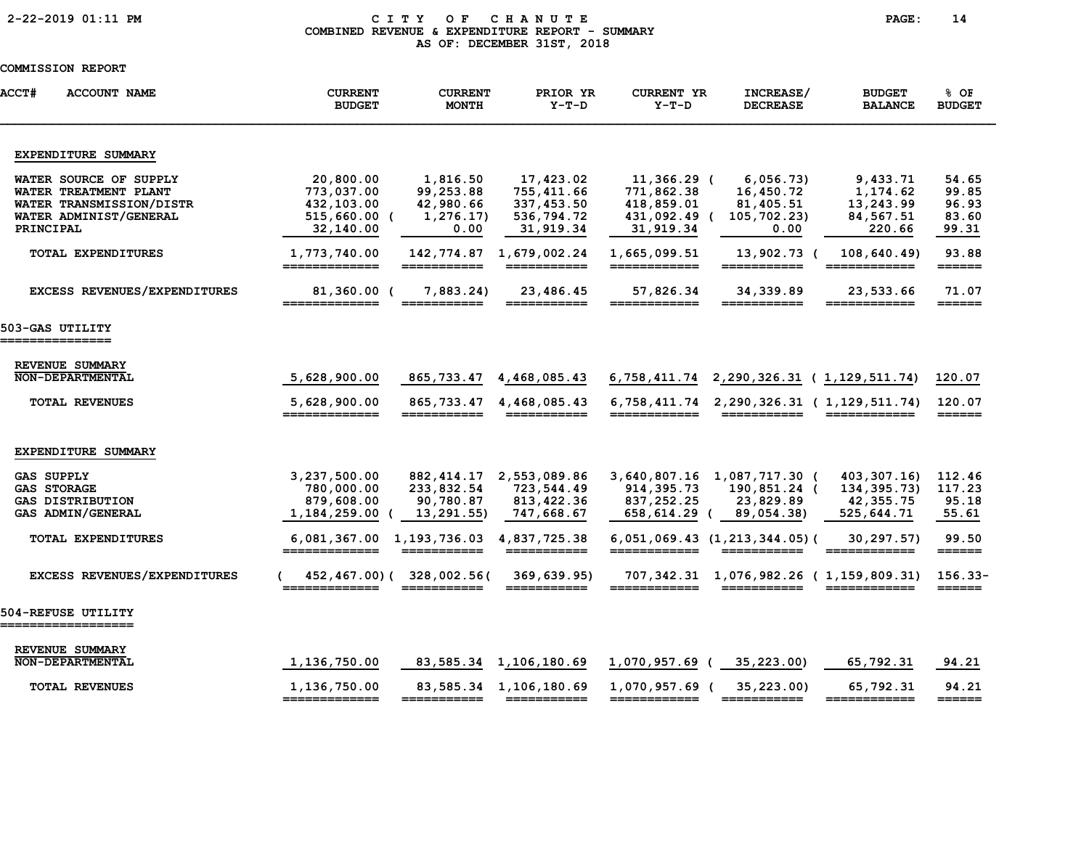# 2-22-2019 01:11 PM C I T Y O F C H A N U T E PAGE: 14 COMBINED REVENUE & EXPENDITURE REPORT - SUMMARY AS OF: DECEMBER 31ST, 2018

| <b>ACCT#</b><br><b>ACCOUNT NAME</b>                                                                                | <b>CURRENT</b><br><b>BUDGET</b>                                      | CURRENT<br><b>MONTH</b>                                 | PRIOR YR<br>$Y-T-D$                                              | <b>CURRENT YR</b><br>$Y-T-D$                                         | INCREASE/<br><b>DECREASE</b>                                                                  | <b>BUDGET</b><br><b>BALANCE</b>                                                                                                                                                                                                                                                                                                                                                                                                                                                                      | 8 OF<br><b>BUDGET</b>                     |
|--------------------------------------------------------------------------------------------------------------------|----------------------------------------------------------------------|---------------------------------------------------------|------------------------------------------------------------------|----------------------------------------------------------------------|-----------------------------------------------------------------------------------------------|------------------------------------------------------------------------------------------------------------------------------------------------------------------------------------------------------------------------------------------------------------------------------------------------------------------------------------------------------------------------------------------------------------------------------------------------------------------------------------------------------|-------------------------------------------|
| EXPENDITURE SUMMARY                                                                                                |                                                                      |                                                         |                                                                  |                                                                      |                                                                                               |                                                                                                                                                                                                                                                                                                                                                                                                                                                                                                      |                                           |
| WATER SOURCE OF SUPPLY<br>WATER TREATMENT PLANT<br>WATER TRANSMISSION/DISTR<br>WATER ADMINIST/GENERAL<br>PRINCIPAL | 20,800.00<br>773,037.00<br>432,103.00<br>$515,660.00$ (<br>32,140.00 | 1,816.50<br>99,253.88<br>42,980.66<br>1,276.17)<br>0.00 | 17,423.02<br>755,411.66<br>337,453.50<br>536,794.72<br>31,919.34 | 11,366.29 (<br>771,862.38<br>418,859.01<br>431,092.49 (<br>31,919.34 | 6,056.73<br>16,450.72<br>81,405.51<br>105,702.23)<br>0.00                                     | 9,433.71<br>1,174.62<br>13,243.99<br>84,567.51<br>220.66                                                                                                                                                                                                                                                                                                                                                                                                                                             | 54.65<br>99.85<br>96.93<br>83.60<br>99.31 |
| <b>TOTAL EXPENDITURES</b>                                                                                          | 1,773,740.00<br>=============                                        | 142,774.87<br>===========                               | 1,679,002.24                                                     | 1,665,099.51<br>============                                         | 13,902.73 (<br>===========                                                                    | 108,640.49)<br>============                                                                                                                                                                                                                                                                                                                                                                                                                                                                          | 93.88<br>======                           |
| EXCESS REVENUES/EXPENDITURES                                                                                       | 81,360.00 (<br>=============                                         | 7,883.24<br>$=$ $=$ $=$ $=$ $=$ $=$                     | 23,486.45<br>===========                                         | 57,826.34<br>$=$ $=$ $=$ $=$ $=$ $=$ $=$                             | 34,339.89<br>======                                                                           | 23,533.66                                                                                                                                                                                                                                                                                                                                                                                                                                                                                            | 71.07<br>======                           |
| 503-GAS UTILITY<br>===============                                                                                 |                                                                      |                                                         |                                                                  |                                                                      |                                                                                               |                                                                                                                                                                                                                                                                                                                                                                                                                                                                                                      |                                           |
| REVENUE SUMMARY<br><b>NON-DEPARTMENTAL</b><br><b>TOTAL REVENUES</b>                                                | 5,628,900.00<br>5,628,900.00                                         | 865,733.47<br>865,733.47                                | 4,468,085.43<br>4,468,085.43                                     |                                                                      | 6, 758, 411. 74 2, 290, 326. 31 (1, 129, 511. 74)<br>6,758,411.74 2,290,326.31 (1,129,511.74) |                                                                                                                                                                                                                                                                                                                                                                                                                                                                                                      | 120.07<br>120.07                          |
| EXPENDITURE SUMMARY                                                                                                | =============                                                        |                                                         | ===========                                                      | ============                                                         | ===========                                                                                   | ============                                                                                                                                                                                                                                                                                                                                                                                                                                                                                         | $=$ $=$ $=$ $=$ $=$                       |
| <b>GAS SUPPLY</b><br><b>GAS STORAGE</b><br><b>GAS DISTRIBUTION</b><br>GAS ADMIN/GENERAL                            | 3,237,500.00<br>780,000.00<br>879,608.00<br>1,184,259.00             | 882, 414.17<br>233,832.54<br>90,780.87<br>13,291.55)    | 2,553,089.86<br>723,544.49<br>813, 422.36<br>747,668.67          | 914, 395. 73<br>837,252.25<br>658,614.29<br>$\epsilon$               | 3,640,807.16 1,087,717.30 (<br>190,851.24 (<br>23,829.89<br>89,054.38)                        | 403,307.16)<br>134, 395. 73)<br>42,355.75<br>525,644.71                                                                                                                                                                                                                                                                                                                                                                                                                                              | 112.46<br>117.23<br>95.18<br>55.61        |
| TOTAL EXPENDITURES                                                                                                 | 6,081,367.00 1,193,736.03<br>=============                           | ===========                                             | 4,837,725.38<br>===========                                      | ============                                                         | $6,051,069.43$ $(1,213,344.05)$ (<br>$=$ = = = = = = = = = = =                                | 30,297.57)<br>$\begin{array}{cccccccccc} \multicolumn{2}{c}{} & \multicolumn{2}{c}{} & \multicolumn{2}{c}{} & \multicolumn{2}{c}{} & \multicolumn{2}{c}{} & \multicolumn{2}{c}{} & \multicolumn{2}{c}{} & \multicolumn{2}{c}{} & \multicolumn{2}{c}{} & \multicolumn{2}{c}{} & \multicolumn{2}{c}{} & \multicolumn{2}{c}{} & \multicolumn{2}{c}{} & \multicolumn{2}{c}{} & \multicolumn{2}{c}{} & \multicolumn{2}{c}{} & \multicolumn{2}{c}{} & \multicolumn{2}{c}{} & \multicolumn{2}{c}{} & \mult$ | 99.50<br>$=$ $=$ $=$ $=$ $=$ $=$ $=$      |
| EXCESS REVENUES/EXPENDITURES                                                                                       |                                                                      | 452,467.00) (328,002.56)<br>===========                 | 369,639.95<br>===========                                        |                                                                      | 707,342.31 1,076,982.26 (1,159,809.31)<br>===========                                         |                                                                                                                                                                                                                                                                                                                                                                                                                                                                                                      | $156.33-$<br>$=$ $=$ $=$ $=$ $=$ $=$ $=$  |
| 504-REFUSE UTILITY<br>==================                                                                           |                                                                      |                                                         |                                                                  |                                                                      |                                                                                               |                                                                                                                                                                                                                                                                                                                                                                                                                                                                                                      |                                           |
| REVENUE SUMMARY<br><b>NON-DEPARTMENTAL</b>                                                                         | 1,136,750.00                                                         | 83,585.34                                               | 1,106,180.69                                                     | 1,070,957.69 (                                                       | 35,223.00)                                                                                    | 65,792.31                                                                                                                                                                                                                                                                                                                                                                                                                                                                                            | 94.21                                     |
| <b>TOTAL REVENUES</b>                                                                                              | 1,136,750.00<br>=============                                        | ===========                                             | 83, 585. 34 1, 106, 180. 69                                      | 1,070,957.69 (<br>============                                       | 35,223.00<br>===========                                                                      | 65,792.31<br>============                                                                                                                                                                                                                                                                                                                                                                                                                                                                            | 94.21<br>$=$ $=$ $=$ $=$ $=$ $=$          |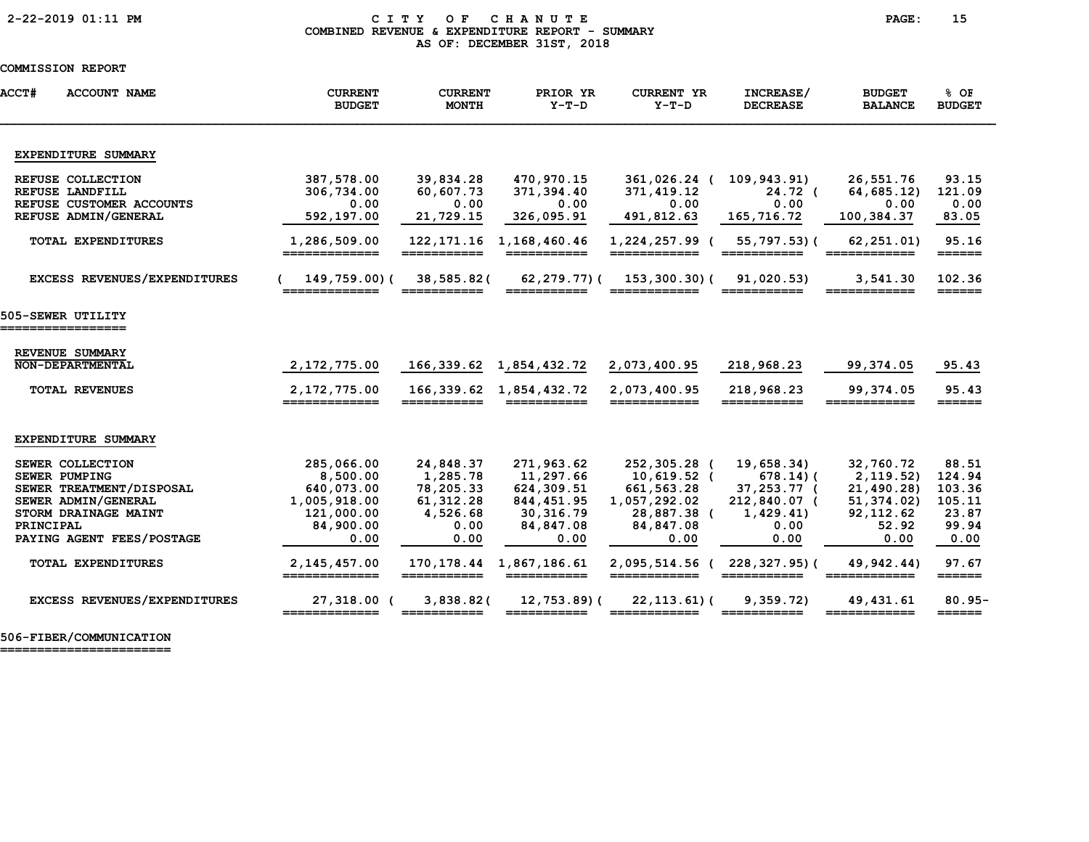### 2-22-2019 01:11 PM C I T Y O F C H A N U T E PAGE: 15 COMBINED REVENUE & EXPENDITURE REPORT - SUMMARY AS OF: DECEMBER 31ST, 2018

### COMMISSION REPORT

| <b>ACCT#</b><br><b>ACCOUNT NAME</b> | <b>CURRENT</b><br><b>BUDGET</b> | <b>CURRENT</b><br><b>MONTH</b> | PRIOR YR<br>$Y-T-D$         | <b>CURRENT YR</b><br>$Y-T-D$    | INCREASE/<br><b>DECREASE</b>   | <b>BUDGET</b><br><b>BALANCE</b> | % OF<br><b>BUDGET</b>            |
|-------------------------------------|---------------------------------|--------------------------------|-----------------------------|---------------------------------|--------------------------------|---------------------------------|----------------------------------|
| EXPENDITURE SUMMARY                 |                                 |                                |                             |                                 |                                |                                 |                                  |
| REFUSE COLLECTION                   | 387,578.00                      | 39,834.28                      | 470,970.15                  | 361,026.24 (                    | 109,943.91)                    | 26,551.76                       | 93.15                            |
| REFUSE LANDFILL                     | 306,734.00                      | 60,607.73                      | 371,394.40                  | 371,419.12                      | 24.72 <sub>0</sub>             | 64, 685.12                      | 121.09                           |
| REFUSE CUSTOMER ACCOUNTS            | 0.00                            | 0.00                           | 0.00                        | 0.00                            | 0.00                           | 0.00                            | 0.00                             |
| REFUSE ADMIN/GENERAL                | 592,197.00                      | 21,729.15                      | 326,095.91                  | 491,812.63                      | 165,716.72                     | 100,384.37                      | 83.05                            |
| <b>TOTAL EXPENDITURES</b>           | 1,286,509.00<br>=============   | 122, 171. 16<br>===========    | 1,168,460.46<br>=========== | 1,224,257.99 (<br>_____________ | 55,797.53)(<br>___________     | 62, 251.01)<br>_____________    | 95.16<br>$=$ $=$ $=$ $=$ $=$ $=$ |
| EXCESS REVENUES/EXPENDITURES        | 149,759.00)(                    | 38,585.82(                     | $62, 279, 77)$ (            | 153,300.30)(                    | 91,020.53)                     | 3,541.30                        | 102.36                           |
|                                     | =============                   | ___________                    | ___________                 | ____________                    | ___________                    | ____________                    | $======$                         |
| 505-SEWER UTILITY                   |                                 |                                |                             |                                 |                                |                                 |                                  |
|                                     |                                 |                                |                             |                                 |                                |                                 |                                  |
| REVENUE SUMMARY                     |                                 |                                |                             |                                 |                                |                                 |                                  |
| NON-DEPARTMENTAL                    | 2,172,775.00                    |                                | 166,339.62 1,854,432.72     | 2,073,400.95                    | 218,968.23                     | 99,374.05                       | 95.43                            |
|                                     |                                 |                                |                             |                                 |                                |                                 |                                  |
| <b>TOTAL REVENUES</b>               | 2, 172, 775.00<br>_________     |                                | 166, 339.62 1, 854, 432.72  | 2,073,400.95                    | 218,968.23                     | 99,374.05                       | 95.43<br>______                  |
| EXPENDITURE SUMMARY                 |                                 |                                |                             |                                 |                                |                                 |                                  |
| SEWER COLLECTION                    | 285,066.00                      | 24,848.37                      | 271,963.62                  | 252,305.28 (                    | 19,658.34)                     | 32,760.72                       | 88.51                            |
| <b>SEWER PUMPING</b>                | 8,500.00                        | 1,285.78                       | 11,297.66                   | 10,619.52 (                     | $678.14$ ) (                   | 2, 119.52)                      | 124.94                           |
| SEWER TREATMENT/DISPOSAL            | 640,073.00                      | 78,205.33                      | 624,309.51                  | 661,563.28                      | 37,253.77 (                    | 21,490.28)                      | 103.36                           |
| SEWER ADMIN/GENERAL                 | 1,005,918.00                    | 61, 312.28                     | 844, 451.95                 | 1,057,292.02                    | 212,840.07 (                   | 51, 374.02)                     | 105.11                           |
| STORM DRAINAGE MAINT                | 121,000.00                      | 4,526.68                       | 30,316.79                   | 28,887.38 (                     | 1,429.41                       | 92, 112.62                      | 23.87                            |
| PRINCIPAL                           | 84,900.00                       | 0.00                           | 84,847.08                   | 84,847.08                       | 0.00                           | 52.92                           | 99.94                            |
| PAYING AGENT FEES/POSTAGE           | 0.00                            | 0.00                           | 0.00                        | 0.00                            | 0.00                           | 0.00                            | 0.00                             |
| <b>TOTAL EXPENDITURES</b>           | 2, 145, 457.00<br>============= | 170,178.44<br>===========      | 1,867,186.61                | 2,095,514.56 (<br>============  | $228, 327.95$ (<br>=========== | 49,942.44)<br>============      | 97.67<br>$=$ $=$ $=$ $=$ $=$ $=$ |
| EXCESS REVENUES/EXPENDITURES        | 27,318.00 (                     | 3,838.82                       | 12,753.89)(                 | $22, 113.61$ (                  | 9,359.72                       | 49, 431.61                      | $80.95 -$                        |
|                                     | _____________                   |                                |                             |                                 |                                | ____________                    | $=$ $=$ $=$ $=$ $=$              |

506-FIBER/COMMUNICATION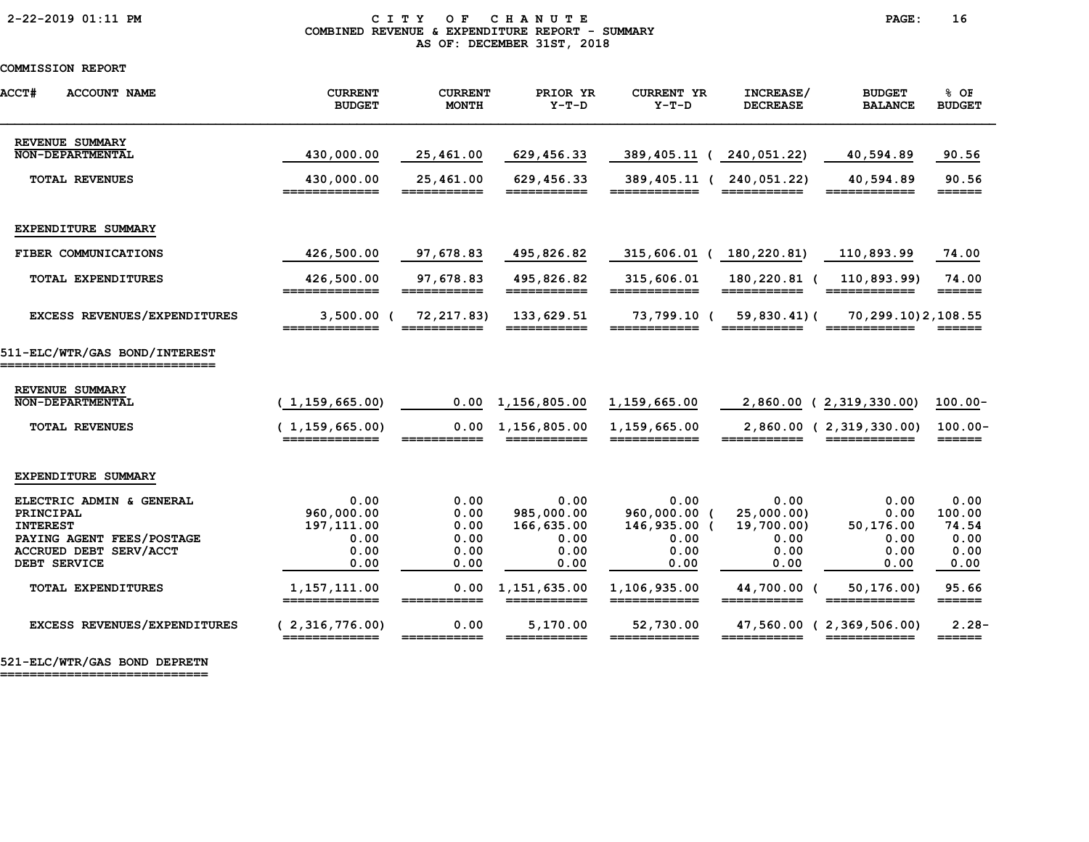### 2-22-2019 01:11 PM C I T Y O F C H A N U T E PAGE: 16 COMBINED REVENUE & EXPENDITURE REPORT - SUMMARY AS OF: DECEMBER 31ST, 2018

# COMMISSION REPORT

| <b>ACCT#</b><br><b>ACCOUNT NAME</b>                          | <b>CURRENT</b><br><b>BUDGET</b>   | <b>CURRENT</b><br><b>MONTH</b> | PRIOR YR<br>$Y-T-D$                                                                                                                                                                                                                                                                                                                                                                                                                                 | <b>CURRENT YR</b><br>$Y-T-D$ | INCREASE/<br><b>DECREASE</b> | <b>BUDGET</b><br><b>BALANCE</b>         | % OF<br><b>BUDGET</b>                |
|--------------------------------------------------------------|-----------------------------------|--------------------------------|-----------------------------------------------------------------------------------------------------------------------------------------------------------------------------------------------------------------------------------------------------------------------------------------------------------------------------------------------------------------------------------------------------------------------------------------------------|------------------------------|------------------------------|-----------------------------------------|--------------------------------------|
| REVENUE SUMMARY<br>NON-DEPARTMENTAL                          | 430,000.00                        | 25,461.00                      | 629,456.33                                                                                                                                                                                                                                                                                                                                                                                                                                          | 389,405.11 (                 | 240,051.22)                  | 40,594.89                               | 90.56                                |
|                                                              |                                   |                                |                                                                                                                                                                                                                                                                                                                                                                                                                                                     |                              |                              |                                         |                                      |
| TOTAL REVENUES                                               | 430,000.00<br>=============       | 25,461.00<br>===========       | 629,456.33<br>===========                                                                                                                                                                                                                                                                                                                                                                                                                           | 389,405.11 (<br>============ | 240,051.22)<br>===========   | 40,594.89<br>============               | 90.56<br>$=$ $=$ $=$ $=$ $=$         |
|                                                              |                                   |                                |                                                                                                                                                                                                                                                                                                                                                                                                                                                     |                              |                              |                                         |                                      |
| EXPENDITURE SUMMARY                                          |                                   |                                |                                                                                                                                                                                                                                                                                                                                                                                                                                                     |                              |                              |                                         |                                      |
| FIBER COMMUNICATIONS                                         | 426,500.00                        | 97,678.83                      | 495,826.82                                                                                                                                                                                                                                                                                                                                                                                                                                          | 315,606.01                   | 180,220.81)                  | 110,893.99                              | 74.00                                |
| TOTAL EXPENDITURES                                           | 426,500.00<br>=============       | 97,678.83<br>===========       | 495,826.82<br>===========                                                                                                                                                                                                                                                                                                                                                                                                                           | 315,606.01<br>============   | 180,220.81 (<br>===========  | 110,893.99)<br>============             | 74.00<br>$=$ $=$ $=$ $=$ $=$ $=$     |
| EXCESS REVENUES/EXPENDITURES                                 | $3,500.00$ (                      | 72, 217.83)                    | 133,629.51                                                                                                                                                                                                                                                                                                                                                                                                                                          | 73,799.10 (                  | $59,830.41$ ) (              | 70, 299. 10) 2, 108. 55                 |                                      |
| 511-ELC/WTR/GAS BOND/INTEREST<br>=========================== |                                   |                                |                                                                                                                                                                                                                                                                                                                                                                                                                                                     |                              |                              |                                         |                                      |
| REVENUE SUMMARY                                              |                                   |                                |                                                                                                                                                                                                                                                                                                                                                                                                                                                     |                              |                              |                                         |                                      |
| <b>NON-DEPARTMENTAL</b>                                      | (1, 159, 665.00)                  | 0.00                           | 1,156,805.00                                                                                                                                                                                                                                                                                                                                                                                                                                        | 1,159,665.00                 | $2,860.00$ (                 | 2,319,330.00)                           | $100.00 -$                           |
| <b>TOTAL REVENUES</b>                                        | (1, 159, 665.00)<br>============= | 0.00<br>___________            | 1,156,805.00<br>$\begin{array}{cccccccccc} \texttt{m} & \texttt{m} & \texttt{m} & \texttt{m} & \texttt{m} & \texttt{m} & \texttt{m} & \texttt{m} & \texttt{m} & \texttt{m} & \texttt{m} & \texttt{m} & \texttt{m} & \texttt{m} & \texttt{m} & \texttt{m} & \texttt{m} & \texttt{m} & \texttt{m} & \texttt{m} & \texttt{m} & \texttt{m} & \texttt{m} & \texttt{m} & \texttt{m} & \texttt{m} & \texttt{m} & \texttt{m} & \texttt{m} & \texttt{m} & \$ | 1,159,665.00<br>============ | ===========                  | 2,860.00 (2,319,330.00)<br>============ | $100.00 -$<br>======                 |
| EXPENDITURE SUMMARY                                          |                                   |                                |                                                                                                                                                                                                                                                                                                                                                                                                                                                     |                              |                              |                                         |                                      |
| ELECTRIC ADMIN & GENERAL                                     | 0.00                              | 0.00                           | 0.00                                                                                                                                                                                                                                                                                                                                                                                                                                                | 0.00                         | 0.00                         | 0.00                                    | 0.00                                 |
| PRINCIPAL                                                    | 960,000.00                        | 0.00                           | 985,000.00                                                                                                                                                                                                                                                                                                                                                                                                                                          | 960,000.00 (                 | 25,000.00)                   | 0.00                                    | 100.00                               |
| <b>INTEREST</b>                                              | 197, 111.00                       | 0.00                           | 166,635.00                                                                                                                                                                                                                                                                                                                                                                                                                                          | 146,935.00 (                 | 19,700.00)                   | 50,176.00                               | 74.54                                |
| PAYING AGENT FEES/POSTAGE                                    | 0.00                              | 0.00                           | 0.00                                                                                                                                                                                                                                                                                                                                                                                                                                                | 0.00                         | 0.00                         | 0.00                                    | 0.00                                 |
| ACCRUED DEBT SERV/ACCT                                       | 0.00                              | 0.00                           | 0.00                                                                                                                                                                                                                                                                                                                                                                                                                                                | 0.00                         | 0.00                         | 0.00                                    | 0.00                                 |
| DEBT SERVICE                                                 | 0.00                              | 0.00                           | 0.00                                                                                                                                                                                                                                                                                                                                                                                                                                                | 0.00                         | 0.00                         | 0.00                                    | 0.00                                 |
| <b>TOTAL EXPENDITURES</b>                                    | 1,157,111.00<br>=============     | 0.00<br>===========            | 1,151,635.00<br>===========                                                                                                                                                                                                                                                                                                                                                                                                                         | 1,106,935.00<br>============ | 44,700.00<br>===========     | 50, 176.00<br>============              | 95.66<br>$=$ $=$ $=$ $=$ $=$ $=$ $=$ |
| EXCESS REVENUES/EXPENDITURES                                 | (2,316,776.00)                    | 0.00                           | 5,170.00                                                                                                                                                                                                                                                                                                                                                                                                                                            | 52,730.00                    | 47,560.00 (                  | 2,369,506.00)                           | $2.28-$                              |
|                                                              | =============                     | ===========                    | ===========                                                                                                                                                                                                                                                                                                                                                                                                                                         | ============                 | ===========                  | ============                            | $=$ $=$ $=$ $=$ $=$ $=$              |

521-ELC/WTR/GAS BOND DEPRETN

============================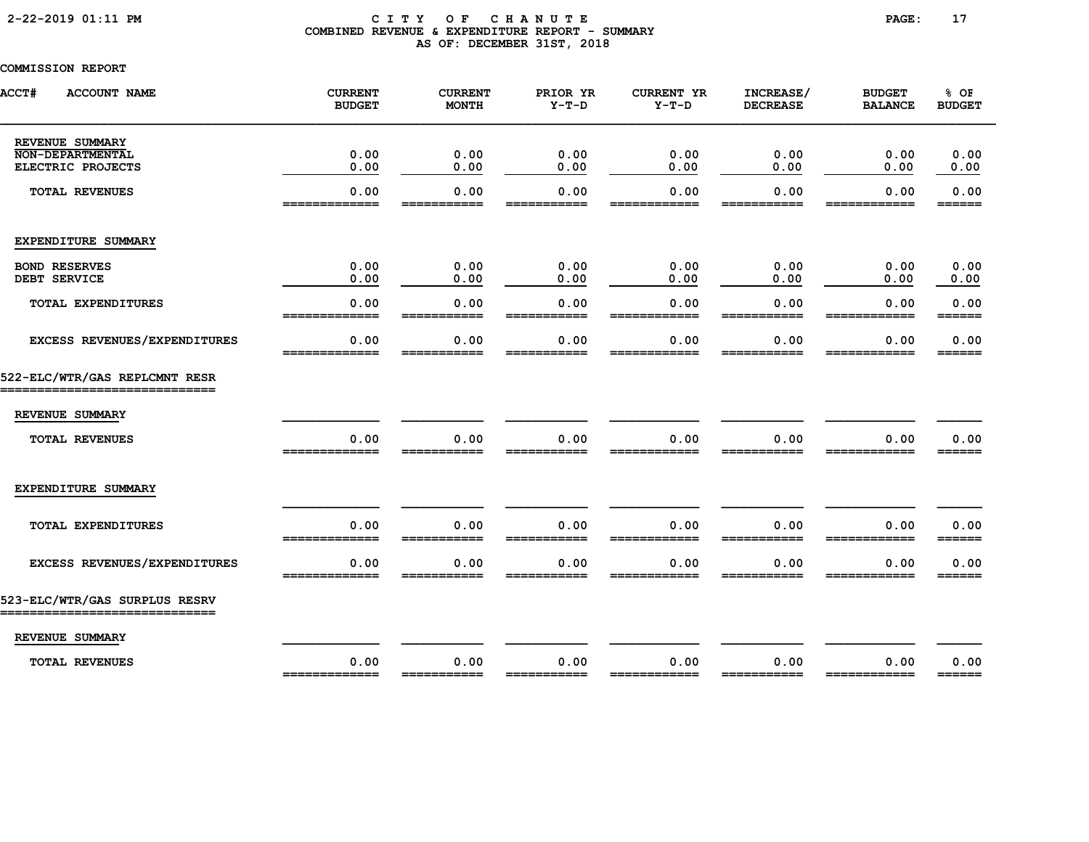### 2-22-2019 01:11 PM C I T Y O F C H A N U T E PAGE: 17 COMBINED REVENUE & EXPENDITURE REPORT - SUMMARY AS OF: DECEMBER 31ST, 2018

| <b>ACCT#</b><br><b>ACCOUNT NAME</b>                          | <b>CURRENT</b><br><b>BUDGET</b> | <b>CURRENT</b><br><b>MONTH</b> | PRIOR YR<br>$Y-T-D$ | <b>CURRENT YR</b><br>$Y-T-D$ | INCREASE/<br><b>DECREASE</b> | <b>BUDGET</b><br><b>BALANCE</b> | % OF<br><b>BUDGET</b>                                             |
|--------------------------------------------------------------|---------------------------------|--------------------------------|---------------------|------------------------------|------------------------------|---------------------------------|-------------------------------------------------------------------|
| REVENUE SUMMARY                                              |                                 |                                |                     |                              |                              |                                 |                                                                   |
| <b>NON-DEPARTMENTAL</b><br>ELECTRIC PROJECTS                 | 0.00<br>0.00                    | 0.00<br>0.00                   | 0.00<br>0.00        | 0.00<br>0.00                 | 0.00<br>0.00                 | 0.00<br>0.00                    | 0.00<br>0.00                                                      |
| <b>TOTAL REVENUES</b>                                        | 0.00<br>______________          | 0.00<br>-----                  | 0.00<br>-----       | 0.00<br>.                    | 0.00<br>____                 | 0.00<br>________                | 0.00<br>______                                                    |
| EXPENDITURE SUMMARY                                          |                                 |                                |                     |                              |                              |                                 |                                                                   |
| <b>BOND RESERVES</b><br>DEBT SERVICE                         | 0.00<br>0.00                    | 0.00<br>0.00                   | 0.00<br>0.00        | 0.00<br>0.00                 | 0.00<br>0.00                 | 0.00<br>0.00                    | 0.00<br>0.00                                                      |
| TOTAL EXPENDITURES                                           | 0.00<br>-------------           | 0.00<br>===========            | 0.00<br>___________ | 0.00<br>------------         | 0.00<br>===========          | 0.00<br>------------            | 0.00<br>$=$ $=$ $=$ $=$ $=$ $=$                                   |
| EXCESS REVENUES/EXPENDITURES                                 | 0.00<br>_____________           | 0.00<br>___________            | 0.00<br>___________ | 0.00<br>-----                | 0.00<br>___________          | 0.00<br>---                     | 0.00<br>______                                                    |
| 522-ELC/WTR/GAS REPLCMNT RESR<br>.===========                |                                 |                                |                     |                              |                              |                                 |                                                                   |
| REVENUE SUMMARY                                              |                                 |                                |                     |                              |                              |                                 |                                                                   |
| <b>TOTAL REVENUES</b>                                        | 0.00<br>-------------           | 0.00                           | 0.00                | 0.00                         | 0.00                         | 0.00                            | 0.00<br>______                                                    |
| EXPENDITURE SUMMARY                                          |                                 |                                |                     |                              |                              |                                 |                                                                   |
| TOTAL EXPENDITURES                                           | 0.00<br>==========              | 0.00<br>===========            | 0.00<br>=========== | 0.00<br>============         | 0.00<br>===========          | 0.00<br>____________            | 0.00<br>$=$ $=$ $=$ $=$ $=$                                       |
| EXCESS REVENUES/EXPENDITURES                                 | 0.00                            | 0.00                           | 0.00                | 0.00                         | 0.00                         | 0.00                            | 0.00                                                              |
| 523-ELC/WTR/GAS SURPLUS RESRV<br>___________________________ |                                 |                                |                     |                              |                              |                                 |                                                                   |
| REVENUE SUMMARY                                              |                                 |                                |                     |                              |                              |                                 |                                                                   |
| <b>TOTAL REVENUES</b>                                        | 0.00<br>=============           | 0.00                           | 0.00<br>=========== | 0.00<br>============         | 0.00<br>===========          | 0.00<br>============            | 0.00<br>$\qquad \qquad \equiv \equiv \equiv \equiv \equiv \equiv$ |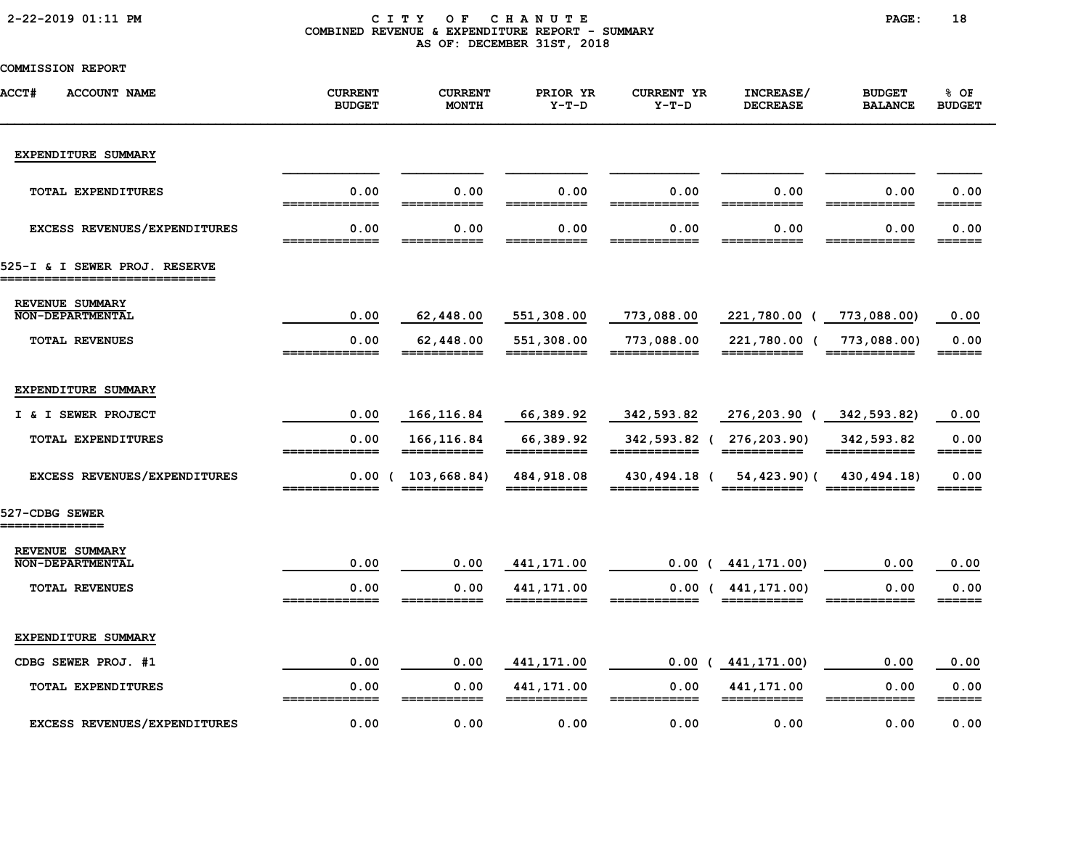|  |  | 2-22-2019 01:11 PM |  |
|--|--|--------------------|--|
|--|--|--------------------|--|

### CITY OF CHANUTE PAGE: 18 COMBINED REVENUE & EXPENDITURE REPORT - SUMMARY AS OF: DECEMBER 31ST, 2018

| ACCT#<br><b>ACCOUNT NAME</b>                                    | <b>CURRENT</b><br><b>BUDGET</b>     | <b>CURRENT</b><br><b>MONTH</b> | PRIOR YR<br>$Y-T-D$        | <b>CURRENT YR</b><br>$Y-T-D$ | INCREASE/<br><b>DECREASE</b>            | <b>BUDGET</b><br><b>BALANCE</b> | % OF<br><b>BUDGET</b>       |
|-----------------------------------------------------------------|-------------------------------------|--------------------------------|----------------------------|------------------------------|-----------------------------------------|---------------------------------|-----------------------------|
| EXPENDITURE SUMMARY                                             |                                     |                                |                            |                              |                                         |                                 |                             |
| TOTAL EXPENDITURES                                              | 0.00<br>=============               | 0.00                           | 0.00                       | 0.00                         | 0.00                                    | 0.00                            | 0.00<br>======              |
| EXCESS REVENUES/EXPENDITURES                                    | 0.00                                | 0.00                           | 0.00                       | 0.00                         | 0.00                                    | 0.00                            | 0.00<br>______              |
| 525-I & I SEWER PROJ. RESERVE<br>______________________________ |                                     |                                |                            |                              |                                         |                                 |                             |
| REVENUE SUMMARY<br><b>NON-DEPARTMENTAL</b>                      | 0.00                                | 62,448.00                      | 551,308.00                 | 773,088.00                   | 221,780.00 (                            | 773,088.00)                     | 0.00                        |
| <b>TOTAL REVENUES</b>                                           | 0.00<br>_____________               | 62,448.00<br>___________       | 551,308.00<br>___________  | 773,088.00<br>============   | 221,780.00 (<br>===========             | 773,088.00)<br>_____________    | 0.00<br>$=$ $=$ $=$ $=$ $=$ |
| EXPENDITURE SUMMARY                                             |                                     |                                |                            |                              |                                         |                                 |                             |
| I & I SEWER PROJECT                                             | 0.00                                | 166,116.84                     | 66,389.92                  | 342,593.82                   | 276,203.90 (                            | 342,593.82)                     | 0.00                        |
| TOTAL EXPENDITURES                                              | 0.00<br>=============               | 166, 116.84<br>===========     | 66,389.92<br>===========   | _____________                | 342,593.82 ( 276,203.90)<br>=========== | 342,593.82<br>============      | 0.00                        |
| EXCESS REVENUES/EXPENDITURES                                    | 0.00<br>$\epsilon$<br>============= | 103,668.84)<br>===========     | 484, 918.08<br>=========== | 430,494.18 (<br>============ | 54,423.90)(                             | 430, 494. 18)<br>============   | 0.00<br>======              |
| 527-CDBG SEWER<br>==============                                |                                     |                                |                            |                              |                                         |                                 |                             |
| REVENUE SUMMARY<br><b>NON-DEPARTMENTAL</b>                      | 0.00                                | 0.00                           | 441,171.00                 |                              | $0.00$ ( $441, 171.00$ )                | 0.00                            | 0.00                        |
| <b>TOTAL REVENUES</b>                                           | 0.00<br>=============               | 0.00<br>_____                  | 441, 171.00                |                              | 0.00(441, 171, 00)<br>===========       | 0.00                            | 0.00<br>======              |
| EXPENDITURE SUMMARY                                             |                                     |                                |                            |                              |                                         |                                 |                             |
| CDBG SEWER PROJ. #1                                             | 0.00                                | 0.00                           | 441,171.00                 | 0.00                         | 441,171.00)                             | 0.00                            | 0.00                        |
| <b>TOTAL EXPENDITURES</b>                                       | 0.00<br>_____________               | 0.00<br>-----                  | 441,171.00<br>===========  | 0.00<br>------<br>====       | 441,171.00<br>===========               | 0.00<br>============            | 0.00                        |
| EXCESS REVENUES/EXPENDITURES                                    | 0.00                                | 0.00                           | 0.00                       | 0.00                         | 0.00                                    | 0.00                            | 0.00                        |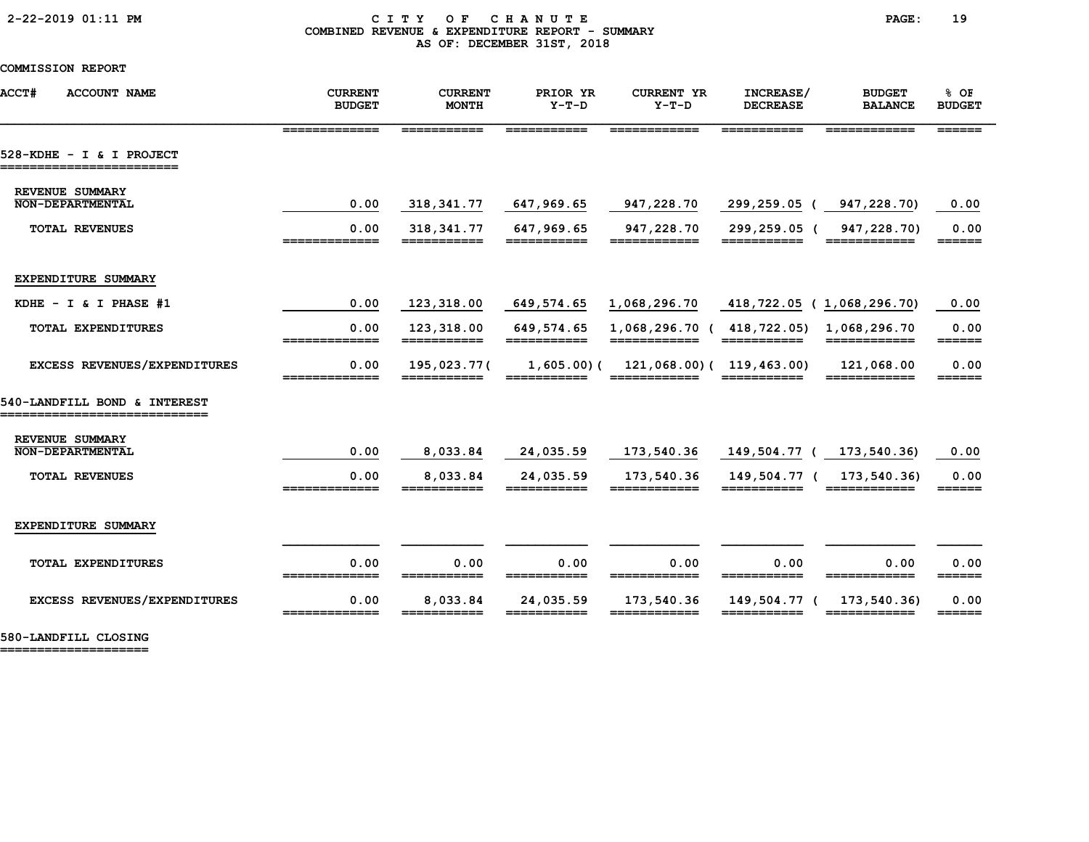### 2-22-2019 01:11 PM C I T Y O F C H A N U T E PAGE: 19 COMBINED REVENUE & EXPENDITURE REPORT - SUMMARY AS OF: DECEMBER 31ST, 2018

COMMISSION REPORT

| ACCT#<br><b>ACCOUNT NAME</b>                                   | <b>CURRENT</b><br><b>BUDGET</b>                                                                                                                                                                                                                                                                                                                                                                                                          | <b>CURRENT</b><br><b>MONTH</b> | PRIOR YR<br>$Y-T-D$          | <b>CURRENT YR</b><br>$Y-T-D$                                                                                                                                                                                                                                                                                                                                                                                                                      | INCREASE/<br><b>DECREASE</b> | <b>BUDGET</b><br><b>BALANCE</b>                                                                                                                                                                                                                                                                                                                                                                                                                                                                       | % OF<br><b>BUDGET</b>               |
|----------------------------------------------------------------|------------------------------------------------------------------------------------------------------------------------------------------------------------------------------------------------------------------------------------------------------------------------------------------------------------------------------------------------------------------------------------------------------------------------------------------|--------------------------------|------------------------------|---------------------------------------------------------------------------------------------------------------------------------------------------------------------------------------------------------------------------------------------------------------------------------------------------------------------------------------------------------------------------------------------------------------------------------------------------|------------------------------|-------------------------------------------------------------------------------------------------------------------------------------------------------------------------------------------------------------------------------------------------------------------------------------------------------------------------------------------------------------------------------------------------------------------------------------------------------------------------------------------------------|-------------------------------------|
|                                                                | =============                                                                                                                                                                                                                                                                                                                                                                                                                            | ===========                    | ===========                  | ============                                                                                                                                                                                                                                                                                                                                                                                                                                      | ___________                  | ============                                                                                                                                                                                                                                                                                                                                                                                                                                                                                          | $=$ $=$ $=$ $=$ $=$                 |
| 528-KDHE - I & I PROJECT<br>-----------------------            |                                                                                                                                                                                                                                                                                                                                                                                                                                          |                                |                              |                                                                                                                                                                                                                                                                                                                                                                                                                                                   |                              |                                                                                                                                                                                                                                                                                                                                                                                                                                                                                                       |                                     |
| <b>REVENUE SUMMARY</b><br><b>NON-DEPARTMENTAL</b>              |                                                                                                                                                                                                                                                                                                                                                                                                                                          |                                |                              |                                                                                                                                                                                                                                                                                                                                                                                                                                                   |                              |                                                                                                                                                                                                                                                                                                                                                                                                                                                                                                       |                                     |
|                                                                | 0.00                                                                                                                                                                                                                                                                                                                                                                                                                                     | 318,341.77                     | 647,969.65                   | 947,228.70                                                                                                                                                                                                                                                                                                                                                                                                                                        | 299,259.05 (947,228.70)      |                                                                                                                                                                                                                                                                                                                                                                                                                                                                                                       | 0.00                                |
| <b>TOTAL REVENUES</b>                                          | 0.00<br>=============                                                                                                                                                                                                                                                                                                                                                                                                                    | 318, 341. 77                   | 647,969.65                   | 947,228.70<br>============                                                                                                                                                                                                                                                                                                                                                                                                                        | 299,259.05 (                 | 947,228.70)<br>============                                                                                                                                                                                                                                                                                                                                                                                                                                                                           | 0.00<br>$=$ $=$ $=$ $=$ $=$ $=$     |
| EXPENDITURE SUMMARY                                            |                                                                                                                                                                                                                                                                                                                                                                                                                                          |                                |                              |                                                                                                                                                                                                                                                                                                                                                                                                                                                   |                              |                                                                                                                                                                                                                                                                                                                                                                                                                                                                                                       |                                     |
| KDHE $- I & I$ PHASE #1                                        | 0.00                                                                                                                                                                                                                                                                                                                                                                                                                                     | 123,318.00                     | 649,574.65                   | 1,068,296.70                                                                                                                                                                                                                                                                                                                                                                                                                                      | 418,722.05 (1,068,296.70)    |                                                                                                                                                                                                                                                                                                                                                                                                                                                                                                       | 0.00                                |
| <b>TOTAL EXPENDITURES</b>                                      | 0.00<br>=============                                                                                                                                                                                                                                                                                                                                                                                                                    | 123,318.00<br>===========      | 649,574.65<br>===========    | 1,068,296.70 ( 418,722.05)<br>============                                                                                                                                                                                                                                                                                                                                                                                                        | $=$ ===========              | 1,068,296.70<br>============                                                                                                                                                                                                                                                                                                                                                                                                                                                                          | 0.00<br>$=$ $=$ $=$ $=$ $=$ $=$ $=$ |
| EXCESS REVENUES/EXPENDITURES                                   | 0.00                                                                                                                                                                                                                                                                                                                                                                                                                                     | 195,023.77(                    |                              | $1,605.00$ ( $121,068.00$ ( $119,463.00$ )                                                                                                                                                                                                                                                                                                                                                                                                        |                              | 121,068.00                                                                                                                                                                                                                                                                                                                                                                                                                                                                                            | 0.00<br>______                      |
| 540-LANDFILL BOND & INTEREST<br>______________________________ |                                                                                                                                                                                                                                                                                                                                                                                                                                          |                                |                              |                                                                                                                                                                                                                                                                                                                                                                                                                                                   |                              |                                                                                                                                                                                                                                                                                                                                                                                                                                                                                                       |                                     |
| <b>REVENUE SUMMARY</b><br><b>NON-DEPARTMENTAL</b>              | 0.00                                                                                                                                                                                                                                                                                                                                                                                                                                     | 8,033.84                       | 24,035.59                    | 173,540.36                                                                                                                                                                                                                                                                                                                                                                                                                                        | 149,504.77 ( 173,540.36)     |                                                                                                                                                                                                                                                                                                                                                                                                                                                                                                       | 0.00                                |
|                                                                |                                                                                                                                                                                                                                                                                                                                                                                                                                          |                                |                              |                                                                                                                                                                                                                                                                                                                                                                                                                                                   |                              |                                                                                                                                                                                                                                                                                                                                                                                                                                                                                                       |                                     |
| <b>TOTAL REVENUES</b>                                          | 0.00<br>_____________                                                                                                                                                                                                                                                                                                                                                                                                                    | 8,033.84<br>___________        | 24,035.59<br>$=$ =========== | 173,540.36<br>-------------                                                                                                                                                                                                                                                                                                                                                                                                                       | 149,504.77 (<br>___________  | 173,540.36)<br>============                                                                                                                                                                                                                                                                                                                                                                                                                                                                           | 0.00<br>$======$                    |
| EXPENDITURE SUMMARY                                            |                                                                                                                                                                                                                                                                                                                                                                                                                                          |                                |                              |                                                                                                                                                                                                                                                                                                                                                                                                                                                   |                              |                                                                                                                                                                                                                                                                                                                                                                                                                                                                                                       |                                     |
| <b>TOTAL EXPENDITURES</b>                                      | 0.00<br>$\begin{array}{c} \texttt{m} = \texttt{m} = \texttt{m} = \texttt{m} = \texttt{m} = \texttt{m} = \texttt{m} = \texttt{m} = \texttt{m} = \texttt{m} = \texttt{m} = \texttt{m} = \texttt{m} = \texttt{m} = \texttt{m} = \texttt{m} = \texttt{m} = \texttt{m} = \texttt{m} = \texttt{m} = \texttt{m} = \texttt{m} = \texttt{m} = \texttt{m} = \texttt{m} = \texttt{m} = \texttt{m} = \texttt{m} = \texttt{m} = \texttt{m} = \texttt$ | 0.00<br>===========            | 0.00                         | 0.00<br>============                                                                                                                                                                                                                                                                                                                                                                                                                              | 0.00<br>===========          | 0.00<br>____________                                                                                                                                                                                                                                                                                                                                                                                                                                                                                  | 0.00<br>$======$                    |
| EXCESS REVENUES/EXPENDITURES                                   | 0.00<br>=============                                                                                                                                                                                                                                                                                                                                                                                                                    | 8,033.84                       | 24,035.59                    | 173,540.36<br>$\begin{array}{cccccccccc} \texttt{m} & \texttt{m} & \texttt{m} & \texttt{m} & \texttt{m} & \texttt{m} & \texttt{m} & \texttt{m} & \texttt{m} & \texttt{m} & \texttt{m} & \texttt{m} & \texttt{m} & \texttt{m} & \texttt{m} & \texttt{m} & \texttt{m} & \texttt{m} & \texttt{m} & \texttt{m} & \texttt{m} & \texttt{m} & \texttt{m} & \texttt{m} & \texttt{m} & \texttt{m} & \texttt{m} & \texttt{m} & \texttt{m} & \texttt{m} & \$ | 149,504.77 (                 | 173,540.36)<br>$\begin{array}{cccccccccc} \multicolumn{2}{c}{} & \multicolumn{2}{c}{} & \multicolumn{2}{c}{} & \multicolumn{2}{c}{} & \multicolumn{2}{c}{} & \multicolumn{2}{c}{} & \multicolumn{2}{c}{} & \multicolumn{2}{c}{} & \multicolumn{2}{c}{} & \multicolumn{2}{c}{} & \multicolumn{2}{c}{} & \multicolumn{2}{c}{} & \multicolumn{2}{c}{} & \multicolumn{2}{c}{} & \multicolumn{2}{c}{} & \multicolumn{2}{c}{} & \multicolumn{2}{c}{} & \multicolumn{2}{c}{} & \multicolumn{2}{c}{} & \mult$ | 0.00<br>$=$ $=$ $=$ $=$ $=$ $=$ $=$ |
|                                                                |                                                                                                                                                                                                                                                                                                                                                                                                                                          |                                |                              |                                                                                                                                                                                                                                                                                                                                                                                                                                                   |                              |                                                                                                                                                                                                                                                                                                                                                                                                                                                                                                       |                                     |

580-LANDFILL CLOSING ====================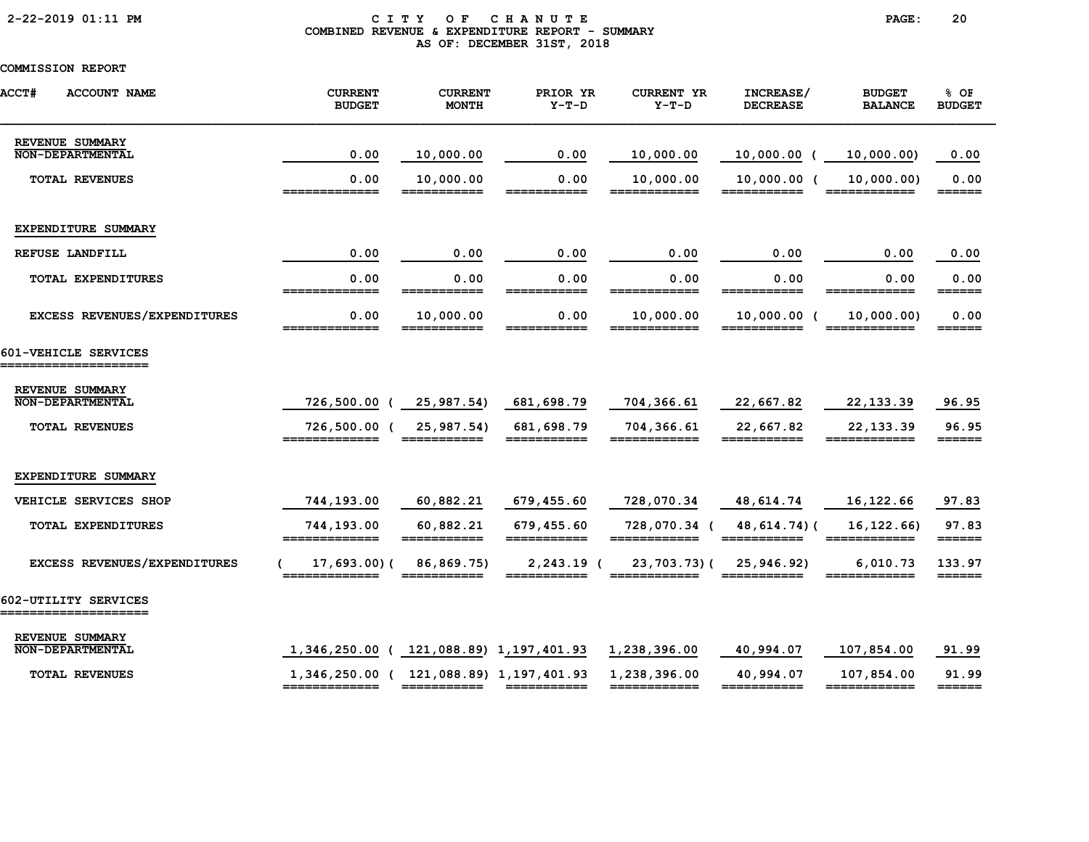# 2-22-2019 01:11 PM C I T Y O F C H A N U T E PAGE: 20 COMBINED REVENUE & EXPENDITURE REPORT - SUMMARY AS OF: DECEMBER 31ST, 2018

| <b>ACCT#</b><br><b>ACCOUNT NAME</b>          | <b>CURRENT</b><br><b>BUDGET</b>                          | <b>CURRENT</b><br><b>MONTH</b> | PRIOR YR<br>$Y-T-D$         | <b>CURRENT YR</b><br>$Y-T-D$ | INCREASE/<br><b>DECREASE</b> | <b>BUDGET</b><br><b>BALANCE</b> | % OF<br><b>BUDGET</b>             |
|----------------------------------------------|----------------------------------------------------------|--------------------------------|-----------------------------|------------------------------|------------------------------|---------------------------------|-----------------------------------|
| REVENUE SUMMARY<br><b>NON-DEPARTMENTAL</b>   | 0.00                                                     | 10,000.00                      | 0.00                        | 10,000.00                    | $10,000.00$ (                | 10,000.00)                      | 0.00                              |
| <b>TOTAL REVENUES</b>                        | 0.00<br>_____________                                    | 10,000.00<br>$==$<br>______    | 0.00                        | 10,000.00                    | $10,000.00$ (                | 10,000.00)                      | 0.00<br>$=$ $=$ $=$ $=$ $=$ $=$   |
| EXPENDITURE SUMMARY                          |                                                          |                                |                             |                              |                              |                                 |                                   |
| REFUSE LANDFILL                              | 0.00                                                     | 0.00                           | 0.00                        | 0.00                         | 0.00                         | 0.00                            | 0.00                              |
| TOTAL EXPENDITURES                           | 0.00<br>=============                                    | 0.00<br>===========            | 0.00<br>___________         | 0.00<br>============         | 0.00<br>===========          | 0.00<br>============            | 0.00<br>$=$ $=$ $=$ $=$ $=$       |
| EXCESS REVENUES/EXPENDITURES                 | 0.00<br>=============                                    | 10,000.00<br>===========       | 0.00<br>===========         | 10,000.00<br>============    | $10,000.00$ (<br>=========== | 10,000.00)<br>============      | 0.00                              |
| 601-VEHICLE SERVICES<br>==================== |                                                          |                                |                             |                              |                              |                                 |                                   |
| REVENUE SUMMARY<br><b>NON-DEPARTMENTAL</b>   | 726,500.00                                               | 25,987.54)                     | 681,698.79                  | 704,366.61                   | 22,667.82                    | 22, 133.39                      | 96.95                             |
| <b>TOTAL REVENUES</b>                        | 726,500.00 (<br>=============                            | 25,987.54)<br>===========      | 681,698.79<br>===========   | 704,366.61<br>============   | 22,667.82<br>===========     | 22, 133.39<br>============      | 96.95                             |
| EXPENDITURE SUMMARY                          |                                                          |                                |                             |                              |                              |                                 |                                   |
| VEHICLE SERVICES SHOP                        | 744,193.00                                               | 60,882.21                      | 679,455.60                  | 728,070.34                   | 48,614.74                    | 16,122.66                       | 97.83                             |
| TOTAL EXPENDITURES                           | 744,193.00<br>=============                              | 60,882.21                      | 679,455.60<br>===========   | 728,070.34 (<br>============ | 48,614.74)(                  | 16, 122.66                      | 97.83<br>$=$ $=$ $=$ $=$ $=$      |
| EXCESS REVENUES/EXPENDITURES                 | 17,693.00(<br>=============                              | 86,869.75)<br>===========      | $2,243.19$ (<br>___________ | 23,703.73)(<br>------------- | 25,946.92)<br>___________    | 6,010.73<br>============        | 133.97<br>$=$ $=$ $=$ $=$ $=$ $=$ |
| 602-UTILITY SERVICES<br>------------------   |                                                          |                                |                             |                              |                              |                                 |                                   |
| REVENUE SUMMARY<br><b>NON-DEPARTMENTAL</b>   | 1,346,250.00 ( 121,088.89) 1,197,401.93                  |                                |                             | 1,238,396.00                 | 40,994.07                    | 107,854.00                      | 91.99                             |
| <b>TOTAL REVENUES</b>                        | 1,346,250.00 ( 121,088.89) 1,197,401.93<br>============= |                                |                             | 1,238,396.00<br>============ | 40,994.07<br>===========     | 107,854.00<br>============      | 91.99<br>======                   |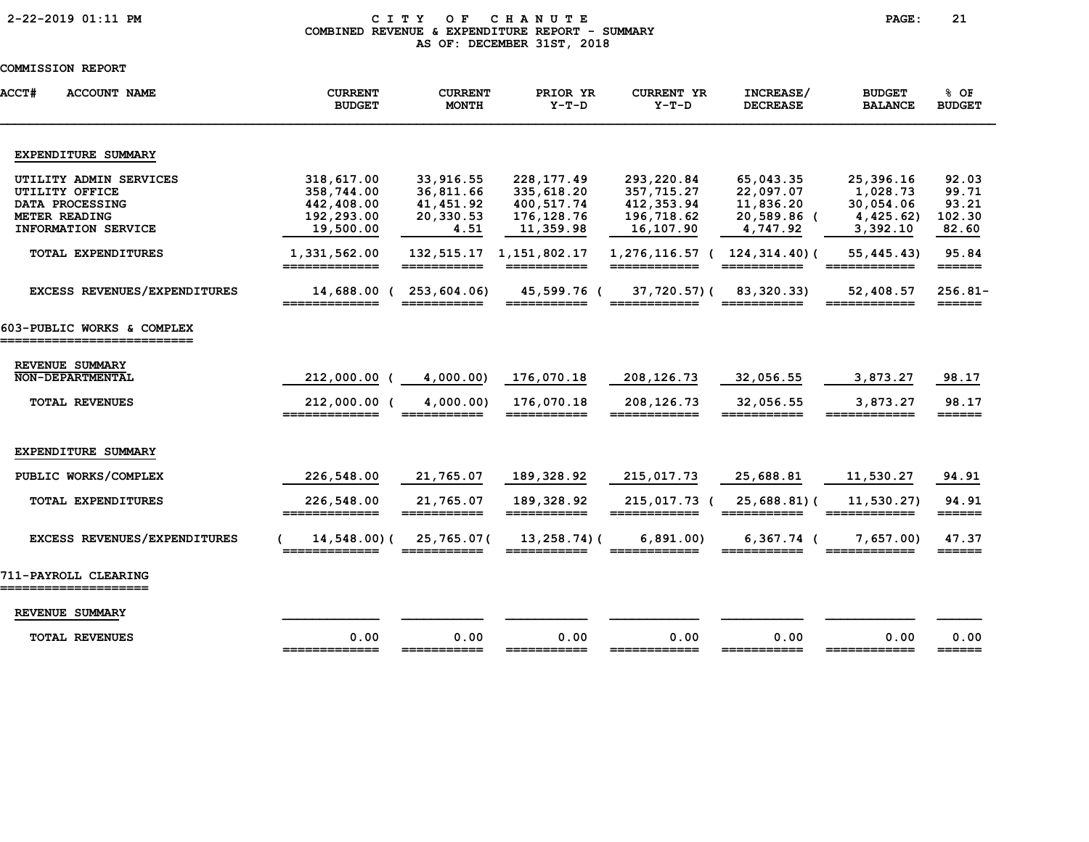# 2-22-2019 01:11 PM C I T Y O F C H A N U T E PAGE: 21 COMBINED REVENUE & EXPENDITURE REPORT - SUMMARY AS OF: DECEMBER 31ST, 2018

| ACCT#<br><b>ACCOUNT NAME</b>                        | <b>CURRENT</b><br><b>BUDGET</b> | <b>CURRENT</b><br><b>MONTH</b> | PRIOR YR<br>$Y-T-D$             | <b>CURRENT YR</b><br>$Y-T-D$    | INCREASE/<br><b>DECREASE</b>       | <b>BUDGET</b><br><b>BALANCE</b> | % OF<br><b>BUDGET</b>            |
|-----------------------------------------------------|---------------------------------|--------------------------------|---------------------------------|---------------------------------|------------------------------------|---------------------------------|----------------------------------|
| EXPENDITURE SUMMARY                                 |                                 |                                |                                 |                                 |                                    |                                 |                                  |
| UTILITY ADMIN SERVICES                              | 318,617.00                      | 33,916.55                      | 228, 177.49                     | 293,220.84                      | 65,043.35                          | 25,396.16                       | 92.03                            |
| UTILITY OFFICE                                      | 358,744.00                      | 36,811.66                      | 335,618.20                      | 357,715.27                      | 22,097.07                          | 1,028.73                        | 99.71                            |
| DATA PROCESSING                                     | 442,408.00                      | 41,451.92                      | 400,517.74                      | 412,353.94                      | 11,836.20                          | 30,054.06                       | 93.21                            |
| <b>METER READING</b>                                | 192,293.00                      | 20,330.53                      | 176, 128. 76                    | 196,718.62                      | 20,589.86 (                        | 4,425.62)                       | 102.30                           |
| INFORMATION SERVICE                                 | 19,500.00                       | 4.51                           | 11,359.98                       | 16,107.90                       | 4,747.92                           | 3,392.10                        | 82.60                            |
| TOTAL EXPENDITURES                                  | 1,331,562.00<br>=============   | 132,515.17<br>===========      | 1,151,802.17<br>===========     | 1,276,116.57 (<br>_____________ | $124, 314.40$ (<br>$=$ =========== | 55, 445. 43)<br>============    | 95.84<br>$=$ $=$ $=$ $=$ $=$ $=$ |
| <b>EXCESS REVENUES/EXPENDITURES</b>                 | 14,688.00 (                     | 253,604.06)                    | 45,599.76 (<br>=====            | 37,720.57)(                     | 83,320.33)                         | 52,408.57<br>======             | $256.81-$<br>======              |
| 603-PUBLIC WORKS & COMPLEX<br>===================== |                                 |                                |                                 |                                 |                                    |                                 |                                  |
| REVENUE SUMMARY                                     |                                 |                                |                                 |                                 |                                    |                                 |                                  |
| NON-DEPARTMENTAL                                    | 212,000.00 (                    | 4,000.00)                      | 176,070.18                      | 208,126.73                      | 32,056.55                          | 3,873.27                        | 98.17                            |
| <b>TOTAL REVENUES</b>                               | 212,000.00<br>=============     | 4,000.00)<br>===========       | 176,070.18<br>===========       | 208,126.73<br>============      | 32,056.55<br>===========           | 3,873.27<br>============        | 98.17<br>$=$ $=$ $=$ $=$ $=$     |
| EXPENDITURE SUMMARY                                 |                                 |                                |                                 |                                 |                                    |                                 |                                  |
| PUBLIC WORKS/COMPLEX                                | 226,548.00                      | 21,765.07                      | 189,328.92                      | 215,017.73                      | 25,688.81                          | 11,530.27                       | 94.91                            |
| TOTAL EXPENDITURES                                  | 226,548.00                      | 21,765.07                      | 189,328.92                      | 215,017.73 (                    | $25,688.81$ (                      | 11,530.27)                      | 94.91                            |
| EXCESS REVENUES/EXPENDITURES                        | =============<br>14,548.00)(    | ===========<br>25,765.07(      | ===========<br>$13, 258.74$ ) ( | ============<br>6,891.00        | 6,367.74 (                         | ============<br>7,657.00        | $=$ $=$ $=$ $=$ $=$<br>47.37     |
|                                                     | ______________                  | ___________                    | ___________                     | ____________                    | ===========                        | ============                    | $=$ $=$ $=$ $=$ $=$              |
| 711-PAYROLL CLEARING                                |                                 |                                |                                 |                                 |                                    |                                 |                                  |
| REVENUE SUMMARY                                     |                                 |                                |                                 |                                 |                                    |                                 |                                  |
| <b>TOTAL REVENUES</b>                               | 0.00<br>=============           | 0.00<br>===========            | 0.00                            | 0.00<br>============            | 0.00<br>=====                      | 0.00                            | 0.00                             |
|                                                     |                                 |                                |                                 |                                 |                                    |                                 |                                  |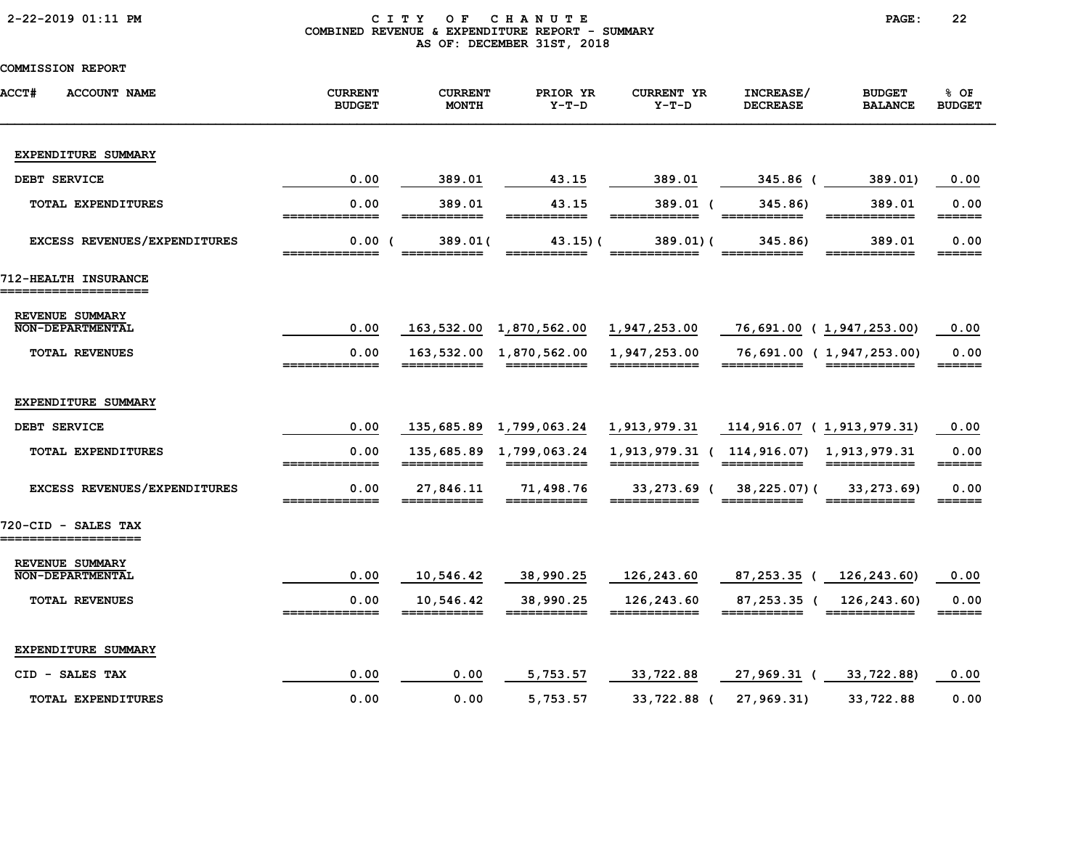# 2-22-2019 01:11 PM C I T Y O F C H A N U T E PAGE: 22 COMBINED REVENUE & EXPENDITURE REPORT - SUMMARY AS OF: DECEMBER 31ST, 2018

| <b>ACCT#</b><br><b>ACCOUNT NAME</b>          | <b>CURRENT</b><br><b>BUDGET</b> | <b>CURRENT</b><br><b>MONTH</b> | PRIOR YR<br>$Y-T-D$        | <b>CURRENT YR</b><br>$Y-T-D$                                    | INCREASE/<br><b>DECREASE</b>            | <b>BUDGET</b><br><b>BALANCE</b>                                                                                                                                                                                                                                                                                                                                                                                                               | % OF<br><b>BUDGET</b>           |
|----------------------------------------------|---------------------------------|--------------------------------|----------------------------|-----------------------------------------------------------------|-----------------------------------------|-----------------------------------------------------------------------------------------------------------------------------------------------------------------------------------------------------------------------------------------------------------------------------------------------------------------------------------------------------------------------------------------------------------------------------------------------|---------------------------------|
| EXPENDITURE SUMMARY                          |                                 |                                |                            |                                                                 |                                         |                                                                                                                                                                                                                                                                                                                                                                                                                                               |                                 |
| DEBT SERVICE                                 | 0.00                            | 389.01                         | 43.15                      | 389.01                                                          | 345.86 (                                | 389.01)                                                                                                                                                                                                                                                                                                                                                                                                                                       | 0.00                            |
| TOTAL EXPENDITURES                           | 0.00<br>=============           | 389.01<br>===========          | 43.15<br>===========       | $389.01$ (<br>========<br>====                                  | 345.86)<br>===========                  | 389.01<br>$\begin{array}{cccccccccc} \texttt{m} & \texttt{m} & \texttt{m} & \texttt{m} & \texttt{m} & \texttt{m} & \texttt{m} & \texttt{m} & \texttt{m} & \texttt{m} & \texttt{m} & \texttt{m} & \texttt{m} & \texttt{m} & \texttt{m} & \texttt{m} & \texttt{m} & \texttt{m} & \texttt{m} & \texttt{m} & \texttt{m} & \texttt{m} & \texttt{m} & \texttt{m} & \texttt{m} & \texttt{m} & \texttt{m} & \texttt{m} & \texttt{m} & \texttt{m} & \$ | 0.00                            |
| EXCESS REVENUES/EXPENDITURES                 | 0.00(<br>=============          | 389.01(<br>===========         | $43.15$ ) (<br>___________ | 389.01(<br>____________                                         | 345.86)<br>===========                  | 389.01<br>-------------                                                                                                                                                                                                                                                                                                                                                                                                                       | 0.00<br>$=$ $=$ $=$ $=$ $=$     |
| 712-HEALTH INSURANCE<br>==================== |                                 |                                |                            |                                                                 |                                         |                                                                                                                                                                                                                                                                                                                                                                                                                                               |                                 |
| REVENUE SUMMARY<br><b>NON-DEPARTMENTAL</b>   | 0.00                            |                                | 163,532.00 1,870,562.00    | 1,947,253.00                                                    | 76,691.00 (1,947,253.00)                |                                                                                                                                                                                                                                                                                                                                                                                                                                               | 0.00                            |
| <b>TOTAL REVENUES</b>                        | 0.00                            |                                | 163,532.00 1,870,562.00    | 1,947,253.00                                                    |                                         | 76,691.00 ( 1,947,253.00)                                                                                                                                                                                                                                                                                                                                                                                                                     | 0.00<br>======                  |
| EXPENDITURE SUMMARY                          |                                 |                                |                            |                                                                 |                                         |                                                                                                                                                                                                                                                                                                                                                                                                                                               |                                 |
| DEBT SERVICE                                 | 0.00                            |                                | 135,685.89 1,799,063.24    | 1,913,979.31                                                    | 114,916.07 (1,913,979.31)               |                                                                                                                                                                                                                                                                                                                                                                                                                                               | 0.00                            |
| TOTAL EXPENDITURES                           | 0.00                            |                                | ===========                | 135,685.89 1,799,063.24 1,913,979.31 ( 114,916.07) 1,913,979.31 | ===========                             | ============                                                                                                                                                                                                                                                                                                                                                                                                                                  | 0.00<br>$=$ $=$ $=$ $=$ $=$     |
| EXCESS REVENUES/EXPENDITURES                 | 0.00<br>=============           | 27,846.11                      | 71,498.76                  |                                                                 | 33,273.69 ( 38,225.07) (<br>=========== | 33, 273. 69)<br>============                                                                                                                                                                                                                                                                                                                                                                                                                  | 0.00<br>$=$ $=$ $=$ $=$ $=$ $=$ |
| 720-CID - SALES TAX<br>===================   |                                 |                                |                            |                                                                 |                                         |                                                                                                                                                                                                                                                                                                                                                                                                                                               |                                 |
| REVENUE SUMMARY<br><b>NON-DEPARTMENTAL</b>   | 0.00                            | 10,546.42                      | 38,990.25                  | 126,243.60                                                      | 87,253.35 ( 126,243.60)                 |                                                                                                                                                                                                                                                                                                                                                                                                                                               | 0.00                            |
| <b>TOTAL REVENUES</b>                        | 0.00<br>=============           | 10,546.42<br>___________       | 38,990.25                  | 126,243.60<br>_____________                                     | ===========                             | 87,253.35 ( 126,243.60)<br>============                                                                                                                                                                                                                                                                                                                                                                                                       | 0.00<br>$=$ $=$ $=$ $=$ $=$ $=$ |
| EXPENDITURE SUMMARY                          |                                 |                                |                            |                                                                 |                                         |                                                                                                                                                                                                                                                                                                                                                                                                                                               |                                 |
| CID - SALES TAX                              | 0.00                            | 0.00                           | 5,753.57                   | 33,722.88                                                       | 27,969.31 (                             | 33,722.88)                                                                                                                                                                                                                                                                                                                                                                                                                                    | 0.00                            |
| <b>TOTAL EXPENDITURES</b>                    | 0.00                            | 0.00                           | 5,753.57                   | 33,722.88 (                                                     | 27,969.31)                              | 33,722.88                                                                                                                                                                                                                                                                                                                                                                                                                                     | 0.00                            |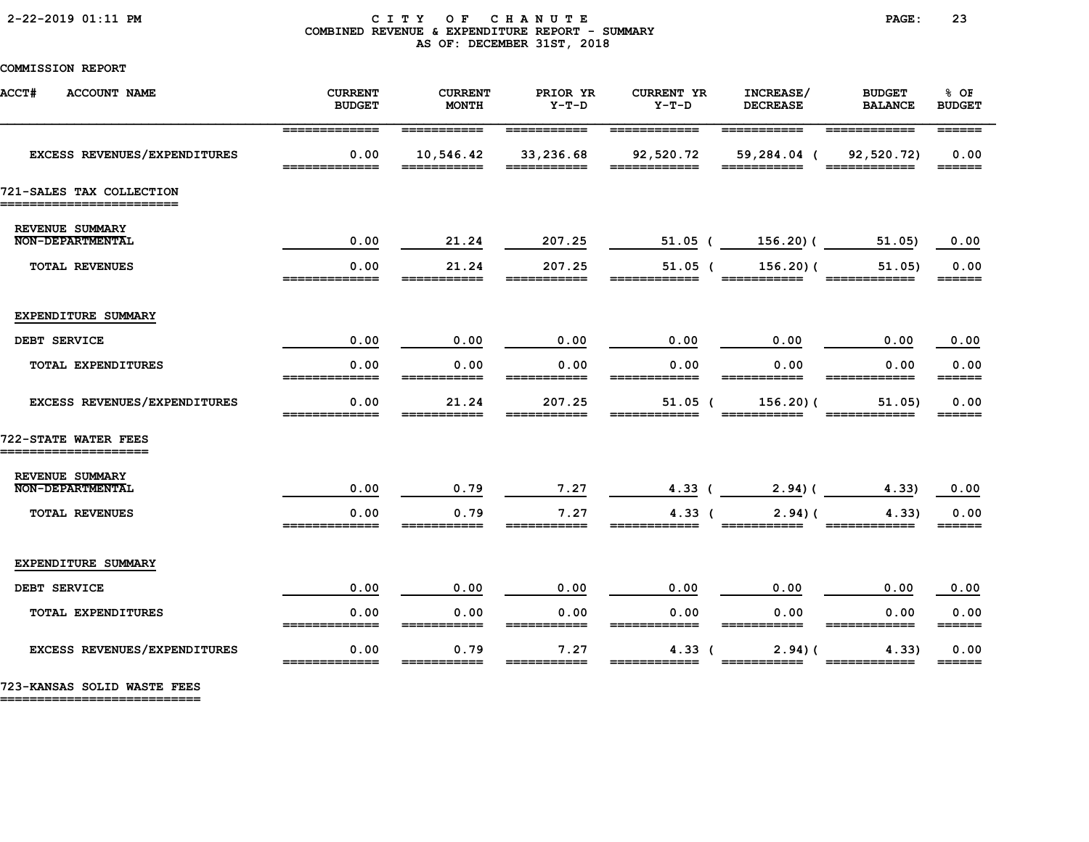### 2-22-2019 01:11 PM C I T Y O F C H A N U T E PAGE: 23 COMBINED REVENUE & EXPENDITURE REPORT - SUMMARY AS OF: DECEMBER 31ST, 2018

COMMISSION REPORT

| <b>ACCT#</b><br><b>ACCOUNT NAME</b>                  | <b>CURRENT</b><br><b>BUDGET</b>    | <b>CURRENT</b><br><b>MONTH</b>                                                                                                                                                                                                                                                                                                                                                                                                              | PRIOR YR<br>$Y-T-D$                                                                                                                                                                                                                                                                                                                                                                                                                         | <b>CURRENT YR</b><br>$Y-T-D$                                                                                       | INCREASE/<br><b>DECREASE</b>                              | <b>BUDGET</b><br><b>BALANCE</b>                                | % OF<br><b>BUDGET</b>           |
|------------------------------------------------------|------------------------------------|---------------------------------------------------------------------------------------------------------------------------------------------------------------------------------------------------------------------------------------------------------------------------------------------------------------------------------------------------------------------------------------------------------------------------------------------|---------------------------------------------------------------------------------------------------------------------------------------------------------------------------------------------------------------------------------------------------------------------------------------------------------------------------------------------------------------------------------------------------------------------------------------------|--------------------------------------------------------------------------------------------------------------------|-----------------------------------------------------------|----------------------------------------------------------------|---------------------------------|
| EXCESS REVENUES/EXPENDITURES                         | =============<br>0.00<br>========= | ===========<br>10,546.42<br>______                                                                                                                                                                                                                                                                                                                                                                                                          | ===========<br>33,236.68<br>$=$ $=$ $=$ $=$ $=$                                                                                                                                                                                                                                                                                                                                                                                             | ============<br>92,520.72<br>----                                                                                  | $=$ ===========<br>59,284.04 (<br>$=$ $=$ $=$ $=$ $=$ $=$ | ============<br>92,520.72)<br>$=$ $=$ $=$ $=$ $=$ $=$ $=$ $\,$ | 0.00<br>======                  |
| 721-SALES TAX COLLECTION<br>======================== |                                    |                                                                                                                                                                                                                                                                                                                                                                                                                                             |                                                                                                                                                                                                                                                                                                                                                                                                                                             |                                                                                                                    |                                                           |                                                                |                                 |
| REVENUE SUMMARY<br>NON-DEPARTMENTAL                  | 0.00                               | 21.24                                                                                                                                                                                                                                                                                                                                                                                                                                       | 207.25                                                                                                                                                                                                                                                                                                                                                                                                                                      | 51.05 (                                                                                                            | 156.20) (                                                 | 51.05)                                                         | 0.00                            |
| TOTAL REVENUES                                       | 0.00<br>=============              | 21.24                                                                                                                                                                                                                                                                                                                                                                                                                                       | 207.25<br>===========                                                                                                                                                                                                                                                                                                                                                                                                                       | $51.05$ (                                                                                                          | $156.20$ (                                                | 51.05)                                                         | 0.00<br>======                  |
| EXPENDITURE SUMMARY                                  |                                    |                                                                                                                                                                                                                                                                                                                                                                                                                                             |                                                                                                                                                                                                                                                                                                                                                                                                                                             |                                                                                                                    |                                                           |                                                                |                                 |
| DEBT SERVICE                                         | 0.00                               | 0.00                                                                                                                                                                                                                                                                                                                                                                                                                                        | 0.00                                                                                                                                                                                                                                                                                                                                                                                                                                        | 0.00                                                                                                               | 0.00                                                      | 0.00                                                           | 0.00                            |
| <b>TOTAL EXPENDITURES</b>                            | 0.00<br>=============              | 0.00<br>===========                                                                                                                                                                                                                                                                                                                                                                                                                         | 0.00<br>===========                                                                                                                                                                                                                                                                                                                                                                                                                         | 0.00<br>============                                                                                               | 0.00<br>===========                                       | 0.00<br>____________                                           | 0.00<br>$=$ $=$ $=$ $=$ $=$     |
| EXCESS REVENUES/EXPENDITURES                         | 0.00                               | 21.24                                                                                                                                                                                                                                                                                                                                                                                                                                       | 207.25                                                                                                                                                                                                                                                                                                                                                                                                                                      | $51.05$ (                                                                                                          | 156.20(                                                   | 51.05)                                                         | 0.00                            |
| 722-STATE WATER FEES<br>=====================        |                                    |                                                                                                                                                                                                                                                                                                                                                                                                                                             |                                                                                                                                                                                                                                                                                                                                                                                                                                             |                                                                                                                    |                                                           |                                                                |                                 |
| REVENUE SUMMARY<br><b>NON-DEPARTMENTAL</b>           | 0.00                               | 0.79                                                                                                                                                                                                                                                                                                                                                                                                                                        | 7.27                                                                                                                                                                                                                                                                                                                                                                                                                                        | 4.33 (                                                                                                             | 2.94(                                                     | 4.33)                                                          | 0.00                            |
| <b>TOTAL REVENUES</b>                                | 0.00                               | 0.79                                                                                                                                                                                                                                                                                                                                                                                                                                        | 7.27                                                                                                                                                                                                                                                                                                                                                                                                                                        | 4.33 <sub>0</sub>                                                                                                  | 2.94(                                                     | 4.33                                                           | 0.00<br>______                  |
| EXPENDITURE SUMMARY                                  |                                    |                                                                                                                                                                                                                                                                                                                                                                                                                                             |                                                                                                                                                                                                                                                                                                                                                                                                                                             |                                                                                                                    |                                                           |                                                                |                                 |
| DEBT SERVICE                                         | 0.00                               | 0.00                                                                                                                                                                                                                                                                                                                                                                                                                                        | 0.00                                                                                                                                                                                                                                                                                                                                                                                                                                        | 0.00                                                                                                               | 0.00                                                      | 0.00                                                           | 0.00                            |
| TOTAL EXPENDITURES                                   | 0.00<br>=============              | 0.00                                                                                                                                                                                                                                                                                                                                                                                                                                        | 0.00                                                                                                                                                                                                                                                                                                                                                                                                                                        | 0.00<br>$\begin{array}{c} \texttt{m} = \texttt{m} = \texttt{m} = \texttt{m} = \texttt{m} = \texttt{m} \end{array}$ | 0.00<br>===========                                       | 0.00<br>============                                           | 0.00                            |
| EXCESS REVENUES/EXPENDITURES                         | 0.00<br>=============              | 0.79<br>$\begin{array}{cccccccccc} \texttt{m} & \texttt{m} & \texttt{m} & \texttt{m} & \texttt{m} & \texttt{m} & \texttt{m} & \texttt{m} & \texttt{m} & \texttt{m} & \texttt{m} & \texttt{m} & \texttt{m} & \texttt{m} & \texttt{m} & \texttt{m} & \texttt{m} & \texttt{m} & \texttt{m} & \texttt{m} & \texttt{m} & \texttt{m} & \texttt{m} & \texttt{m} & \texttt{m} & \texttt{m} & \texttt{m} & \texttt{m} & \texttt{m} & \texttt{m} & \$ | 7.27<br>$\begin{array}{cccccccccc} \texttt{m} & \texttt{m} & \texttt{m} & \texttt{m} & \texttt{m} & \texttt{m} & \texttt{m} & \texttt{m} & \texttt{m} & \texttt{m} & \texttt{m} & \texttt{m} & \texttt{m} & \texttt{m} & \texttt{m} & \texttt{m} & \texttt{m} & \texttt{m} & \texttt{m} & \texttt{m} & \texttt{m} & \texttt{m} & \texttt{m} & \texttt{m} & \texttt{m} & \texttt{m} & \texttt{m} & \texttt{m} & \texttt{m} & \texttt{m} & \$ | 4.33 <sub>0</sub><br>============                                                                                  | 2.94(<br>===========                                      | 4.33                                                           | 0.00<br>$=$ $=$ $=$ $=$ $=$ $=$ |

723-KANSAS SOLID WASTE FEES

===========================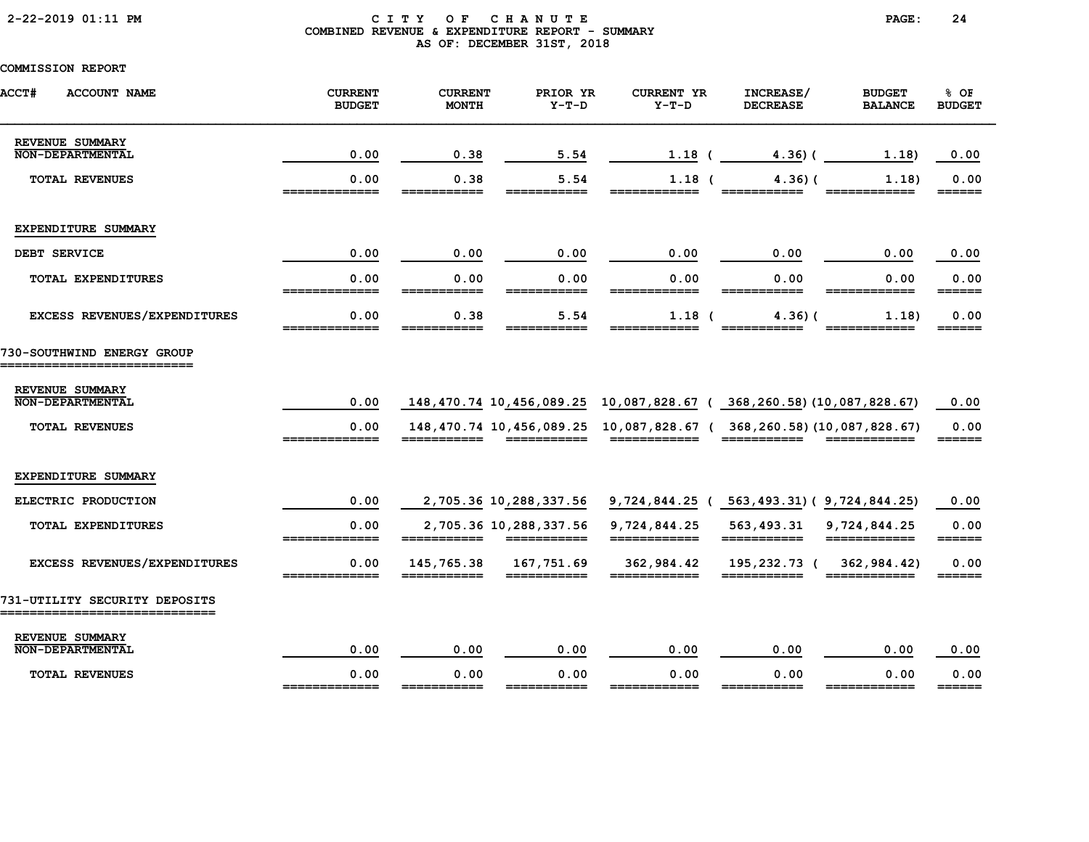# 2-22-2019 01:11 PM C I T Y O F C H A N U T E PAGE: 24 COMBINED REVENUE & EXPENDITURE REPORT - SUMMARY AS OF: DECEMBER 31ST, 2018

| <b>ACCT#</b><br><b>ACCOUNT NAME</b>                          | <b>CURRENT</b><br><b>BUDGET</b> | <b>CURRENT</b><br><b>MONTH</b> | PRIOR YR<br>$Y-T-D$    | <b>CURRENT YR</b><br>$Y-T-D$                                                                                       | INCREASE/<br><b>DECREASE</b> | <b>BUDGET</b><br><b>BALANCE</b> | % OF<br><b>BUDGET</b>           |
|--------------------------------------------------------------|---------------------------------|--------------------------------|------------------------|--------------------------------------------------------------------------------------------------------------------|------------------------------|---------------------------------|---------------------------------|
| REVENUE SUMMARY<br>NON-DEPARTMENTAL                          | 0.00                            | 0.38                           | 5.54                   | 1.18                                                                                                               | 4.36(                        | 1.18)                           | 0.00                            |
| <b>TOTAL REVENUES</b>                                        | 0.00<br>=============           | 0.38<br>___________            | 5.54<br>___________    | $1.18$ (<br>____________                                                                                           | 4.36(<br>___________         | 1.18)                           | 0.00<br>$=$ $=$ $=$ $=$ $=$     |
| EXPENDITURE SUMMARY                                          |                                 |                                |                        |                                                                                                                    |                              |                                 |                                 |
| DEBT SERVICE                                                 | 0.00                            | 0.00                           | 0.00                   | 0.00                                                                                                               | 0.00                         | 0.00                            | 0.00                            |
| TOTAL EXPENDITURES                                           | 0.00<br>=============           | 0.00<br>===========            | 0.00<br>===========    | 0.00<br>$\begin{array}{c} \texttt{m} = \texttt{m} = \texttt{m} = \texttt{m} = \texttt{m} = \texttt{m} \end{array}$ | 0.00<br>===========          | 0.00<br>============            | 0.00                            |
| EXCESS REVENUES/EXPENDITURES                                 | 0.00<br>______________          | 0.38                           | 5.54                   | $1.18$ (                                                                                                           | 4.36(                        | 1.18)                           | 0.00<br>$=$ $=$ $=$ $=$ $=$     |
| 730-SOUTHWIND ENERGY GROUP                                   |                                 |                                |                        |                                                                                                                    |                              |                                 |                                 |
| REVENUE SUMMARY<br><b>NON-DEPARTMENTAL</b>                   | 0.00                            |                                |                        | 148,470.74 10,456,089.25 10,087,828.67 (368,260.58) (10,087,828.67)                                                |                              |                                 | 0.00                            |
| <b>TOTAL REVENUES</b>                                        | 0.00<br>--------------          | ___________                    | ------------           | 148,470.74 10,456,089.25 10,087,828.67 (368,260.58) (10,087,828.67)<br>____________                                | ___________                  |                                 | 0.00<br>$=$ $=$ $=$ $=$ $=$ $=$ |
| EXPENDITURE SUMMARY                                          |                                 |                                |                        |                                                                                                                    |                              |                                 |                                 |
| ELECTRIC PRODUCTION                                          | 0.00                            |                                | 2,705.36 10,288,337.56 | 9,724,844.25 (563,493.31) (9,724,844.25)                                                                           |                              |                                 | 0.00                            |
| TOTAL EXPENDITURES                                           | 0.00                            |                                | 2,705.36 10,288,337.56 | 9,724,844.25                                                                                                       | 563,493.31<br>===========    | 9,724,844.25<br>============    | 0.00                            |
| EXCESS REVENUES/EXPENDITURES                                 | 0.00                            | 145,765.38                     | 167,751.69             | 362,984.42                                                                                                         | 195,232.73 (                 | 362,984.42)                     | 0.00<br>______                  |
| 731-UTILITY SECURITY DEPOSITS<br>___________________________ |                                 |                                |                        |                                                                                                                    |                              |                                 |                                 |
| REVENUE SUMMARY<br>NON-DEPARTMENTAL                          | 0.00                            | 0.00                           | 0.00                   | 0.00                                                                                                               | 0.00                         | 0.00                            | 0.00                            |
| <b>TOTAL REVENUES</b>                                        | 0.00<br>=============           | 0.00                           | 0.00<br>===========    | 0.00<br>============                                                                                               | 0.00                         | 0.00                            | 0.00<br>======                  |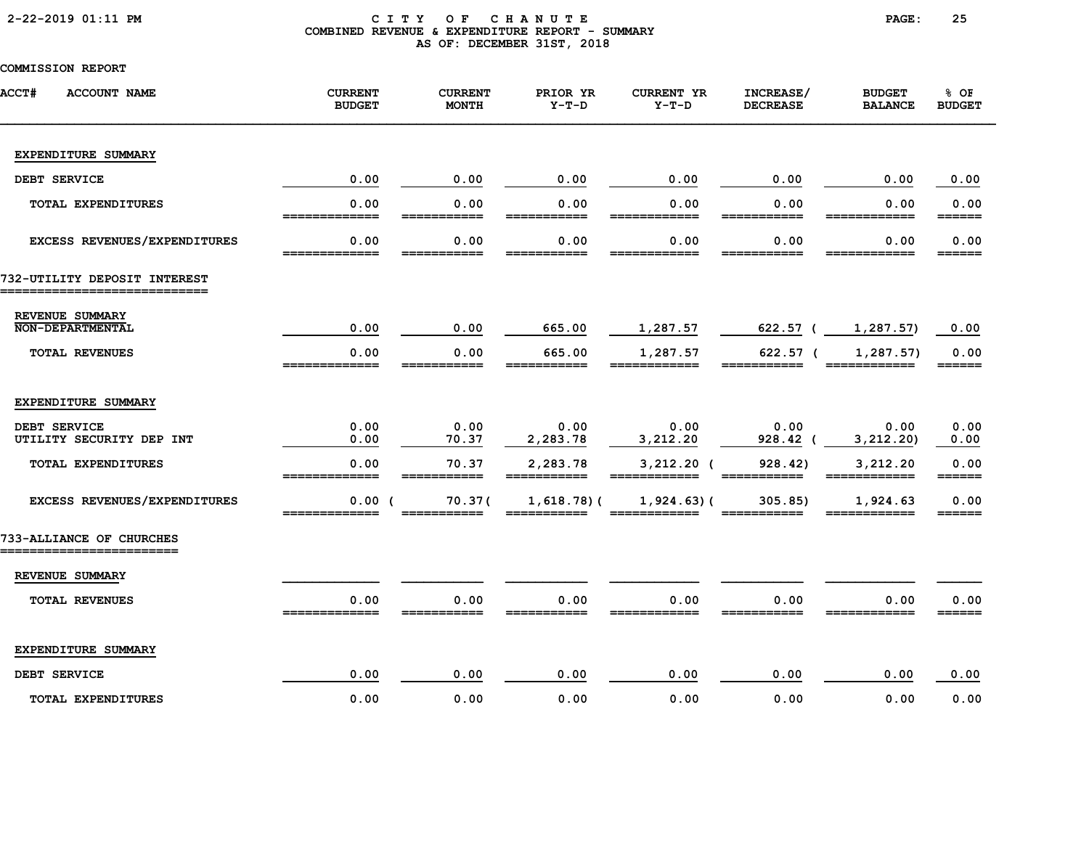# 2-22-2019 01:11 PM C I T Y O F C H A N U T E PAGE: 25 COMBINED REVENUE & EXPENDITURE REPORT - SUMMARY AS OF: DECEMBER 31ST, 2018

| <b>ACCT#</b><br><b>ACCOUNT NAME</b>        | <b>CURRENT</b><br><b>BUDGET</b> | <b>CURRENT</b><br><b>MONTH</b> | PRIOR YR<br>$Y-T-D$ | <b>CURRENT YR</b><br>$Y-T-D$ | INCREASE/<br><b>DECREASE</b> | <b>BUDGET</b><br><b>BALANCE</b> | 8 OF<br><b>BUDGET</b> |
|--------------------------------------------|---------------------------------|--------------------------------|---------------------|------------------------------|------------------------------|---------------------------------|-----------------------|
| EXPENDITURE SUMMARY                        |                                 |                                |                     |                              |                              |                                 |                       |
| DEBT SERVICE                               | 0.00                            | 0.00                           | 0.00                | 0.00                         | 0.00                         | 0.00                            | 0.00                  |
| TOTAL EXPENDITURES                         | 0.00                            | 0.00                           | 0.00                | 0.00                         | 0.00                         | 0.00                            | 0.00                  |
| EXCESS REVENUES/EXPENDITURES               | 0.00<br>_____                   | 0.00<br>======                 | 0.00<br>=====       | 0.00<br>=====                | 0.00<br>======               | 0.00<br>-------                 | 0.00<br>======        |
| 732-UTILITY DEPOSIT INTEREST               |                                 |                                |                     |                              |                              |                                 |                       |
| REVENUE SUMMARY<br><b>NON-DEPARTMENTAL</b> | 0.00                            | 0.00                           | 665.00              | 1,287.57                     | 622.57 (                     | 1,287.57)                       | 0.00                  |
| <b>TOTAL REVENUES</b>                      | 0.00                            | 0.00                           | 665.00              | 1,287.57                     | $622.57$ (                   | 1,287.57)                       | 0.00<br>======        |
| EXPENDITURE SUMMARY                        |                                 |                                |                     |                              |                              |                                 |                       |
| DEBT SERVICE<br>UTILITY SECURITY DEP INT   | 0.00<br>0.00                    | 0.00<br>70.37                  | 0.00<br>2,283.78    | 0.00<br>3,212.20             | 0.00<br>928.42 (             | 0.00<br>3, 212.20               | 0.00<br>0.00          |
| TOTAL EXPENDITURES                         | 0.00                            | 70.37                          | 2,283.78            | $3,212.20$ (                 | 928.42)                      | 3,212.20                        | 0.00<br>______        |
| EXCESS REVENUES/EXPENDITURES               | 0.00(                           | 70.37(                         | $1,618.78$ ) (      | $1,924.63$ (                 | 305.85)                      | 1,924.63                        | 0.00<br>======        |
| 733-ALLIANCE OF CHURCHES                   |                                 |                                |                     |                              |                              |                                 |                       |
| REVENUE SUMMARY                            |                                 |                                |                     |                              |                              |                                 |                       |
| <b>TOTAL REVENUES</b>                      | 0.00<br>_____________           | 0.00                           | 0.00                | 0.00                         | 0.00                         | 0.00                            | 0.00<br>======        |
| EXPENDITURE SUMMARY                        |                                 |                                |                     |                              |                              |                                 |                       |
| DEBT SERVICE                               | 0.00                            | 0.00                           | 0.00                | 0.00                         | 0.00                         | 0.00                            | 0.00                  |
| <b>TOTAL EXPENDITURES</b>                  | 0.00                            | 0.00                           | 0.00                | 0.00                         | 0.00                         | 0.00                            | 0.00                  |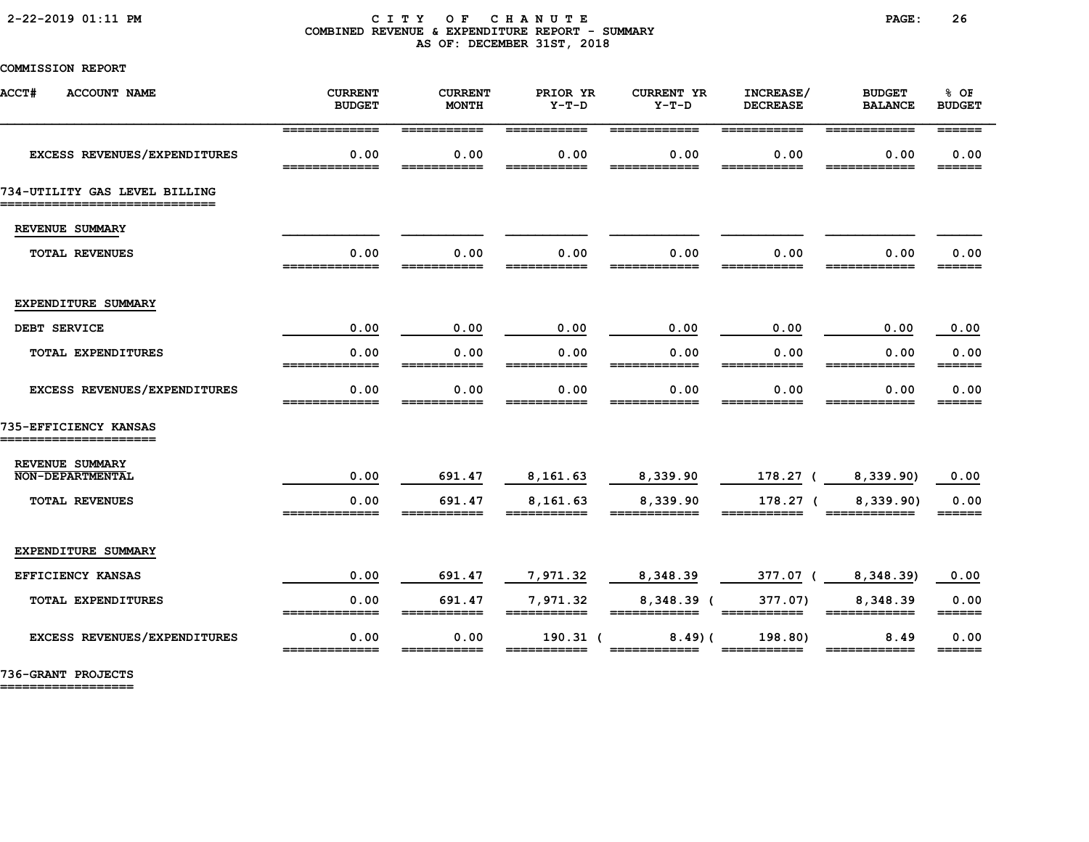### 2-22-2019 01:11 PM C I T Y O F C H A N U T E PAGE: 26 COMBINED REVENUE & EXPENDITURE REPORT - SUMMARY AS OF: DECEMBER 31ST, 2018

COMMISSION REPORT

| ACCT#<br><b>ACCOUNT NAME</b>                                     | <b>CURRENT</b><br><b>BUDGET</b> | <b>CURRENT</b><br><b>MONTH</b> | PRIOR YR<br>$Y-T-D$  | <b>CURRENT YR</b><br>$Y-T-D$ | INCREASE/<br><b>DECREASE</b> | <b>BUDGET</b><br><b>BALANCE</b> | % OF<br><b>BUDGET</b>               |
|------------------------------------------------------------------|---------------------------------|--------------------------------|----------------------|------------------------------|------------------------------|---------------------------------|-------------------------------------|
|                                                                  | =============                   | ===========                    | ===========          | ============                 | ===========                  | ============                    |                                     |
| EXCESS REVENUES/EXPENDITURES                                     | 0.00                            | 0.00                           | 0.00                 | 0.00                         | 0.00                         | 0.00                            | 0.00<br>======                      |
| 734-UTILITY GAS LEVEL BILLING<br>_______________________________ |                                 |                                |                      |                              |                              |                                 |                                     |
| REVENUE SUMMARY                                                  |                                 |                                |                      |                              |                              |                                 |                                     |
| <b>TOTAL REVENUES</b>                                            | 0.00<br>_____________           | 0.00<br>___________            | 0.00<br>___________  | 0.00<br>$=$ ============     | 0.00<br>___________          | 0.00<br>============            | 0.00<br>$======$                    |
| EXPENDITURE SUMMARY                                              |                                 |                                |                      |                              |                              |                                 |                                     |
| DEBT SERVICE                                                     | 0.00                            | 0.00                           | 0.00                 | 0.00                         | 0.00                         | 0.00                            | 0.00                                |
| TOTAL EXPENDITURES                                               | 0.00                            | 0.00                           | 0.00                 | 0.00                         | 0.00                         | 0.00                            | 0.00<br>______                      |
| EXCESS REVENUES/EXPENDITURES                                     | 0.00<br>-------------           | 0.00<br>___________            | 0.00<br>------------ | 0.00<br>-------------        | 0.00<br>___________          | 0.00<br>____________            | 0.00<br>$=$ $=$ $=$ $=$ $=$ $=$     |
| 735-EFFICIENCY KANSAS<br>--------------------                    |                                 |                                |                      |                              |                              |                                 |                                     |
| REVENUE SUMMARY<br>NON-DEPARTMENTAL                              | 0.00                            | 691.47                         | 8,161.63             | 8,339.90                     | 178.27 (                     | 8,339.90)                       | 0.00                                |
| <b>TOTAL REVENUES</b>                                            | 0.00                            | 691.47                         | 8,161.63             | 8,339.90                     | 178.27 (                     | 8,339.90)                       | 0.00                                |
|                                                                  |                                 |                                |                      |                              |                              |                                 |                                     |
| EXPENDITURE SUMMARY                                              |                                 |                                |                      |                              |                              |                                 |                                     |
| EFFICIENCY KANSAS                                                | 0.00                            | 691.47                         | 7,971.32             | 8,348.39                     | 377.07 (                     | 8,348.39                        | 0.00                                |
| TOTAL EXPENDITURES                                               | 0.00                            | 691.47                         | 7,971.32             | 8,348.39 (                   | 377.07)                      | 8,348.39                        | 0.00<br>======                      |
| <b>EXCESS REVENUES/EXPENDITURES</b>                              | 0.00<br>_____________           | 0.00<br>===========            | $190.31$ (           | 8.49(<br>============        | 198.80<br>$=$ ===========    | 8.49<br>============            | 0.00<br>$=$ $=$ $=$ $=$ $=$ $=$ $=$ |

736-GRANT PROJECTS

==================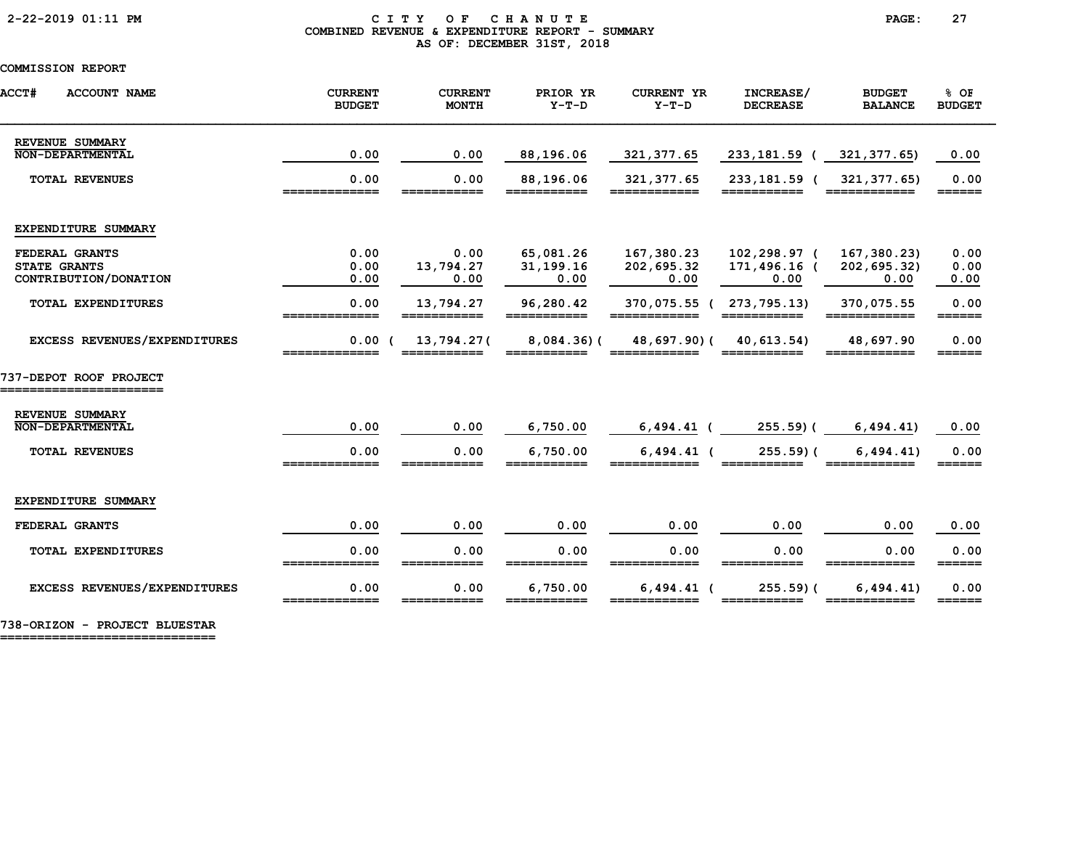### 2-22-2019 01:11 PM C I T Y O F C H A N U T E PAGE: 27 COMBINED REVENUE & EXPENDITURE REPORT - SUMMARY AS OF: DECEMBER 31ST, 2018

# COMMISSION REPORT

| <b>ACCT#</b><br><b>ACCOUNT NAME</b>                            | <b>CURRENT</b><br><b>BUDGET</b> | <b>CURRENT</b><br><b>MONTH</b> | PRIOR YR<br>$Y-T-D$            | <b>CURRENT YR</b><br>$Y-T-D$             | INCREASE/<br><b>DECREASE</b>         | <b>BUDGET</b><br><b>BALANCE</b>    | % OF<br><b>BUDGET</b> |
|----------------------------------------------------------------|---------------------------------|--------------------------------|--------------------------------|------------------------------------------|--------------------------------------|------------------------------------|-----------------------|
| REVENUE SUMMARY<br>NON-DEPARTMENTAL                            | 0.00                            | 0.00                           | 88,196.06                      | 321, 377.65                              | 233,181.59 (                         | 321, 377.65)                       | 0.00                  |
| <b>TOTAL REVENUES</b>                                          | 0.00                            | 0.00                           | 88,196.06                      | 321, 377.65                              | 233,181.59 (                         | 321, 377.65)                       | 0.00<br>______        |
| EXPENDITURE SUMMARY                                            |                                 |                                |                                |                                          |                                      |                                    |                       |
| FEDERAL GRANTS<br><b>STATE GRANTS</b><br>CONTRIBUTION/DONATION | 0.00<br>0.00<br>0.00            | 0.00<br>13,794.27<br>0.00      | 65,081.26<br>31,199.16<br>0.00 | 167,380.23<br>202,695.32<br>0.00         | 102,298.97 (<br>171,496.16 (<br>0.00 | 167,380.23)<br>202,695.32)<br>0.00 | 0.00<br>0.00<br>0.00  |
| <b>TOTAL EXPENDITURES</b>                                      | 0.00                            | 13,794.27<br>===========       | 96,280.42<br>===========       | 370,075.55 ( 273,795.13)<br>============ |                                      | 370,075.55<br>============         | 0.00                  |
| EXCESS REVENUES/EXPENDITURES                                   | 0.00(                           | 13,794.27(                     | $8,084.36$ (                   |                                          | 48,697.90) (40,613.54)               | 48,697.90                          | 0.00<br>______        |
| 737-DEPOT ROOF PROJECT<br>--------------------                 |                                 |                                |                                |                                          |                                      |                                    |                       |
| REVENUE SUMMARY<br><b>NON-DEPARTMENTAL</b>                     | 0.00                            | 0.00                           | 6,750.00                       | $6,494.41$ (                             | $255.59$ (                           | 6,494.41)                          | 0.00                  |
| <b>TOTAL REVENUES</b>                                          | 0.00                            | 0.00                           | 6,750.00                       | $6,494.41$ (                             | $255.59$ (                           | 6, 494.41)                         | 0.00<br>------        |
| EXPENDITURE SUMMARY                                            |                                 |                                |                                |                                          |                                      |                                    |                       |
| FEDERAL GRANTS                                                 | 0.00                            | 0.00                           | 0.00                           | 0.00                                     | 0.00                                 | 0.00                               | 0.00                  |
| TOTAL EXPENDITURES                                             | 0.00<br>-------------           | 0.00                           | 0.00                           | 0.00                                     | 0.00                                 | 0.00                               | 0.00<br>======        |
| EXCESS REVENUES/EXPENDITURES                                   | 0.00<br>=============           | 0.00                           | 6,750.00                       | $6,494.41$ (                             | $255.59$ ) (                         | 6, 494.41)                         | 0.00<br>======        |

738-ORIZON - PROJECT BLUESTAR

=============================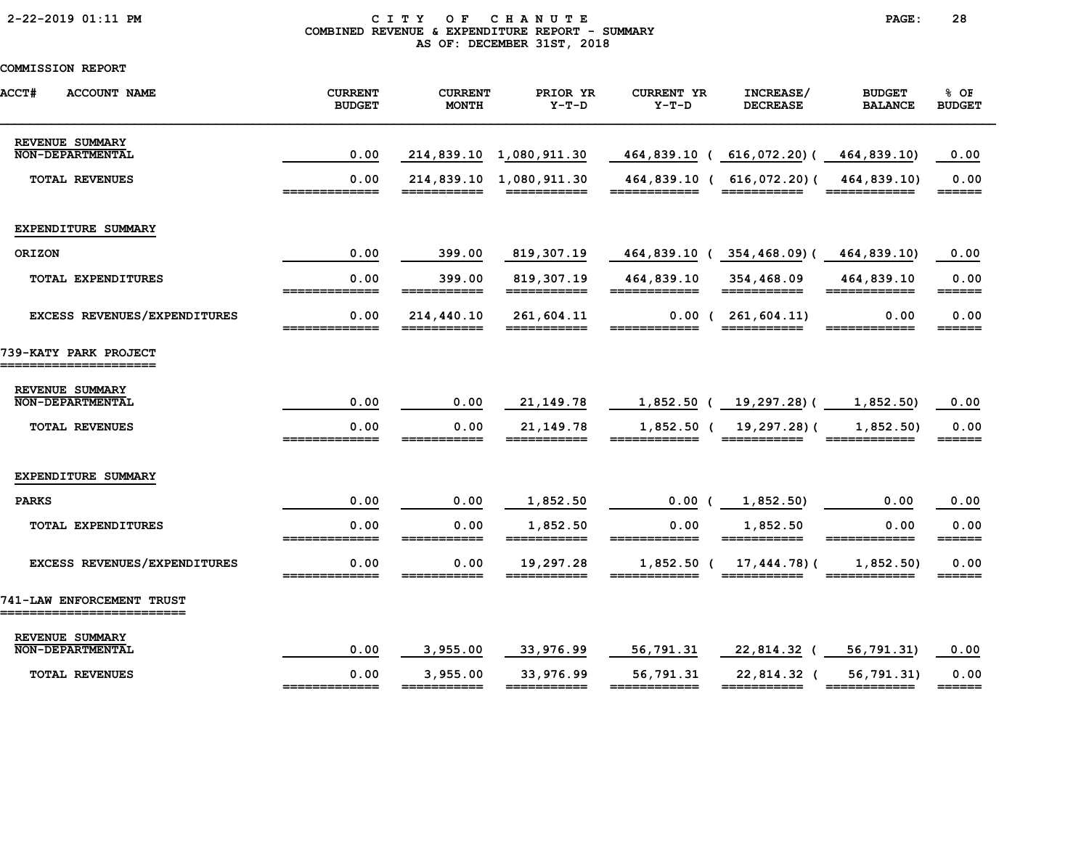# 2-22-2019 01:11 PM C I T Y O F C H A N U T E PAGE: 28 COMBINED REVENUE & EXPENDITURE REPORT - SUMMARY AS OF: DECEMBER 31ST, 2018

| ACCT#<br><b>ACCOUNT NAME</b>                      | <b>CURRENT</b><br><b>BUDGET</b> | <b>CURRENT</b><br><b>MONTH</b> | PRIOR YR<br>$Y-T-D$        | <b>CURRENT YR</b><br>$Y-T-D$ | INCREASE/<br><b>DECREASE</b>                                                                      | <b>BUDGET</b><br><b>BALANCE</b> | % OF<br><b>BUDGET</b>           |
|---------------------------------------------------|---------------------------------|--------------------------------|----------------------------|------------------------------|---------------------------------------------------------------------------------------------------|---------------------------------|---------------------------------|
| REVENUE SUMMARY<br><b>NON-DEPARTMENTAL</b>        | 0.00                            |                                | 214,839.10 1,080,911.30    | 464,839.10 (                 | 616,072.20)(                                                                                      | 464,839.10)                     | 0.00                            |
| <b>TOTAL REVENUES</b>                             | 0.00<br>=============           | ===========                    | 214,839.10 1,080,911.30    | 464,839.10 (<br>============ | $616,072.20$ (<br>$\begin{array}{cccccccccc} = & = & = & = & = & = & = & = & = & = & \end{array}$ | 464,839.10)                     | 0.00                            |
| EXPENDITURE SUMMARY                               |                                 |                                |                            |                              |                                                                                                   |                                 |                                 |
| ORIZON                                            | 0.00                            | 399.00                         | 819,307.19                 |                              | 464,839.10 (354,468.09) (                                                                         | 464,839.10)                     | 0.00                            |
| <b>TOTAL EXPENDITURES</b>                         | 0.00<br>=============           | 399.00<br>___________          | 819, 307.19<br>=========== | 464,839.10<br>============   | 354,468.09                                                                                        | 464,839.10<br>============      | 0.00<br>$=$ $=$ $=$ $=$ $=$ $=$ |
| EXCESS REVENUES/EXPENDITURES                      | 0.00<br>=============           | 214,440.10<br>===========      | 261,604.11<br>===========  | ____________                 | $0.00$ ( $261,604.11$ )                                                                           | 0.00                            | 0.00<br>======                  |
| 739-KATY PARK PROJECT<br>======================   |                                 |                                |                            |                              |                                                                                                   |                                 |                                 |
| REVENUE SUMMARY                                   |                                 |                                |                            |                              |                                                                                                   |                                 |                                 |
| <b>NON-DEPARTMENTAL</b>                           | 0.00                            | 0.00                           | 21, 149. 78                |                              | $1,852.50$ ( $19,297.28$ )(                                                                       | 1,852.50)                       | 0.00                            |
| <b>TOTAL REVENUES</b>                             | 0.00<br>=============           | 0.00<br>___________            | 21, 149. 78<br>=========== | $1,852.50$ (<br>============ | 19,297.28)(<br>===========                                                                        | 1,852.50<br>============        | 0.00<br>======                  |
| EXPENDITURE SUMMARY                               |                                 |                                |                            |                              |                                                                                                   |                                 |                                 |
| <b>PARKS</b>                                      | 0.00                            | 0.00                           | 1,852.50                   | 0.00                         | 1,852.50)                                                                                         | 0.00                            | 0.00                            |
| <b>TOTAL EXPENDITURES</b>                         | 0.00<br>=============           | 0.00<br>___________            | 1,852.50<br>===========    | 0.00<br>____________         | 1,852.50<br>===========                                                                           | 0.00<br>============            | 0.00                            |
| EXCESS REVENUES/EXPENDITURES                      | 0.00                            | 0.00                           | 19,297.28                  | $1,852.50$ (                 | 17,444.78)(                                                                                       | 1,852.50                        | 0.00<br>======                  |
| 741-LAW ENFORCEMENT TRUST<br>==================== |                                 |                                |                            |                              |                                                                                                   |                                 |                                 |
| REVENUE SUMMARY<br><b>NON-DEPARTMENTAL</b>        | 0.00                            | 3,955.00                       | 33,976.99                  | 56,791.31                    | 22,814.32 (                                                                                       | 56,791.31)                      | 0.00                            |
| <b>TOTAL REVENUES</b>                             | 0.00<br>_____________           | 3,955.00<br>===========        | 33,976.99<br>===========   | 56,791.31<br>============    | 22,814.32 (                                                                                       | 56,791.31)<br>============      | 0.00<br>======                  |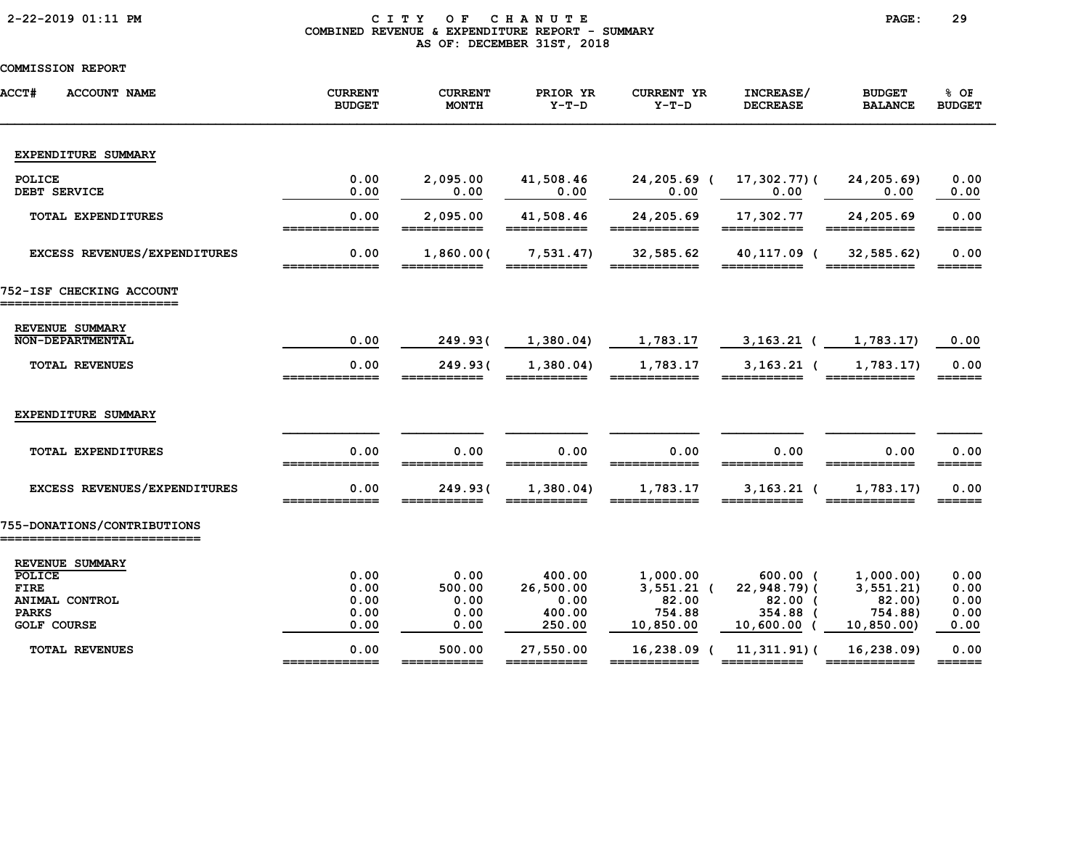# 2-22-2019 01:11 PM C I T Y O F C H A N U T E PAGE: 29 COMBINED REVENUE & EXPENDITURE REPORT - SUMMARY AS OF: DECEMBER 31ST, 2018

| <b>ACCT#</b><br><b>ACCOUNT NAME</b> | <b>CURRENT</b><br><b>BUDGET</b> | <b>CURRENT</b><br><b>MONTH</b> | PRIOR YR<br>$Y-T-D$      | <b>CURRENT YR</b><br>$Y-T-D$ | INCREASE/<br><b>DECREASE</b>                                                                   | <b>BUDGET</b><br><b>BALANCE</b>                                                                                          | % OF<br><b>BUDGET</b>               |
|-------------------------------------|---------------------------------|--------------------------------|--------------------------|------------------------------|------------------------------------------------------------------------------------------------|--------------------------------------------------------------------------------------------------------------------------|-------------------------------------|
| EXPENDITURE SUMMARY                 |                                 |                                |                          |                              |                                                                                                |                                                                                                                          |                                     |
| POLICE<br>DEBT SERVICE              | 0.00<br>0.00                    | 2,095.00<br>0.00               | 41,508.46<br>0.00        | 24,205.69 (<br>0.00          | 17,302.77)(<br>0.00                                                                            | 24,205.69)<br>0.00                                                                                                       | 0.00<br>0.00                        |
| <b>TOTAL EXPENDITURES</b>           | 0.00                            | 2,095.00                       | 41,508.46<br>$=====$     | 24,205.69                    | 17,302.77<br>$====$                                                                            | 24,205.69                                                                                                                | 0.00<br>______                      |
| EXCESS REVENUES/EXPENDITURES        | 0.00<br>=============           | 1,860.00(<br>===========       | 7,531.47<br>===========  | 32,585.62<br>============    | 40,117.09 (<br>===========                                                                     | 32,585.62)<br>============                                                                                               | 0.00<br>$=$ $=$ $=$ $=$ $=$ $=$ $=$ |
| 752-ISF CHECKING ACCOUNT            |                                 |                                |                          |                              |                                                                                                |                                                                                                                          |                                     |
| REVENUE SUMMARY<br>NON-DEPARTMENTAL | 0.00                            | 249.93(                        | 1,380.04)                | 1,783.17                     | $3,163.21$ (                                                                                   | 1,783.17)                                                                                                                | 0.00                                |
| <b>TOTAL REVENUES</b>               | 0.00<br>=============           | 249.93(<br>------------        | 1,380.04<br>___________  | 1,783.17                     | $3,163.21$ (                                                                                   | 1,783.17)<br>============                                                                                                | 0.00<br>======                      |
| EXPENDITURE SUMMARY                 |                                 |                                |                          |                              |                                                                                                |                                                                                                                          |                                     |
| <b>TOTAL EXPENDITURES</b>           | 0.00<br>-------------           | 0.00<br>___________            | 0.00<br>___________      | 0.00<br>____________         | 0.00<br>-----------                                                                            | 0.00                                                                                                                     | 0.00<br>$=$ $=$ $=$ $=$ $=$         |
| <b>EXCESS REVENUES/EXPENDITURES</b> | 0.00<br>=============           | 249.936                        | 1,380.04                 | 1,783.17                     | $3,163.21$ (                                                                                   | 1,783.17)                                                                                                                | 0.00<br>======                      |
| 755-DONATIONS/CONTRIBUTIONS         |                                 |                                |                          |                              |                                                                                                |                                                                                                                          |                                     |
| REVENUE SUMMARY<br>POLICE           | 0.00                            | 0.00                           | 400.00                   | 1,000.00                     | $600.00$ (                                                                                     | 1,000.00)                                                                                                                | 0.00                                |
| <b>FIRE</b>                         | 0.00                            | 500.00                         | 26,500.00                | $3,551.21$ (                 | 22,948.79)(                                                                                    | 3, 551.21)                                                                                                               | 0.00                                |
| ANIMAL CONTROL                      | 0.00                            | 0.00                           | 0.00                     | 82.00                        | $82.00$ (                                                                                      | 82.00                                                                                                                    | 0.00                                |
| <b>PARKS</b>                        | 0.00                            | 0.00                           | 400.00                   | 754.88                       | 354.88 (                                                                                       | 754.88)                                                                                                                  | 0.00                                |
| <b>GOLF COURSE</b>                  | 0.00                            | 0.00                           | 250.00                   | 10,850.00                    | 10,600.00                                                                                      | 10, 850.00                                                                                                               | 0.00                                |
| <b>TOTAL REVENUES</b>               | 0.00<br>_____________           | 500.00<br>===========          | 27,550.00<br>=========== | 16,238.09 (<br>============  | 11,311.91)(<br>$\begin{array}{cccccccccc} = & = & = & = & = & = & = & = & = & = & \end{array}$ | 16,238.09)<br>$\begin{array}{c} \texttt{m} = \texttt{m} = \texttt{m} = \texttt{m} = \texttt{m} = \texttt{m} \end{array}$ | 0.00<br>$=$ $=$ $=$ $=$ $=$         |
|                                     |                                 |                                |                          |                              |                                                                                                |                                                                                                                          |                                     |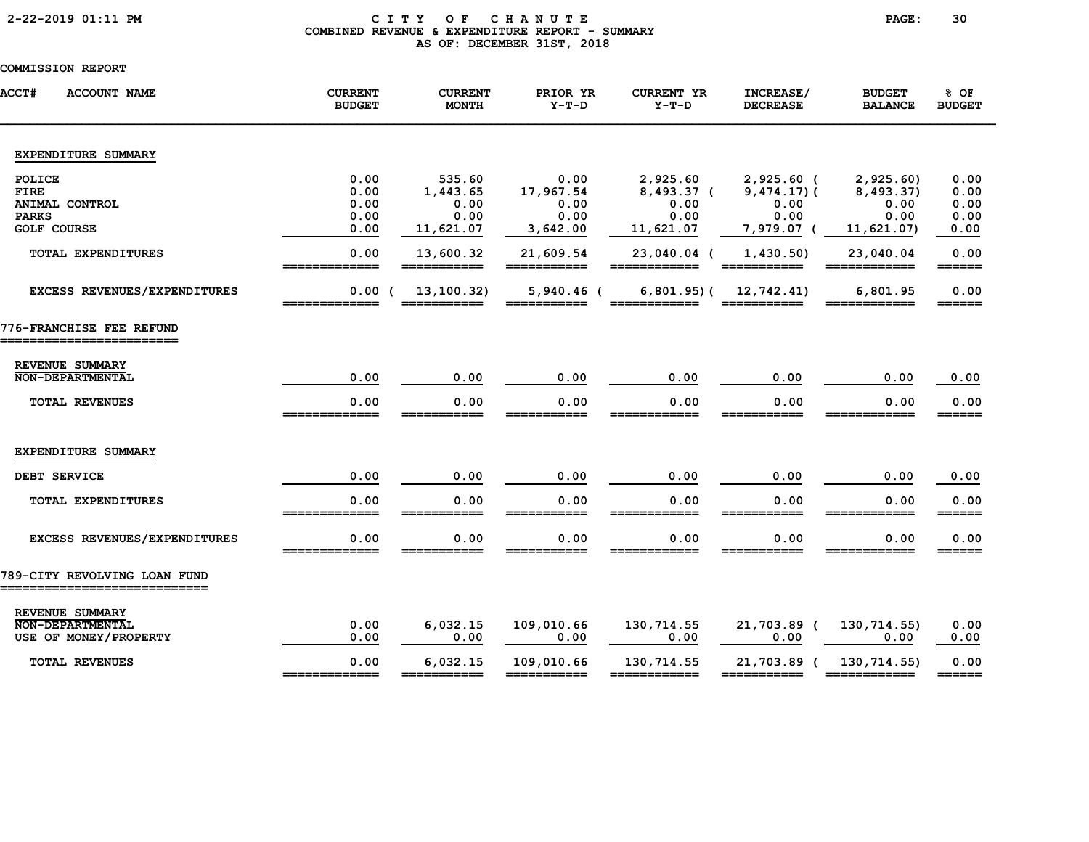# 2-22-2019 01:11 PM C I T Y O F C H A N U T E PAGE: 30 COMBINED REVENUE & EXPENDITURE REPORT - SUMMARY AS OF: DECEMBER 31ST, 2018

| <b>ACCT#</b><br><b>ACCOUNT NAME</b>                           | <b>CURRENT</b><br><b>BUDGET</b> | <b>CURRENT</b><br><b>MONTH</b> | PRIOR YR<br>$Y-T-D$         | <b>CURRENT YR</b><br>$Y-T-D$ | INCREASE/<br><b>DECREASE</b>   | <b>BUDGET</b><br><b>BALANCE</b> | % OF<br><b>BUDGET</b>       |
|---------------------------------------------------------------|---------------------------------|--------------------------------|-----------------------------|------------------------------|--------------------------------|---------------------------------|-----------------------------|
| EXPENDITURE SUMMARY                                           |                                 |                                |                             |                              |                                |                                 |                             |
| POLICE<br><b>FIRE</b>                                         | 0.00<br>0.00                    | 535.60<br>1,443.65             | 0.00<br>17,967.54           | 2,925.60<br>8,493.37 (       | $2,925.60$ (<br>$9,474.17$ ) ( | 2,925.60<br>8,493.37)           | 0.00<br>0.00                |
| ANIMAL CONTROL<br><b>PARKS</b><br><b>GOLF COURSE</b>          | 0.00<br>0.00<br>0.00            | 0.00<br>0.00<br>11,621.07      | 0.00<br>0.00<br>3,642.00    | 0.00<br>0.00<br>11,621.07    | 0.00<br>0.00<br>7,979.07 (     | 0.00<br>0.00<br>11,621.07)      | 0.00<br>0.00<br>0.00        |
| TOTAL EXPENDITURES                                            | 0.00<br>___                     | 13,600.32<br>---<br>______     | 21,609.54<br>_______        | 23,040.04 (                  | 1,430.50)                      | 23,040.04                       | 0.00<br>$=$ $=$ $=$ $=$ $=$ |
| EXCESS REVENUES/EXPENDITURES                                  | 0.00(<br>=============          | 13,100.32)<br>===========      | $5,940.46$ (<br>=========== | $6,801.95$ (<br>____________ | 12,742.41)<br>===========      | 6,801.95<br>____________        | 0.00<br>$=$ $=$ $=$ $=$ $=$ |
| 776-FRANCHISE FEE REFUND<br>========================          |                                 |                                |                             |                              |                                |                                 |                             |
| REVENUE SUMMARY<br><b>NON-DEPARTMENTAL</b>                    | 0.00                            | 0.00                           | 0.00                        | 0.00                         | 0.00                           | 0.00                            | 0.00                        |
| <b>TOTAL REVENUES</b>                                         | 0.00<br>=============           | 0.00<br>===========            | 0.00<br>===========         | 0.00<br>============         | 0.00<br>===========            | 0.00<br>____________            | 0.00<br>======              |
| EXPENDITURE SUMMARY                                           |                                 |                                |                             |                              |                                |                                 |                             |
| DEBT SERVICE                                                  | 0.00                            | 0.00                           | 0.00                        | 0.00                         | 0.00                           | 0.00                            | 0.00                        |
| <b>TOTAL EXPENDITURES</b>                                     | 0.00<br>_____________           | 0.00                           | 0.00                        | 0.00                         | 0.00                           | 0.00                            | 0.00<br>$=$ $=$ $=$ $=$ $=$ |
| EXCESS REVENUES/EXPENDITURES                                  | 0.00                            | 0.00                           | 0.00                        | 0.00                         | 0.00                           | 0.00                            | 0.00<br>______              |
| 789-CITY REVOLVING LOAN FUND<br>============================= |                                 |                                |                             |                              |                                |                                 |                             |
| REVENUE SUMMARY<br>NON-DEPARTMENTAL                           | 0.00                            | 6,032.15                       | 109,010.66                  | 130,714.55                   | 21,703.89 (                    | 130,714.55)                     | 0.00                        |
| USE OF MONEY/PROPERTY                                         | 0.00                            | 0.00                           | 0.00                        | 0.00                         | 0.00                           | 0.00                            | 0.00                        |
| <b>TOTAL REVENUES</b>                                         | 0.00<br>_____                   | 6,032.15<br>===========        | 109,010.66<br>===========   | 130,714.55<br>============   | 21,703.89 (                    | 130,714.55)                     | 0.00<br>$=$ $=$ $=$ $=$ $=$ |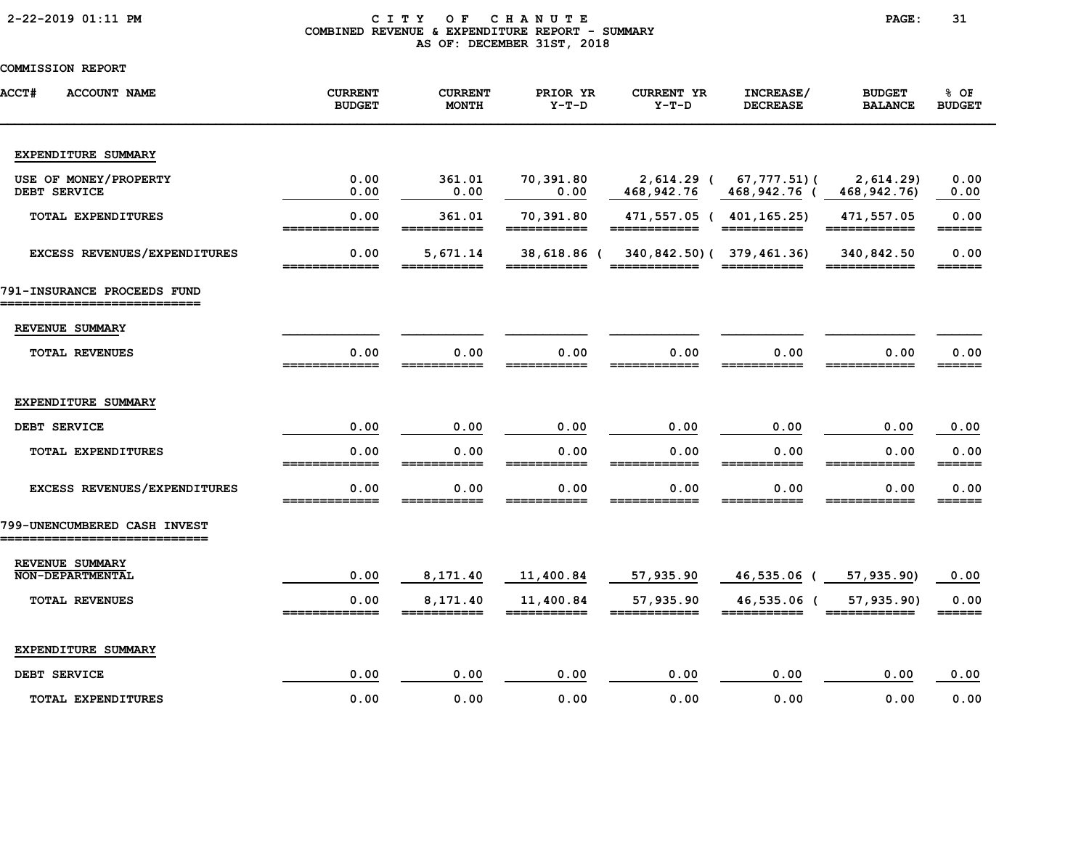# 2-22-2019 01:11 PM C I T Y O F C H A N U T E PAGE: 31 COMBINED REVENUE & EXPENDITURE REPORT - SUMMARY AS OF: DECEMBER 31ST, 2018

| <b>ACCT#</b><br><b>ACCOUNT NAME</b>        | <b>CURRENT</b><br><b>BUDGET</b> | <b>CURRENT</b><br><b>MONTH</b> | PRIOR YR<br>$Y-T-D$        | <b>CURRENT YR</b><br>$Y-T-D$ | INCREASE/<br><b>DECREASE</b> | <b>BUDGET</b><br><b>BALANCE</b> | % OF<br><b>BUDGET</b>           |
|--------------------------------------------|---------------------------------|--------------------------------|----------------------------|------------------------------|------------------------------|---------------------------------|---------------------------------|
| EXPENDITURE SUMMARY                        |                                 |                                |                            |                              |                              |                                 |                                 |
| USE OF MONEY/PROPERTY<br>DEBT SERVICE      | 0.00<br>0.00                    | 361.01<br>0.00                 | 70,391.80<br>0.00          | $2,614.29$ (<br>468,942.76   | 67,777.51)(<br>468,942.76    | 2,614.29<br>468, 942. 76)       | 0.00<br>0.00                    |
| <b>TOTAL EXPENDITURES</b>                  | 0.00<br>=============           | 361.01<br>===========          | 70,391.80<br>===========   | 471,557.05 (<br>============ | 401,165.25)<br>===========   | 471,557.05<br>============      | 0.00<br>$=$ $=$ $=$ $=$ $=$ $=$ |
| EXCESS REVENUES/EXPENDITURES               | 0.00<br>=============           | 5,671.14<br>___________        | 38,618.86 (<br>___________ | 340,842.50) (379,461.36)     | ===========                  | 340,842.50<br>____________      | 0.00<br>$=$ $=$ $=$ $=$ $=$     |
| 791-INSURANCE PROCEEDS FUND                |                                 |                                |                            |                              |                              |                                 |                                 |
| REVENUE SUMMARY                            |                                 |                                |                            |                              |                              |                                 |                                 |
| <b>TOTAL REVENUES</b>                      | 0.00                            | 0.00                           | 0.00                       | 0.00                         | 0.00                         | 0.00                            | 0.00<br>======                  |
| EXPENDITURE SUMMARY                        |                                 |                                |                            |                              |                              |                                 |                                 |
| DEBT SERVICE                               | 0.00                            | 0.00                           | 0.00                       | 0.00                         | 0.00                         | 0.00                            | 0.00                            |
| TOTAL EXPENDITURES                         | 0.00                            | 0.00                           | 0.00                       | 0.00                         | 0.00                         | 0.00                            | 0.00<br>______                  |
| EXCESS REVENUES/EXPENDITURES               | 0.00                            | 0.00                           | 0.00                       | 0.00                         | 0.00                         | 0.00                            | 0.00<br>======                  |
| 799-UNENCUMBERED CASH INVEST               |                                 |                                |                            |                              |                              |                                 |                                 |
| REVENUE SUMMARY<br><b>NON-DEPARTMENTAL</b> | 0.00                            | 8,171.40                       | 11,400.84                  | 57,935.90                    | 46,535.06 (                  | 57,935.90)                      | 0.00                            |
| TOTAL REVENUES                             | 0.00<br>_____________           | 8,171.40                       | 11,400.84<br>___________   | 57,935.90<br>------          | 46,535.06 (                  | 57,935.90)<br>=======----       | 0.00<br>======                  |
| EXPENDITURE SUMMARY                        |                                 |                                |                            |                              |                              |                                 |                                 |
| DEBT SERVICE                               | 0.00                            | 0.00                           | 0.00                       | 0.00                         | 0.00                         | 0.00                            | 0.00                            |
| <b>TOTAL EXPENDITURES</b>                  | 0.00                            | 0.00                           | 0.00                       | 0.00                         | 0.00                         | 0.00                            | 0.00                            |